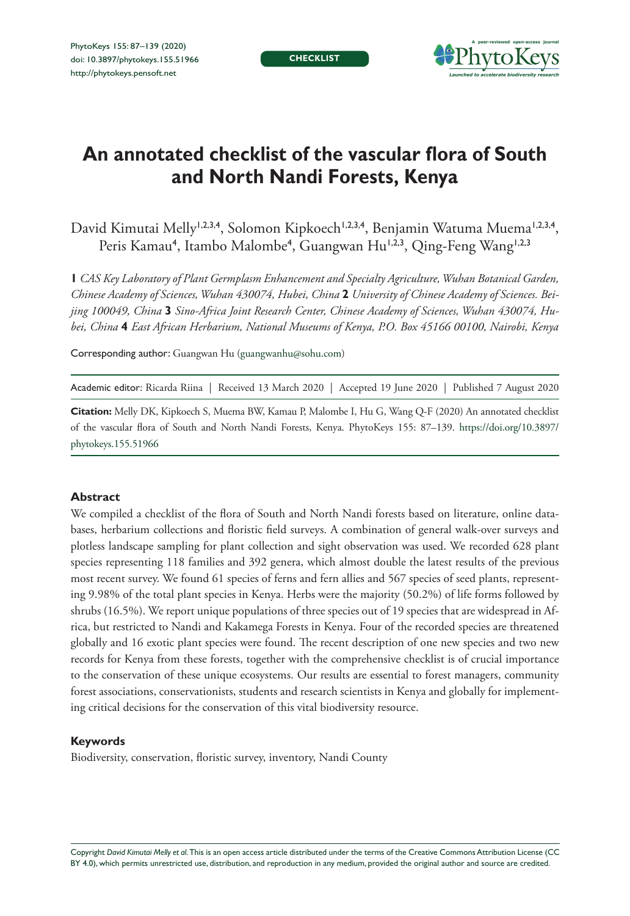**CHECKLIST**



# **An annotated checklist of the vascular flora of South and North Nandi Forests, Kenya**

David Kimutai Melly<sup>1,2,3,4</sup>, Solomon Kipkoech<sup>1,2,3,4</sup>, Benjamin Watuma Muema<sup>1,2,3,4</sup>, Peris Kamau<sup>4</sup>, Itambo Malombe<sup>4</sup>, Guangwan Hu<sup>1,2,3</sup>, Qing-Feng Wang<sup>1,2,3</sup>

**1** *CAS Key Laboratory of Plant Germplasm Enhancement and Specialty Agriculture, Wuhan Botanical Garden, Chinese Academy of Sciences, Wuhan 430074, Hubei, China* **2** *University of Chinese Academy of Sciences. Beijing 100049, China* **3** *Sino-Africa Joint Research Center, Chinese Academy of Sciences, Wuhan 430074, Hubei, China* **4** *East African Herbarium, National Museums of Kenya, P.O. Box 45166 00100, Nairobi, Kenya*

Corresponding author: Guangwan Hu ([guangwanhu@sohu.com\)](mailto:guangwanhu@sohu.com)

Academic editor: Ricarda Riina | Received 13 March 2020 | Accepted 19 June 2020 | Published 7 August 2020

**Citation:** Melly DK, Kipkoech S, Muema BW, Kamau P, Malombe I, Hu G, Wang Q-F (2020) An annotated checklist of the vascular flora of South and North Nandi Forests, Kenya. PhytoKeys 155: 87–139. [https://doi.org/10.3897/](https://doi.org/10.3897/phytokeys.155.51966) [phytokeys.155.51966](https://doi.org/10.3897/phytokeys.155.51966)

#### **Abstract**

We compiled a checklist of the flora of South and North Nandi forests based on literature, online databases, herbarium collections and floristic field surveys. A combination of general walk-over surveys and plotless landscape sampling for plant collection and sight observation was used. We recorded 628 plant species representing 118 families and 392 genera, which almost double the latest results of the previous most recent survey. We found 61 species of ferns and fern allies and 567 species of seed plants, representing 9.98% of the total plant species in Kenya. Herbs were the majority (50.2%) of life forms followed by shrubs (16.5%). We report unique populations of three species out of 19 species that are widespread in Africa, but restricted to Nandi and Kakamega Forests in Kenya. Four of the recorded species are threatened globally and 16 exotic plant species were found. The recent description of one new species and two new records for Kenya from these forests, together with the comprehensive checklist is of crucial importance to the conservation of these unique ecosystems. Our results are essential to forest managers, community forest associations, conservationists, students and research scientists in Kenya and globally for implementing critical decisions for the conservation of this vital biodiversity resource.

#### **Keywords**

Biodiversity, conservation, floristic survey, inventory, Nandi County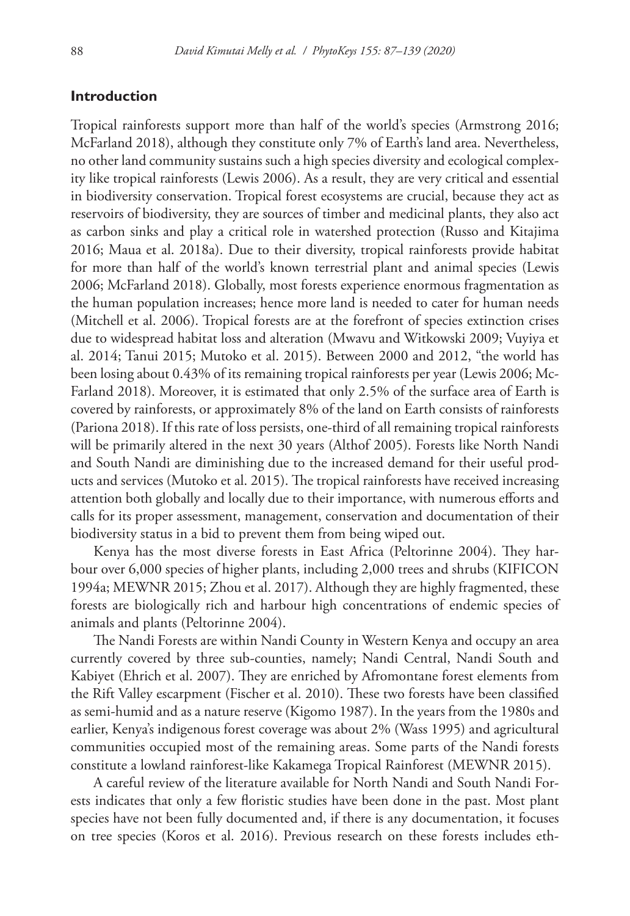### **Introduction**

Tropical rainforests support more than half of the world's species (Armstrong 2016; McFarland 2018), although they constitute only 7% of Earth's land area. Nevertheless, no other land community sustains such a high species diversity and ecological complexity like tropical rainforests (Lewis 2006). As a result, they are very critical and essential in biodiversity conservation. Tropical forest ecosystems are crucial, because they act as reservoirs of biodiversity, they are sources of timber and medicinal plants, they also act as carbon sinks and play a critical role in watershed protection (Russo and Kitajima 2016; Maua et al. 2018a). Due to their diversity, tropical rainforests provide habitat for more than half of the world's known terrestrial plant and animal species (Lewis 2006; McFarland 2018). Globally, most forests experience enormous fragmentation as the human population increases; hence more land is needed to cater for human needs (Mitchell et al. 2006). Tropical forests are at the forefront of species extinction crises due to widespread habitat loss and alteration (Mwavu and Witkowski 2009; Vuyiya et al. 2014; Tanui 2015; Mutoko et al. 2015). Between 2000 and 2012, "the world has been losing about 0.43% of its remaining tropical rainforests per year (Lewis 2006; Mc-Farland 2018). Moreover, it is estimated that only 2.5% of the surface area of Earth is covered by rainforests, or approximately 8% of the land on Earth consists of rainforests (Pariona 2018). If this rate of loss persists, one-third of all remaining tropical rainforests will be primarily altered in the next 30 years (Althof 2005). Forests like North Nandi and South Nandi are diminishing due to the increased demand for their useful products and services (Mutoko et al. 2015). The tropical rainforests have received increasing attention both globally and locally due to their importance, with numerous efforts and calls for its proper assessment, management, conservation and documentation of their biodiversity status in a bid to prevent them from being wiped out.

Kenya has the most diverse forests in East Africa (Peltorinne 2004). They harbour over 6,000 species of higher plants, including 2,000 trees and shrubs (KIFICON 1994a; MEWNR 2015; Zhou et al. 2017). Although they are highly fragmented, these forests are biologically rich and harbour high concentrations of endemic species of animals and plants (Peltorinne 2004).

The Nandi Forests are within Nandi County in Western Kenya and occupy an area currently covered by three sub-counties, namely; Nandi Central, Nandi South and Kabiyet (Ehrich et al. 2007). They are enriched by Afromontane forest elements from the Rift Valley escarpment (Fischer et al. 2010). These two forests have been classified as semi-humid and as a nature reserve (Kigomo 1987). In the years from the 1980s and earlier, Kenya's indigenous forest coverage was about 2% (Wass 1995) and agricultural communities occupied most of the remaining areas. Some parts of the Nandi forests constitute a lowland rainforest-like Kakamega Tropical Rainforest (MEWNR 2015).

A careful review of the literature available for North Nandi and South Nandi Forests indicates that only a few floristic studies have been done in the past. Most plant species have not been fully documented and, if there is any documentation, it focuses on tree species (Koros et al. 2016). Previous research on these forests includes eth-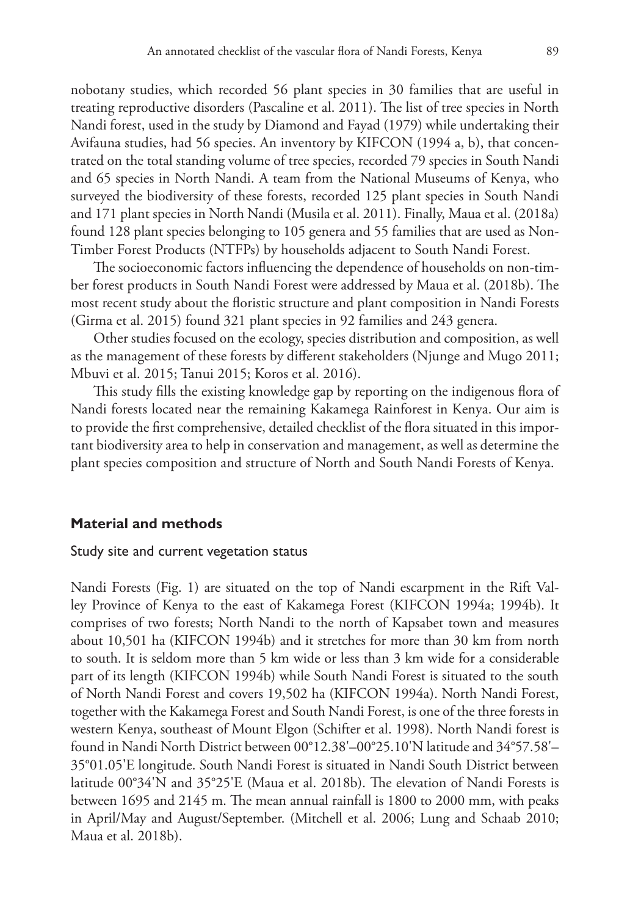nobotany studies, which recorded 56 plant species in 30 families that are useful in treating reproductive disorders (Pascaline et al. 2011). The list of tree species in North Nandi forest, used in the study by Diamond and Fayad (1979) while undertaking their Avifauna studies, had 56 species. An inventory by KIFCON (1994 a, b), that concentrated on the total standing volume of tree species, recorded 79 species in South Nandi and 65 species in North Nandi. A team from the National Museums of Kenya, who surveyed the biodiversity of these forests, recorded 125 plant species in South Nandi and 171 plant species in North Nandi (Musila et al. 2011). Finally, Maua et al. (2018a) found 128 plant species belonging to 105 genera and 55 families that are used as Non-Timber Forest Products (NTFPs) by households adjacent to South Nandi Forest.

The socioeconomic factors influencing the dependence of households on non-timber forest products in South Nandi Forest were addressed by Maua et al. (2018b). The most recent study about the floristic structure and plant composition in Nandi Forests (Girma et al. 2015) found 321 plant species in 92 families and 243 genera.

Other studies focused on the ecology, species distribution and composition, as well as the management of these forests by different stakeholders (Njunge and Mugo 2011; Mbuvi et al. 2015; Tanui 2015; Koros et al. 2016).

This study fills the existing knowledge gap by reporting on the indigenous flora of Nandi forests located near the remaining Kakamega Rainforest in Kenya. Our aim is to provide the first comprehensive, detailed checklist of the flora situated in this important biodiversity area to help in conservation and management, as well as determine the plant species composition and structure of North and South Nandi Forests of Kenya.

### **Material and methods**

#### Study site and current vegetation status

Nandi Forests (Fig. 1) are situated on the top of Nandi escarpment in the Rift Valley Province of Kenya to the east of Kakamega Forest (KIFCON 1994a; 1994b). It comprises of two forests; North Nandi to the north of Kapsabet town and measures about 10,501 ha (KIFCON 1994b) and it stretches for more than 30 km from north to south. It is seldom more than 5 km wide or less than 3 km wide for a considerable part of its length (KIFCON 1994b) while South Nandi Forest is situated to the south of North Nandi Forest and covers 19,502 ha (KIFCON 1994a). North Nandi Forest, together with the Kakamega Forest and South Nandi Forest, is one of the three forests in western Kenya, southeast of Mount Elgon (Schifter et al. 1998). North Nandi forest is found in Nandi North District between 00°12.38'–00°25.10'N latitude and 34°57.58'– 35°01.05'E longitude. South Nandi Forest is situated in Nandi South District between latitude 00°34'N and 35°25'E (Maua et al. 2018b). The elevation of Nandi Forests is between 1695 and 2145 m. The mean annual rainfall is 1800 to 2000 mm, with peaks in April/May and August/September. (Mitchell et al. 2006; Lung and Schaab 2010; Maua et al. 2018b).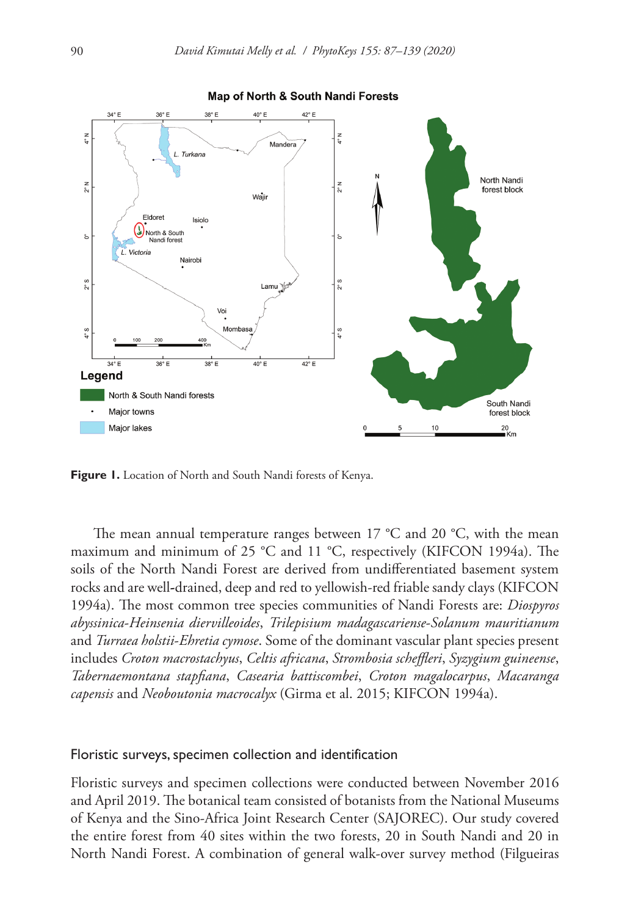

**Figure 1.** Location of North and South Nandi forests of Kenya.

The mean annual temperature ranges between 17 °C and 20 °C, with the mean maximum and minimum of 25 °C and 11 °C, respectively (KIFCON 1994a). The soils of the North Nandi Forest are derived from undifferentiated basement system rocks and are well**-**drained, deep and red to yellowish-red friable sandy clays (KIFCON 1994a). The most common tree species communities of Nandi Forests are: *Diospyros abyssinica*-*Heinsenia diervilleoides*, *Trilepisium madagascariense*-*Solanum mauritianum* and *Turraea holstii*-*Ehretia cymose*. Some of the dominant vascular plant species present includes *Croton macrostachyus*, *Celtis africana*, *Strombosia scheffleri*, *Syzygium guineense*, *Tabernaemontana stapfiana*, *Casearia battiscombei*, *Croton magalocarpus*, *Macaranga capensis* and *Neoboutonia macrocalyx* (Girma et al. 2015; KIFCON 1994a).

#### Floristic surveys, specimen collection and identification

Floristic surveys and specimen collections were conducted between November 2016 and April 2019. The botanical team consisted of botanists from the National Museums of Kenya and the Sino-Africa Joint Research Center (SAJOREC). Our study covered the entire forest from 40 sites within the two forests, 20 in South Nandi and 20 in North Nandi Forest. A combination of general walk-over survey method (Filgueiras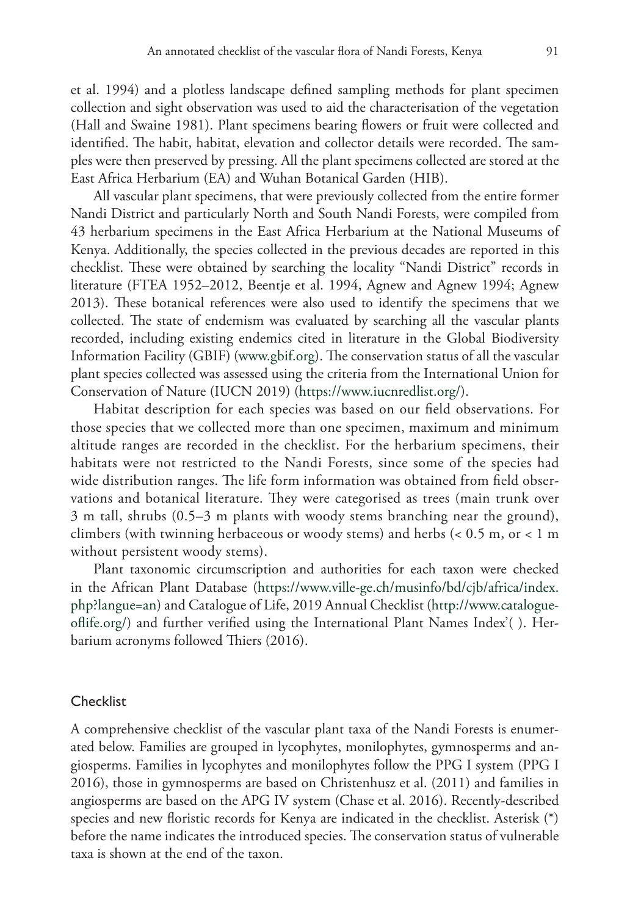et al. 1994) and a plotless landscape defined sampling methods for plant specimen collection and sight observation was used to aid the characterisation of the vegetation (Hall and Swaine 1981). Plant specimens bearing flowers or fruit were collected and identified. The habit, habitat, elevation and collector details were recorded. The samples were then preserved by pressing. All the plant specimens collected are stored at the East Africa Herbarium (EA) and Wuhan Botanical Garden (HIB).

All vascular plant specimens, that were previously collected from the entire former Nandi District and particularly North and South Nandi Forests, were compiled from 43 herbarium specimens in the East Africa Herbarium at the National Museums of Kenya. Additionally, the species collected in the previous decades are reported in this checklist. These were obtained by searching the locality "Nandi District" records in literature (FTEA 1952–2012, Beentje et al. 1994, Agnew and Agnew 1994; Agnew 2013). These botanical references were also used to identify the specimens that we collected. The state of endemism was evaluated by searching all the vascular plants recorded, including existing endemics cited in literature in the Global Biodiversity Information Facility (GBIF) (www.gbif.org). The conservation status of all the vascular plant species collected was assessed using the criteria from the International Union for Conservation of Nature (IUCN 2019) [\(https://www.iucnredlist.org/](https://www.iucnredlist.org/)).

Habitat description for each species was based on our field observations. For those species that we collected more than one specimen, maximum and minimum altitude ranges are recorded in the checklist. For the herbarium specimens, their habitats were not restricted to the Nandi Forests, since some of the species had wide distribution ranges. The life form information was obtained from field observations and botanical literature. They were categorised as trees (main trunk over 3 m tall, shrubs (0.5–3 m plants with woody stems branching near the ground), climbers (with twinning herbaceous or woody stems) and herbs (< 0.5 m, or < 1 m without persistent woody stems).

Plant taxonomic circumscription and authorities for each taxon were checked in the African Plant Database [\(https://www.ville-ge.ch/musinfo/bd/cjb/africa/index.](https://www.ville-ge.ch/musinfo/bd/cjb/africa/index.php?langue=an) [php?langue=an](https://www.ville-ge.ch/musinfo/bd/cjb/africa/index.php?langue=an)) and Catalogue of Life, 2019 Annual Checklist [\(http://www.catalogue](http://www.catalogueoflife.org/)[oflife.org/](http://www.catalogueoflife.org/)) and further verified using the International Plant Names Index'( ). Herbarium acronyms followed Thiers (2016).

#### **Checklist**

A comprehensive checklist of the vascular plant taxa of the Nandi Forests is enumerated below. Families are grouped in lycophytes, monilophytes, gymnosperms and angiosperms. Families in lycophytes and monilophytes follow the PPG I system (PPG I 2016), those in gymnosperms are based on Christenhusz et al. (2011) and families in angiosperms are based on the APG IV system (Chase et al. 2016). Recently-described species and new floristic records for Kenya are indicated in the checklist. Asterisk (\*) before the name indicates the introduced species. The conservation status of vulnerable taxa is shown at the end of the taxon.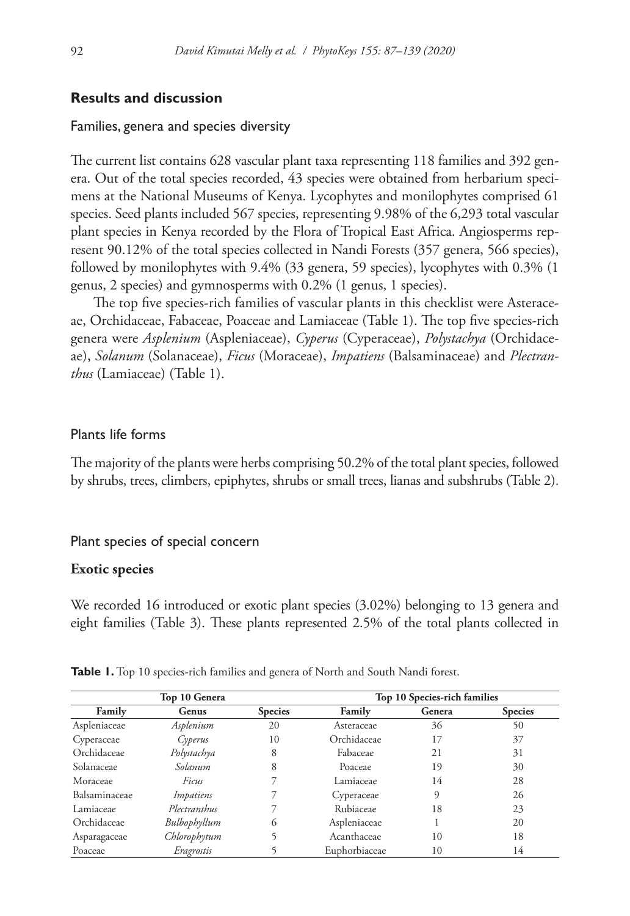### **Results and discussion**

#### Families, genera and species diversity

The current list contains 628 vascular plant taxa representing 118 families and 392 genera. Out of the total species recorded, 43 species were obtained from herbarium specimens at the National Museums of Kenya. Lycophytes and monilophytes comprised 61 species. Seed plants included 567 species, representing 9.98% of the 6,293 total vascular plant species in Kenya recorded by the Flora of Tropical East Africa. Angiosperms represent 90.12% of the total species collected in Nandi Forests (357 genera, 566 species), followed by monilophytes with 9.4% (33 genera, 59 species), lycophytes with 0.3% (1 genus, 2 species) and gymnosperms with 0.2% (1 genus, 1 species).

The top five species-rich families of vascular plants in this checklist were Asteraceae, Orchidaceae, Fabaceae, Poaceae and Lamiaceae (Table 1). The top five species-rich genera were *Asplenium* (Aspleniaceae), *Cyperus* (Cyperaceae), *Polystachya* (Orchidaceae), *Solanum* (Solanaceae), *Ficus* (Moraceae), *Impatiens* (Balsaminaceae) and *Plectranthus* (Lamiaceae) (Table 1).

#### Plants life forms

The majority of the plants were herbs comprising 50.2% of the total plant species, followed by shrubs, trees, climbers, epiphytes, shrubs or small trees, lianas and subshrubs (Table 2).

#### Plant species of special concern

#### **Exotic species**

We recorded 16 introduced or exotic plant species (3.02%) belonging to 13 genera and eight families (Table 3). These plants represented 2.5% of the total plants collected in

| Top 10 Genera |              |                | Top 10 Species-rich families |        |                |
|---------------|--------------|----------------|------------------------------|--------|----------------|
| Family        | Genus        | <b>Species</b> | Family                       | Genera | <b>Species</b> |
| Aspleniaceae  | Asplenium    | 20             | Asteraceae                   | 36     | 50             |
| Cyperaceae    | Cyperus      | 10             | Orchidaceae                  | 17     | 37             |
| Orchidaceae   | Polystachya  | 8              | Fabaceae                     | 21     | 31             |
| Solanaceae    | Solanum      | 8              | Poaceae                      | 19     | 30             |
| Moraceae      | Ficus        |                | Lamiaceae                    | 14     | 28             |
| Balsaminaceae | Impatiens    |                | Cyperaceae                   | 9      | 26             |
| Lamiaceae     | Plectranthus |                | Rubiaceae                    | 18     | 23             |
| Orchidaceae   | Bulbophyllum | $^{(1)}$       | Aspleniaceae                 |        | 20             |
| Asparagaceae  | Chlorophytum |                | Acanthaceae                  | 10     | 18             |
| Poaceae       | Eragrostis   |                | Euphorbiaceae                | 10     | 14             |

Table 1. Top 10 species-rich families and genera of North and South Nandi forest.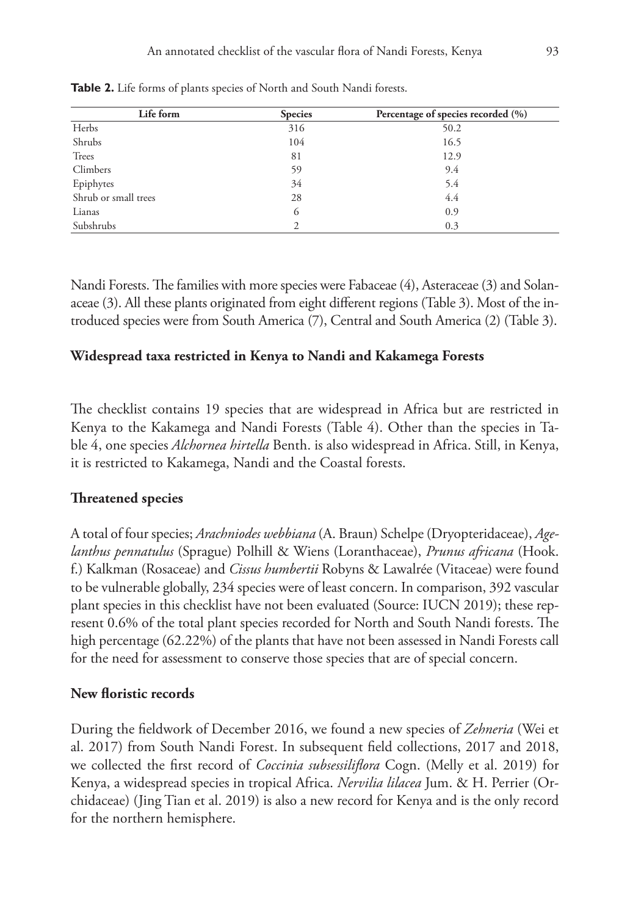| Life form            | <b>Species</b> | Percentage of species recorded (%) |
|----------------------|----------------|------------------------------------|
| Herbs                | 316            | 50.2                               |
| Shrubs               | 104            | 16.5                               |
| Trees                | 81             | 12.9                               |
| Climbers             | 59             | 9.4                                |
| Epiphytes            | 34             | 5.4                                |
| Shrub or small trees | 28             | 4.4                                |
| Lianas               | 6              | 0.9                                |
| Subshrubs            |                | 0.3                                |

**Table 2.** Life forms of plants species of North and South Nandi forests.

Nandi Forests. The families with more species were Fabaceae (4), Asteraceae (3) and Solanaceae (3). All these plants originated from eight different regions (Table 3). Most of the introduced species were from South America (7), Central and South America (2) (Table 3).

### **Widespread taxa restricted in Kenya to Nandi and Kakamega Forests**

The checklist contains 19 species that are widespread in Africa but are restricted in Kenya to the Kakamega and Nandi Forests (Table 4). Other than the species in Table 4, one species *Alchornea hirtella* Benth. is also widespread in Africa. Still, in Kenya, it is restricted to Kakamega, Nandi and the Coastal forests.

#### **Threatened species**

A total of four species; *Arachniodes webbiana* (A. Braun) Schelpe (Dryopteridaceae), *Agelanthus pennatulus* (Sprague) Polhill & Wiens (Loranthaceae), *Prunus africana* (Hook. f.) Kalkman (Rosaceae) and *Cissus humbertii* Robyns & Lawalrée (Vitaceae) were found to be vulnerable globally, 234 species were of least concern. In comparison, 392 vascular plant species in this checklist have not been evaluated (Source: IUCN 2019); these represent 0.6% of the total plant species recorded for North and South Nandi forests. The high percentage (62.22%) of the plants that have not been assessed in Nandi Forests call for the need for assessment to conserve those species that are of special concern.

### **New floristic records**

During the fieldwork of December 2016, we found a new species of *Zehneria* (Wei et al. 2017) from South Nandi Forest. In subsequent field collections, 2017 and 2018, we collected the first record of *Coccinia subsessiliflora* Cogn. (Melly et al. 2019) for Kenya, a widespread species in tropical Africa. *Nervilia lilacea* Jum. & H. Perrier (Orchidaceae) (Jing Tian et al. 2019) is also a new record for Kenya and is the only record for the northern hemisphere.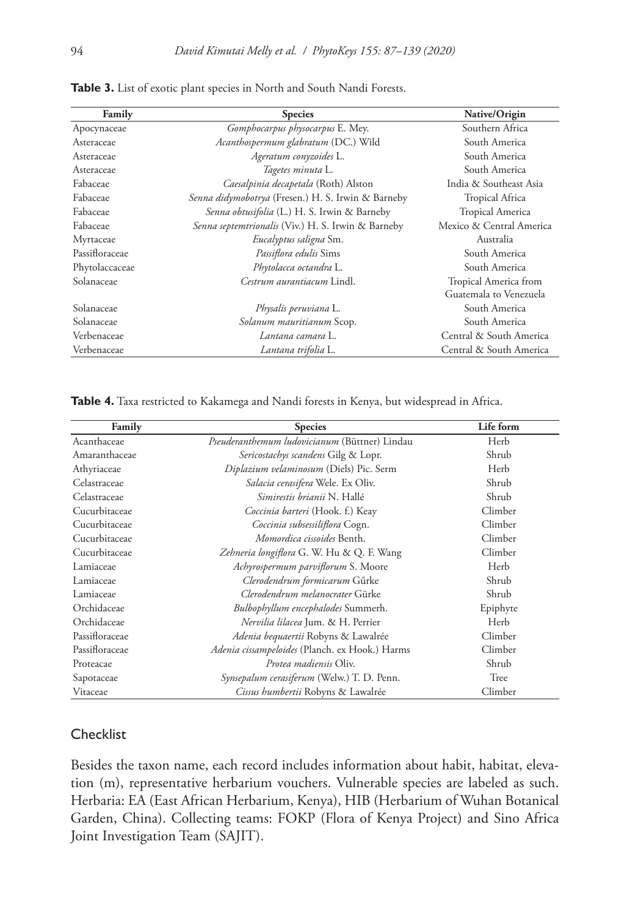| Family         | <b>Species</b>                                     | Native/Origin            |
|----------------|----------------------------------------------------|--------------------------|
| Apocynaceae    | Gomphocarpus physocarpus E. Mey.                   | Southern Africa          |
| Asteraceae     | Acanthospermum glabratum (DC.) Wild                | South America            |
| Asteraceae     | Ageratum conyzoides L.                             | South America            |
| Asteraceae     | Tagetes minuta L.                                  | South America            |
| Fabaceae       | Caesalpinia decapetala (Roth) Alston               | India & Southeast Asia   |
| Fabaceae       | Senna didymobotrya (Fresen.) H. S. Irwin & Barneby | Tropical Africa          |
| Fabaceae       | Senna obtusifolia (L.) H. S. Irwin & Barneby       | <b>Tropical America</b>  |
| Fabaceae       | Senna septemtrionalis (Viv.) H. S. Irwin & Barneby | Mexico & Central America |
| Myrtaceae      | Eucalyptus saligna Sm.                             | Australia                |
| Passifloraceae | Passiflora edulis Sims                             | South America            |
| Phytolaccaceae | Phytolacca octandra L.                             | South America            |
| Solanaceae     | Cestrum aurantiacum Lindl.                         | Tropical America from    |
|                |                                                    | Guatemala to Venezuela   |
| Solanaceae     | Physalis peruviana L.                              | South America            |
| Solanaceae     | Solanum mauritianum Scop.                          | South America            |
| Verbenaceae    | Lantana camara L.                                  | Central & South America  |
| Verbenaceae    | Lantana trifolia L.                                | Central & South America  |

**Table 3.** List of exotic plant species in North and South Nandi Forests.

**Table 4.** Taxa restricted to Kakamega and Nandi forests in Kenya, but widespread in Africa.

| Family         | <b>Species</b>                                 | Life form |
|----------------|------------------------------------------------|-----------|
| Acanthaceae    | Pseuderanthemum ludovicianum (Büttner) Lindau  | Herb      |
| Amaranthaceae  | Sericostachys scandens Gilg & Lopr.            | Shrub     |
| Athyriaceae    | Diplazium velaminosum (Diels) Pic. Serm        | Herb      |
| Celastraceae   | Salacia cerasifera Wele. Ex Oliv.              | Shrub     |
| Celastraceae   | Simirestis brianii N. Hallé                    | Shrub     |
| Cucurbitaceae  | Coccinia barteri (Hook. f.) Keay               | Climber   |
| Cucurbitaceae  | Coccinia subsessiliflora Cogn.                 | Climber   |
| Cucurbitaceae  | Momordica cissoides Benth.                     | Climber   |
| Cucurbitaceae  | Zehneria longiflora G. W. Hu & Q. F. Wang      | Climber   |
| Lamiaceae      | Achyrospermum parviflorum S. Moore             | Herb      |
| Lamiaceae      | Clerodendrum formicarum Gürke                  | Shrub     |
| Lamiaceae      | Clerodendrum melanocrater Gürke                | Shrub     |
| Orchidaceae    | Bulbophyllum encephalodes Summerh.             | Epiphyte  |
| Orchidaceae    | Nervilia lilacea Jum. & H. Perrier             | Herb      |
| Passifloraceae | Adenia bequaertii Robyns & Lawalrée            | Climber   |
| Passifloraceae | Adenia cissampeloides (Planch. ex Hook.) Harms | Climber   |
| Proteacae      | <i>Protea madiensis</i> Oliv.                  | Shrub     |
| Sapotaceae     | Synsepalum cerasiferum (Welw.) T. D. Penn.     | Tree      |
| Vitaceae       | Cissus humbertii Robyns & Lawalrée             | Climber   |

# **Checklist**

Besides the taxon name, each record includes information about habit, habitat, elevation (m), representative herbarium vouchers. Vulnerable species are labeled as such. Herbaria: EA (East African Herbarium, Kenya), HIB (Herbarium of Wuhan Botanical Garden, China). Collecting teams: FOKP (Flora of Kenya Project) and Sino Africa Joint Investigation Team (SAJIT).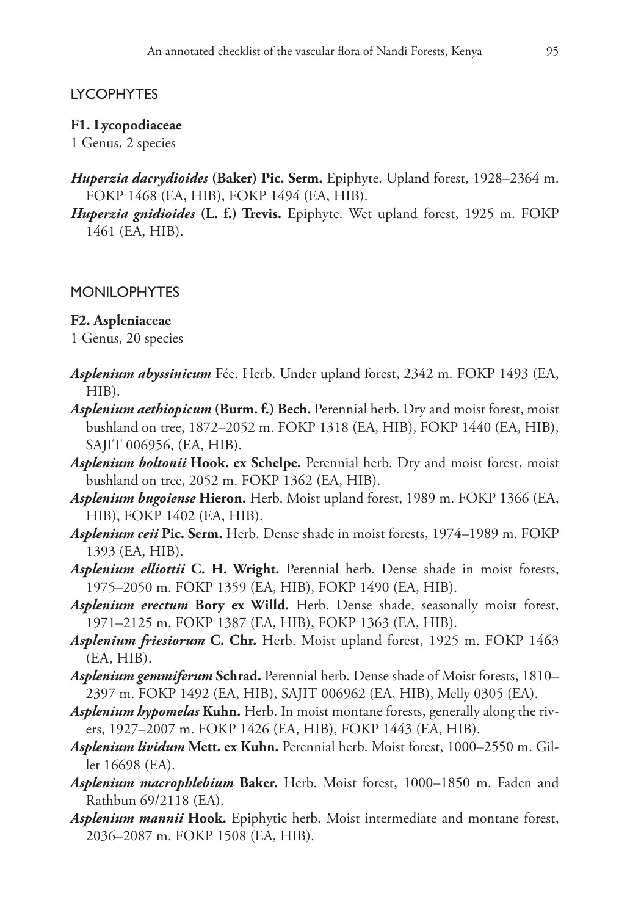## LYCOPHYTES

#### **F1. Lycopodiaceae**

1 Genus, 2 species

- *Huperzia dacrydioides* **(Baker) Pic. Serm.** Epiphyte. Upland forest, 1928–2364 m. FOKP 1468 (EA, HIB), FOKP 1494 (EA, HIB).
- *Huperzia gnidioides* **(L. f.) Trevis.** Epiphyte. Wet upland forest, 1925 m. FOKP 1461 (EA, HIB).

#### MONILOPHYTES

#### **F2. Aspleniaceae**

1 Genus, 20 species

- *Asplenium abyssinicum* Fée. Herb. Under upland forest, 2342 m. FOKP 1493 (EA, HIB).
- *Asplenium aethiopicum* **(Burm. f.) Bech.** Perennial herb. Dry and moist forest, moist bushland on tree, 1872–2052 m. FOKP 1318 (EA, HIB), FOKP 1440 (EA, HIB), SAJIT 006956, (EA, HIB).
- *Asplenium boltonii* **Hook. ex Schelpe.** Perennial herb. Dry and moist forest, moist bushland on tree, 2052 m. FOKP 1362 (EA, HIB).
- *Asplenium bugoiense* **Hieron.** Herb. Moist upland forest, 1989 m. FOKP 1366 (EA, HIB), FOKP 1402 (EA, HIB).
- *Asplenium ceii* **Pic. Serm.** Herb. Dense shade in moist forests, 1974–1989 m. FOKP 1393 (EA, HIB).
- *Asplenium elliottii* **C. H. Wright.** Perennial herb. Dense shade in moist forests, 1975–2050 m. FOKP 1359 (EA, HIB), FOKP 1490 (EA, HIB).
- *Asplenium erectum* **Bory ex Willd.** Herb. Dense shade, seasonally moist forest, 1971–2125 m. FOKP 1387 (EA, HIB), FOKP 1363 (EA, HIB).
- *Asplenium friesiorum* **C. Chr.** Herb. Moist upland forest, 1925 m. FOKP 1463 (EA, HIB).
- *Asplenium gemmiferum* **Schrad.** Perennial herb. Dense shade of Moist forests, 1810– 2397 m. FOKP 1492 (EA, HIB), SAJIT 006962 (EA, HIB), Melly 0305 (EA).
- *Asplenium hypomelas* **Kuhn.** Herb. In moist montane forests, generally along the rivers, 1927–2007 m. FOKP 1426 (EA, HIB), FOKP 1443 (EA, HIB).
- *Asplenium lividum* **Mett. ex Kuhn.** Perennial herb. Moist forest, 1000–2550 m. Gillet 16698 (EA).
- *Asplenium macrophlebium* **Baker.** Herb. Moist forest, 1000–1850 m. Faden and Rathbun 69/2118 (EA).
- *Asplenium mannii* **Hook.** Epiphytic herb. Moist intermediate and montane forest, 2036–2087 m. FOKP 1508 (EA, HIB).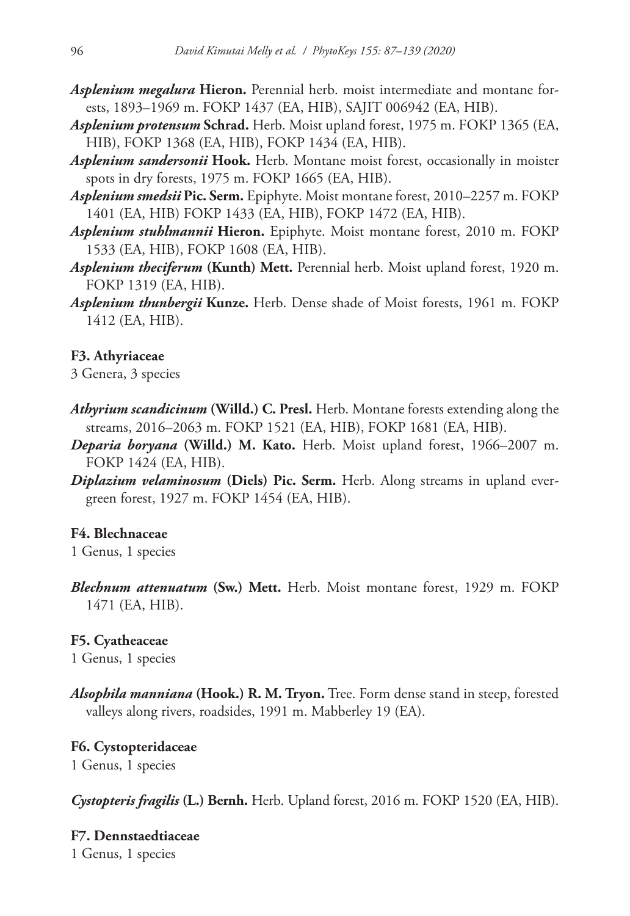- *Asplenium megalura* **Hieron.** Perennial herb. moist intermediate and montane forests, 1893–1969 m. FOKP 1437 (EA, HIB), SAJIT 006942 (EA, HIB).
- *Asplenium protensum* **Schrad.** Herb. Moist upland forest, 1975 m. FOKP 1365 (EA, HIB), FOKP 1368 (EA, HIB), FOKP 1434 (EA, HIB).
- *Asplenium sandersonii* **Hook.** Herb. Montane moist forest, occasionally in moister spots in dry forests, 1975 m. FOKP 1665 (EA, HIB).
- *Asplenium smedsii* **Pic. Serm.** Epiphyte. Moist montane forest, 2010–2257 m. FOKP 1401 (EA, HIB) FOKP 1433 (EA, HIB), FOKP 1472 (EA, HIB).
- *Asplenium stuhlmannii* **Hieron.** Epiphyte. Moist montane forest, 2010 m. FOKP 1533 (EA, HIB), FOKP 1608 (EA, HIB).
- *Asplenium theciferum* **(Kunth) Mett.** Perennial herb. Moist upland forest, 1920 m. FOKP 1319 (EA, HIB).
- *Asplenium thunbergii* **Kunze.** Herb. Dense shade of Moist forests, 1961 m. FOKP 1412 (EA, HIB).

### **F3. Athyriaceae**

3 Genera, 3 species

- *Athyrium scandicinum* **(Willd.) C. Presl.** Herb. Montane forests extending along the streams, 2016–2063 m. FOKP 1521 (EA, HIB), FOKP 1681 (EA, HIB).
- *Deparia boryana* **(Willd.) M. Kato.** Herb. Moist upland forest, 1966–2007 m. FOKP 1424 (EA, HIB).
- *Diplazium velaminosum* **(Diels) Pic. Serm.** Herb. Along streams in upland evergreen forest, 1927 m. FOKP 1454 (EA, HIB).

#### **F4. Blechnaceae**

1 Genus, 1 species

*Blechnum attenuatum* **(Sw.) Mett.** Herb. Moist montane forest, 1929 m. FOKP 1471 (EA, HIB).

#### **F5. Cyatheaceae**

1 Genus, 1 species

*Alsophila manniana* **(Hook.) R. M. Tryon.** Tree. Form dense stand in steep, forested valleys along rivers, roadsides, 1991 m. Mabberley 19 (EA).

## **F6. Cystopteridaceae**

1 Genus, 1 species

*Cystopteris fragilis* **(L.) Bernh.** Herb. Upland forest, 2016 m. FOKP 1520 (EA, HIB).

**F7. Dennstaedtiaceae** 1 Genus, 1 species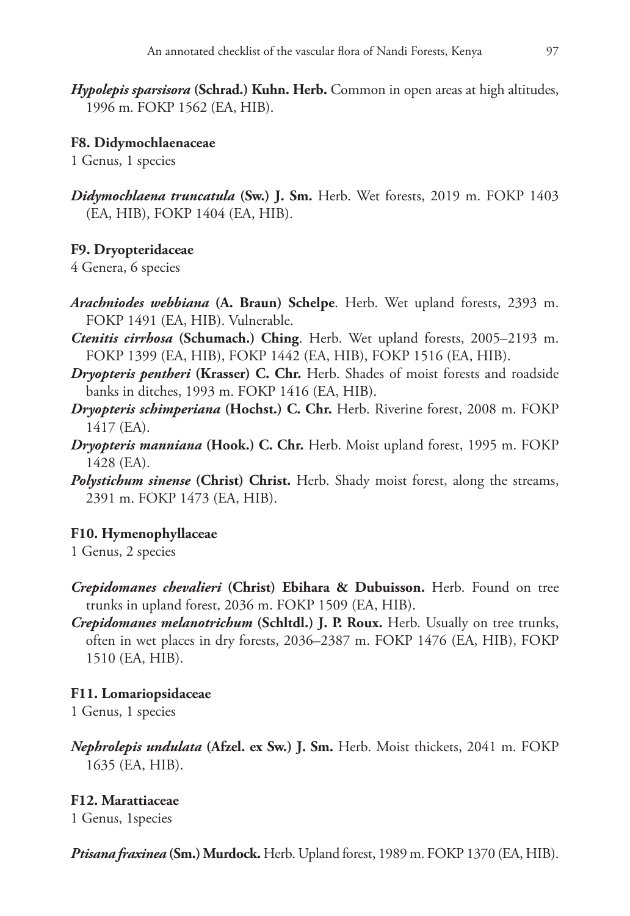*Hypolepis sparsisora* **(Schrad.) Kuhn. Herb.** Common in open areas at high altitudes, 1996 m. FOKP 1562 (EA, HIB).

### **F8. Didymochlaenaceae**

1 Genus, 1 species

*Didymochlaena truncatula* **(Sw.) J. Sm.** Herb. Wet forests, 2019 m. FOKP 1403 (EA, HIB), FOKP 1404 (EA, HIB).

### **F9. Dryopteridaceae**

4 Genera, 6 species

- *Arachniodes webbiana* **(A. Braun) Schelpe**. Herb. Wet upland forests, 2393 m. FOKP 1491 (EA, HIB). Vulnerable.
- *Ctenitis cirrhosa* **(Schumach.) Ching**. Herb. Wet upland forests, 2005–2193 m. FOKP 1399 (EA, HIB), FOKP 1442 (EA, HIB), FOKP 1516 (EA, HIB).
- *Dryopteris pentheri* **(Krasser) C. Chr.** Herb. Shades of moist forests and roadside banks in ditches, 1993 m. FOKP 1416 (EA, HIB).
- *Dryopteris schimperiana* **(Hochst.) C. Chr.** Herb. Riverine forest, 2008 m. FOKP 1417 (EA).
- *Dryopteris manniana* **(Hook.) C. Chr.** Herb. Moist upland forest, 1995 m. FOKP 1428 (EA).
- *Polystichum sinense* **(Christ) Christ.** Herb. Shady moist forest, along the streams, 2391 m. FOKP 1473 (EA, HIB).

#### **F10. Hymenophyllaceae**

1 Genus, 2 species

- *Crepidomanes chevalieri* **(Christ) Ebihara & Dubuisson.** Herb. Found on tree trunks in upland forest, 2036 m. FOKP 1509 (EA, HIB).
- *Crepidomanes melanotrichum* **(Schltdl.) J. P. Roux.** Herb. Usually on tree trunks, often in wet places in dry forests, 2036–2387 m. FOKP 1476 (EA, HIB), FOKP 1510 (EA, HIB).

#### **F11. Lomariopsidaceae**

1 Genus, 1 species

*Nephrolepis undulata* **(Afzel. ex Sw.) J. Sm.** Herb. Moist thickets, 2041 m. FOKP 1635 (EA, HIB).

### **F12. Marattiaceae**

1 Genus, 1species

*Ptisana fraxinea* **(Sm.) Murdock.** Herb. Upland forest, 1989 m. FOKP 1370 (EA, HIB).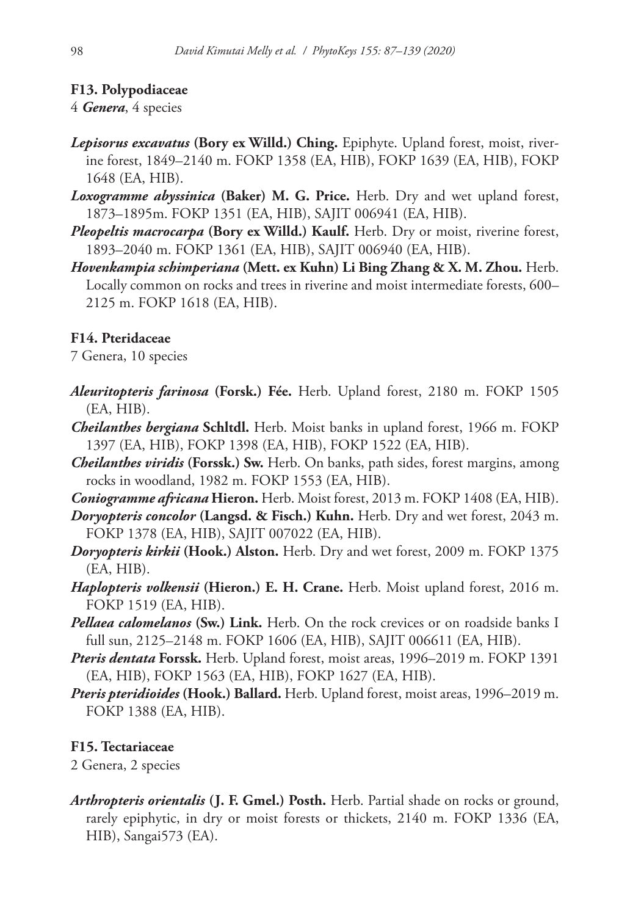# **F13. Polypodiaceae**

## 4 *Genera*, 4 species

- *Lepisorus excavatus* **(Bory ex Willd.) Ching.** Epiphyte. Upland forest, moist, riverine forest, 1849–2140 m. FOKP 1358 (EA, HIB), FOKP 1639 (EA, HIB), FOKP 1648 (EA, HIB).
- *Loxogramme abyssinica* **(Baker) M. G. Price.** Herb. Dry and wet upland forest, 1873–1895m. FOKP 1351 (EA, HIB), SAJIT 006941 (EA, HIB).
- *Pleopeltis macrocarpa* **(Bory ex Willd.) Kaulf.** Herb. Dry or moist, riverine forest, 1893–2040 m. FOKP 1361 (EA, HIB), SAJIT 006940 (EA, HIB).
- *Hovenkampia schimperiana* **(Mett. ex Kuhn) Li Bing Zhang & X. M. Zhou.** Herb. Locally common on rocks and trees in riverine and moist intermediate forests, 600– 2125 m. FOKP 1618 (EA, HIB).

## **F14. Pteridaceae**

7 Genera, 10 species

- *Aleuritopteris farinosa* **(Forsk.) Fée.** Herb. Upland forest, 2180 m. FOKP 1505 (EA, HIB).
- *Cheilanthes bergiana* **Schltdl.** Herb. Moist banks in upland forest, 1966 m. FOKP 1397 (EA, HIB), FOKP 1398 (EA, HIB), FOKP 1522 (EA, HIB).
- *Cheilanthes viridis* **(Forssk.) Sw.** Herb. On banks, path sides, forest margins, among rocks in woodland, 1982 m. FOKP 1553 (EA, HIB).
- *Coniogramme africana* **Hieron.** Herb. Moist forest, 2013 m. FOKP 1408 (EA, HIB).
- *Doryopteris concolor* **(Langsd. & Fisch.) Kuhn.** Herb. Dry and wet forest, 2043 m. FOKP 1378 (EA, HIB), SAJIT 007022 (EA, HIB).
- *Doryopteris kirkii* **(Hook.) Alston.** Herb. Dry and wet forest, 2009 m. FOKP 1375 (EA, HIB).
- *Haplopteris volkensii* **(Hieron.) E. H. Crane.** Herb. Moist upland forest, 2016 m. FOKP 1519 (EA, HIB).
- *Pellaea calomelanos* **(Sw.) Link.** Herb. On the rock crevices or on roadside banks I full sun, 2125–2148 m. FOKP 1606 (EA, HIB), SAJIT 006611 (EA, HIB).
- *Pteris dentata* **Forssk.** Herb. Upland forest, moist areas, 1996–2019 m. FOKP 1391 (EA, HIB), FOKP 1563 (EA, HIB), FOKP 1627 (EA, HIB).
- *Pteris pteridioides* **(Hook.) Ballard.** Herb. Upland forest, moist areas, 1996–2019 m. FOKP 1388 (EA, HIB).

## **F15. Tectariaceae**

2 Genera, 2 species

*Arthropteris orientalis* **(J. F. Gmel.) Posth.** Herb. Partial shade on rocks or ground, rarely epiphytic, in dry or moist forests or thickets, 2140 m. FOKP 1336 (EA, HIB), Sangai573 (EA).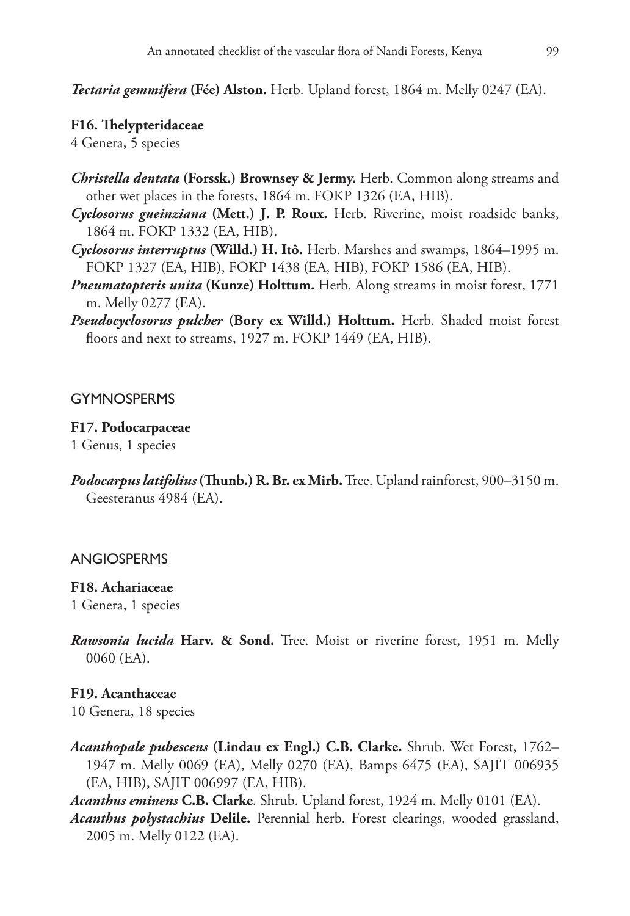*Tectaria gemmifera* **(Fée) Alston.** Herb. Upland forest, 1864 m. Melly 0247 (EA).

#### **F16. Thelypteridaceae**

4 Genera, 5 species

- *Christella dentata* **(Forssk.) Brownsey & Jermy.** Herb. Common along streams and other wet places in the forests, 1864 m. FOKP 1326 (EA, HIB).
- *Cyclosorus gueinziana* **(Mett.) J. P. Roux.** Herb. Riverine, moist roadside banks, 1864 m. FOKP 1332 (EA, HIB).
- *Cyclosorus interruptus* **(Willd.) H. Itô.** Herb. Marshes and swamps, 1864–1995 m. FOKP 1327 (EA, HIB), FOKP 1438 (EA, HIB), FOKP 1586 (EA, HIB).
- *Pneumatopteris unita* **(Kunze) Holttum.** Herb. Along streams in moist forest, 1771 m. Melly 0277 (EA).
- *Pseudocyclosorus pulcher* **(Bory ex Willd.) Holttum.** Herb. Shaded moist forest floors and next to streams, 1927 m. FOKP 1449 (EA, HIB).

#### **GYMNOSPERMS**

#### **F17. Podocarpaceae**

1 Genus, 1 species

*Podocarpus latifolius* **(Thunb.) R. Br. ex Mirb.** Tree. Upland rainforest, 900–3150 m. Geesteranus 4984 (EA).

### ANGIOSPERMS

#### **F18. Achariaceae**

1 Genera, 1 species

*Rawsonia lucida* **Harv. & Sond.** Tree. Moist or riverine forest, 1951 m. Melly 0060 (EA).

### **F19. Acanthaceae**

10 Genera, 18 species

*Acanthopale pubescens* **(Lindau ex Engl.) C.B. Clarke.** Shrub. Wet Forest, 1762– 1947 m. Melly 0069 (EA), Melly 0270 (EA), Bamps 6475 (EA), SAJIT 006935 (EA, HIB), SAJIT 006997 (EA, HIB).

*Acanthus eminens* **C.B. Clarke**. Shrub. Upland forest, 1924 m. Melly 0101 (EA).

*Acanthus polystachius* **Delile.** Perennial herb. Forest clearings, wooded grassland, 2005 m. Melly 0122 (EA).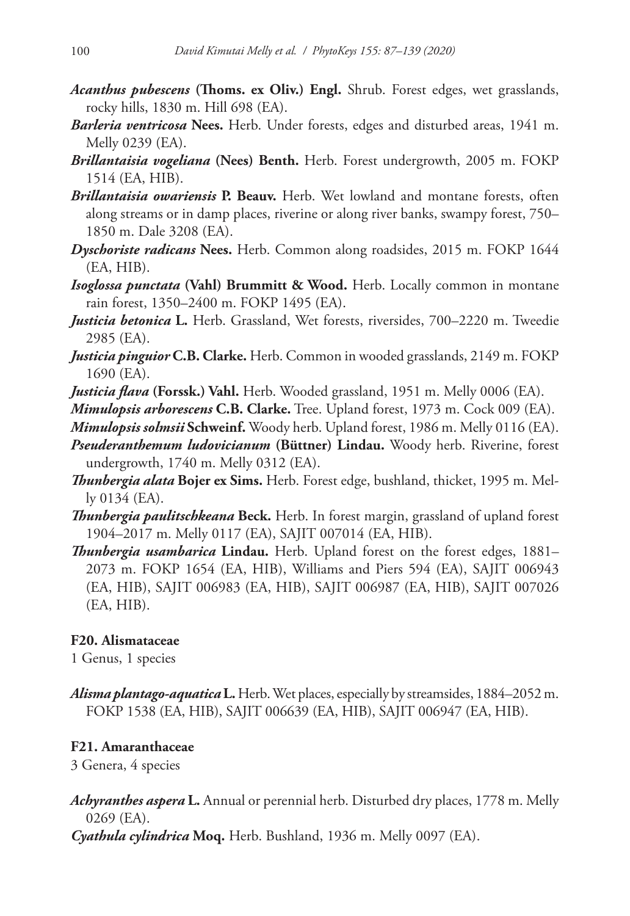- *Acanthus pubescens* **(Thoms. ex Oliv.) Engl.** Shrub. Forest edges, wet grasslands, rocky hills, 1830 m. Hill 698 (EA).
- *Barleria ventricosa* **Nees.** Herb. Under forests, edges and disturbed areas, 1941 m. Melly 0239 (EA).
- *Brillantaisia vogeliana* **(Nees) Benth.** Herb. Forest undergrowth, 2005 m. FOKP 1514 (EA, HIB).
- *Brillantaisia owariensis* **P. Beauv.** Herb. Wet lowland and montane forests, often along streams or in damp places, riverine or along river banks, swampy forest, 750– 1850 m. Dale 3208 (EA).
- *Dyschoriste radicans* **Nees.** Herb. Common along roadsides, 2015 m. FOKP 1644 (EA, HIB).
- *Isoglossa punctata* **(Vahl) Brummitt & Wood.** Herb. Locally common in montane rain forest, 1350–2400 m. FOKP 1495 (EA).
- *Justicia betonica* **L.** Herb. Grassland, Wet forests, riversides, 700–2220 m. Tweedie 2985 (EA).
- *Justicia pinguior* **C.B. Clarke.** Herb. Common in wooded grasslands, 2149 m. FOKP 1690 (EA).
- *Justicia flava* **(Forssk.) Vahl.** Herb. Wooded grassland, 1951 m. Melly 0006 (EA).
- *Mimulopsis arborescens* **C.B. Clarke.** Tree. Upland forest, 1973 m. Cock 009 (EA).
- *Mimulopsis solmsii* **Schweinf.** Woody herb. Upland forest, 1986 m. Melly 0116 (EA).
- *Pseuderanthemum ludovicianum* **(Büttner) Lindau.** Woody herb. Riverine, forest undergrowth, 1740 m. Melly 0312 (EA).
- *Thunbergia alata* **Bojer ex Sims.** Herb. Forest edge, bushland, thicket, 1995 m. Melly 0134 (EA).
- *Thunbergia paulitschkeana* **Beck.** Herb. In forest margin, grassland of upland forest 1904–2017 m. Melly 0117 (EA), SAJIT 007014 (EA, HIB).
- *Thunbergia usambarica* **Lindau.** Herb. Upland forest on the forest edges, 1881– 2073 m. FOKP 1654 (EA, HIB), Williams and Piers 594 (EA), SAJIT 006943 (EA, HIB), SAJIT 006983 (EA, HIB), SAJIT 006987 (EA, HIB), SAJIT 007026 (EA, HIB).

## **F20. Alismataceae**

1 Genus, 1 species

*Alisma plantago-aquatica* **L.** Herb. Wet places, especially by streamsides, 1884–2052 m. FOKP 1538 (EA, HIB), SAJIT 006639 (EA, HIB), SAJIT 006947 (EA, HIB).

# **F21. Amaranthaceae**

3 Genera, 4 species

- *Achyranthes aspera* **L.** Annual or perennial herb. Disturbed dry places, 1778 m. Melly 0269 (EA).
- *Cyathula cylindrica* **Moq.** Herb. Bushland, 1936 m. Melly 0097 (EA).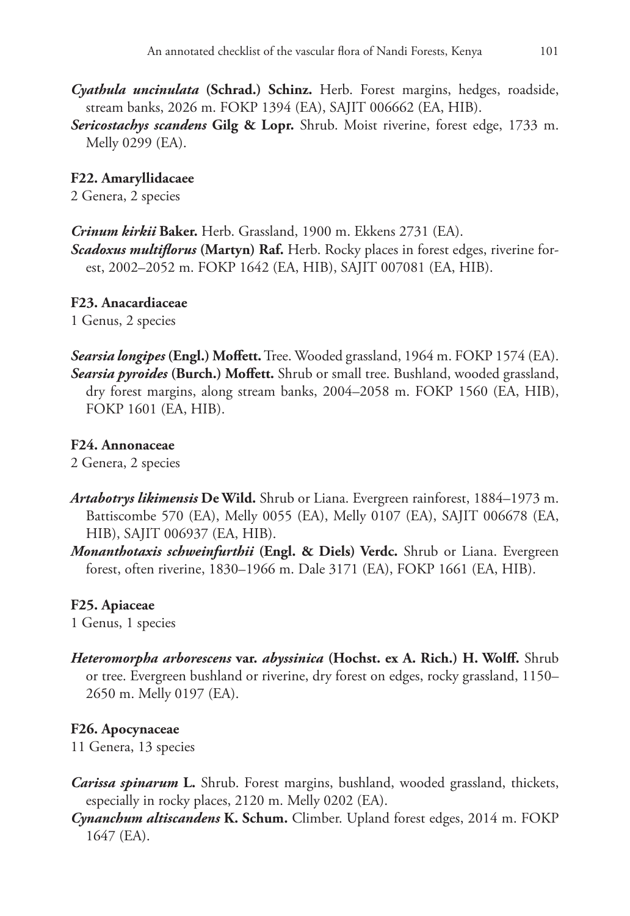*Cyathula uncinulata* **(Schrad.) Schinz.** Herb. Forest margins, hedges, roadside, stream banks, 2026 m. FOKP 1394 (EA), SAJIT 006662 (EA, HIB).

*Sericostachys scandens* **Gilg & Lopr.** Shrub. Moist riverine, forest edge, 1733 m. Melly 0299 (EA).

## **F22. Amaryllidacaee**

2 Genera, 2 species

*Crinum kirkii* **Baker.** Herb. Grassland, 1900 m. Ekkens 2731 (EA).

*Scadoxus multiflorus* **(Martyn) Raf.** Herb. Rocky places in forest edges, riverine forest, 2002–2052 m. FOKP 1642 (EA, HIB), SAJIT 007081 (EA, HIB).

### **F23. Anacardiaceae**

1 Genus, 2 species

*Searsia longipes* **(Engl.) Moffett.** Tree. Wooded grassland, 1964 m. FOKP 1574 (EA). *Searsia pyroides* **(Burch.) Moffett.** Shrub or small tree. Bushland, wooded grassland, dry forest margins, along stream banks, 2004–2058 m. FOKP 1560 (EA, HIB), FOKP 1601 (EA, HIB).

### **F24. Annonaceae**

2 Genera, 2 species

- *Artabotrys likimensis* **De Wild.** Shrub or Liana. Evergreen rainforest, 1884–1973 m. Battiscombe 570 (EA), Melly 0055 (EA), Melly 0107 (EA), SAJIT 006678 (EA, HIB), SAJIT 006937 (EA, HIB).
- *Monanthotaxis schweinfurthii* **(Engl. & Diels) Verdc.** Shrub or Liana. Evergreen forest, often riverine, 1830–1966 m. Dale 3171 (EA), FOKP 1661 (EA, HIB).

## **F25. Apiaceae**

1 Genus, 1 species

*Heteromorpha arborescens* **var.** *abyssinica* **(Hochst. ex A. Rich.) H. Wolff.** Shrub or tree. Evergreen bushland or riverine, dry forest on edges, rocky grassland, 1150– 2650 m. Melly 0197 (EA).

## **F26. Apocynaceae**

11 Genera, 13 species

- *Carissa spinarum* **L.** Shrub. Forest margins, bushland, wooded grassland, thickets, especially in rocky places, 2120 m. Melly 0202 (EA).
- *Cynanchum altiscandens* **K. Schum.** Climber. Upland forest edges, 2014 m. FOKP 1647 (EA).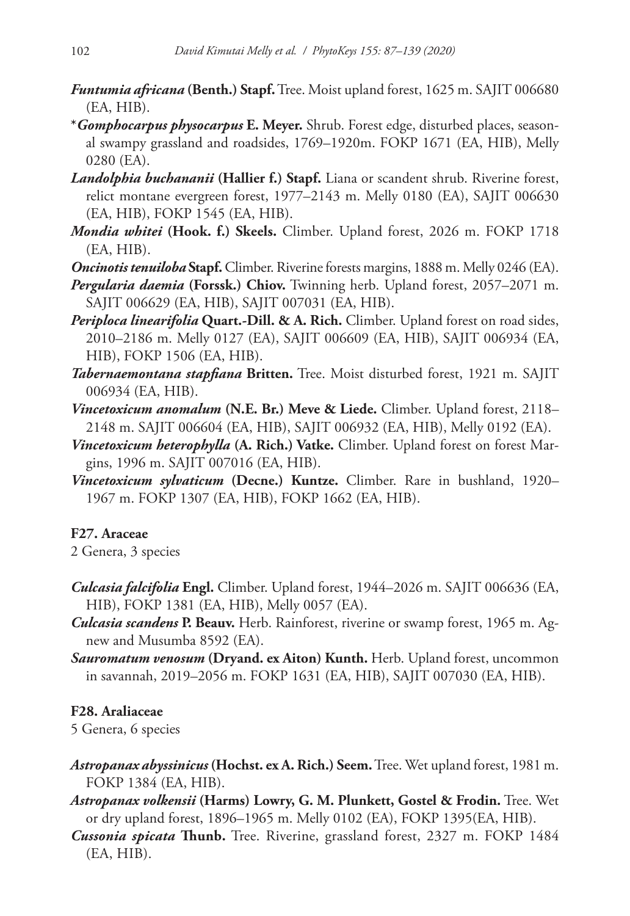- *Funtumia africana* **(Benth.) Stapf.** Tree. Moist upland forest, 1625 m. SAJIT 006680 (EA, HIB).
- **\****Gomphocarpus physocarpus* **E. Meyer.** Shrub. Forest edge, disturbed places, seasonal swampy grassland and roadsides, 1769–1920m. FOKP 1671 (EA, HIB), Melly 0280 (EA).
- *Landolphia buchananii* **(Hallier f.) Stapf.** Liana or scandent shrub. Riverine forest, relict montane evergreen forest, 1977–2143 m. Melly 0180 (EA), SAJIT 006630 (EA, HIB), FOKP 1545 (EA, HIB).
- *Mondia whitei* **(Hook. f.) Skeels.** Climber. Upland forest, 2026 m. FOKP 1718 (EA, HIB).
- *Oncinotis tenuiloba* **Stapf.** Climber. Riverine forests margins, 1888 m. Melly 0246 (EA).
- *Pergularia daemia* **(Forssk.) Chiov.** Twinning herb. Upland forest, 2057–2071 m. SAJIT 006629 (EA, HIB), SAJIT 007031 (EA, HIB).
- *Periploca linearifolia* **Quart.-Dill. & A. Rich.** Climber. Upland forest on road sides, 2010–2186 m. Melly 0127 (EA), SAJIT 006609 (EA, HIB), SAJIT 006934 (EA, HIB), FOKP 1506 (EA, HIB).
- *Tabernaemontana stapfiana* **Britten.** Tree. Moist disturbed forest, 1921 m. SAJIT 006934 (EA, HIB).
- *Vincetoxicum anomalum* **(N.E. Br.) Meve & Liede.** Climber. Upland forest, 2118– 2148 m. SAJIT 006604 (EA, HIB), SAJIT 006932 (EA, HIB), Melly 0192 (EA).
- *Vincetoxicum heterophylla* **(A. Rich.) Vatke.** Climber. Upland forest on forest Margins, 1996 m. SAJIT 007016 (EA, HIB).
- *Vincetoxicum sylvaticum* **(Decne.) Kuntze.** Climber. Rare in bushland, 1920– 1967 m. FOKP 1307 (EA, HIB), FOKP 1662 (EA, HIB).

# **F27. Araceae**

2 Genera, 3 species

- *Culcasia falcifolia* **Engl.** Climber. Upland forest, 1944–2026 m. SAJIT 006636 (EA, HIB), FOKP 1381 (EA, HIB), Melly 0057 (EA).
- *Culcasia scandens* **P. Beauv.** Herb. Rainforest, riverine or swamp forest, 1965 m. Agnew and Musumba 8592 (EA).
- *Sauromatum venosum* **(Dryand. ex Aiton) Kunth.** Herb. Upland forest, uncommon in savannah, 2019–2056 m. FOKP 1631 (EA, HIB), SAJIT 007030 (EA, HIB).

# **F28. Araliaceae**

5 Genera, 6 species

- *Astropanax abyssinicus* **(Hochst. ex A. Rich.) Seem.** Tree. Wet upland forest, 1981 m. FOKP 1384 (EA, HIB).
- *Astropanax volkensii* **(Harms) Lowry, G. M. Plunkett, Gostel & Frodin.** Tree. Wet or dry upland forest, 1896–1965 m. Melly 0102 (EA), FOKP 1395(EA, HIB).
- *Cussonia spicata* **Thunb.** Tree. Riverine, grassland forest, 2327 m. FOKP 1484 (EA, HIB).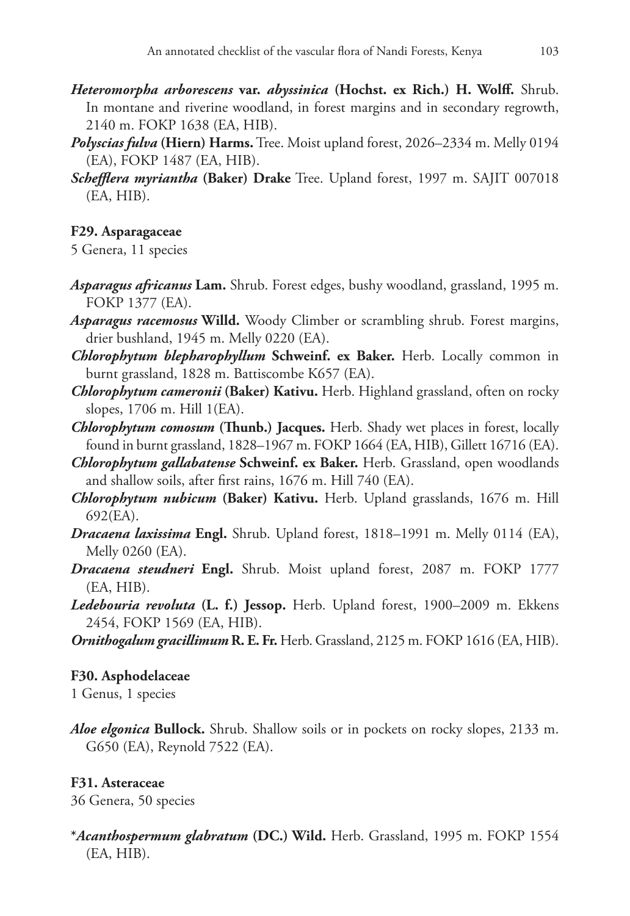- *Heteromorpha arborescens* **var.** *abyssinica* **(Hochst. ex Rich.) H. Wolff.** Shrub. In montane and riverine woodland, in forest margins and in secondary regrowth, 2140 m. FOKP 1638 (EA, HIB).
- *Polyscias fulva* **(Hiern) Harms.** Tree. Moist upland forest, 2026–2334 m. Melly 0194 (EA), FOKP 1487 (EA, HIB).
- *Schefflera myriantha* **(Baker) Drake** Tree. Upland forest, 1997 m. SAJIT 007018 (EA, HIB).

# **F29. Asparagaceae**

5 Genera, 11 species

- *Asparagus africanus* **Lam.** Shrub. Forest edges, bushy woodland, grassland, 1995 m. FOKP 1377 (EA).
- *Asparagus racemosus* **Willd.** Woody Climber or scrambling shrub. Forest margins, drier bushland, 1945 m. Melly 0220 (EA).
- *Chlorophytum blepharophyllum* **Schweinf. ex Baker.** Herb. Locally common in burnt grassland, 1828 m. Battiscombe K657 (EA).
- *Chlorophytum cameronii* **(Baker) Kativu.** Herb. Highland grassland, often on rocky slopes, 1706 m. Hill 1(EA).
- *Chlorophytum comosum* **(Thunb.) Jacques.** Herb. Shady wet places in forest, locally found in burnt grassland, 1828–1967 m. FOKP 1664 (EA, HIB), Gillett 16716 (EA).
- *Chlorophytum gallabatense* **Schweinf. ex Baker.** Herb. Grassland, open woodlands and shallow soils, after first rains, 1676 m. Hill 740 (EA).
- *Chlorophytum nubicum* **(Baker) Kativu.** Herb. Upland grasslands, 1676 m. Hill 692(EA).
- *Dracaena laxissima* **Engl.** Shrub. Upland forest, 1818–1991 m. Melly 0114 (EA), Melly 0260 (EA).
- *Dracaena steudneri* **Engl.** Shrub. Moist upland forest, 2087 m. FOKP 1777 (EA, HIB).
- *Ledebouria revoluta* **(L. f.) Jessop.** Herb. Upland forest, 1900–2009 m. Ekkens 2454, FOKP 1569 (EA, HIB).
- *Ornithogalum gracillimum* **R. E. Fr.** Herb. Grassland, 2125 m. FOKP 1616 (EA, HIB).

## **F30. Asphodelaceae**

1 Genus, 1 species

*Aloe elgonica* **Bullock.** Shrub. Shallow soils or in pockets on rocky slopes, 2133 m. G650 (EA), Reynold 7522 (EA).

# **F31. Asteraceae**

36 Genera, 50 species

**\****Acanthospermum glabratum* **(DC.) Wild.** Herb. Grassland, 1995 m. FOKP 1554 (EA, HIB).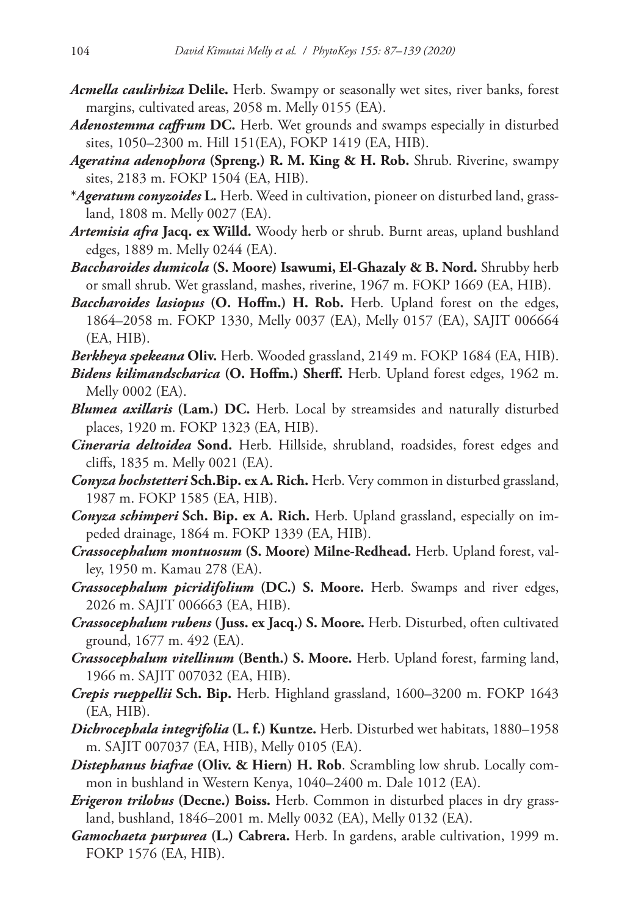- *Acmella caulirhiza* **Delile.** Herb. Swampy or seasonally wet sites, river banks, forest margins, cultivated areas, 2058 m. Melly 0155 (EA).
- *Adenostemma caffrum* **DC.** Herb. Wet grounds and swamps especially in disturbed sites, 1050–2300 m. Hill 151(EA), FOKP 1419 (EA, HIB).
- *Ageratina adenophora* **(Spreng.) R. M. King & H. Rob.** Shrub. Riverine, swampy sites, 2183 m. FOKP 1504 (EA, HIB).
- **\****Ageratum conyzoides* **L.** Herb. Weed in cultivation, pioneer on disturbed land, grassland, 1808 m. Melly 0027 (EA).
- *Artemisia afra* **Jacq. ex Willd.** Woody herb or shrub. Burnt areas, upland bushland edges, 1889 m. Melly 0244 (EA).
- *Baccharoides dumicola* **(S. Moore) Isawumi, El-Ghazaly & B. Nord.** Shrubby herb or small shrub. Wet grassland, mashes, riverine, 1967 m. FOKP 1669 (EA, HIB).
- *Baccharoides lasiopus* **(O. Hoffm.) H. Rob.** Herb. Upland forest on the edges, 1864–2058 m. FOKP 1330, Melly 0037 (EA), Melly 0157 (EA), SAJIT 006664 (EA, HIB).

*Berkheya spekeana* **Oliv.** Herb. Wooded grassland, 2149 m. FOKP 1684 (EA, HIB).

- *Bidens kilimandscharica* **(O. Hoffm.) Sherff.** Herb. Upland forest edges, 1962 m. Melly 0002 (EA).
- *Blumea axillaris* **(Lam.) DC.** Herb. Local by streamsides and naturally disturbed places, 1920 m. FOKP 1323 (EA, HIB).
- *Cineraria deltoidea* **Sond.** Herb. Hillside, shrubland, roadsides, forest edges and cliffs, 1835 m. Melly 0021 (EA).
- *Conyza hochstetteri* **Sch.Bip. ex A. Rich.** Herb. Very common in disturbed grassland, 1987 m. FOKP 1585 (EA, HIB).
- *Conyza schimperi* **Sch. Bip. ex A. Rich.** Herb. Upland grassland, especially on impeded drainage, 1864 m. FOKP 1339 (EA, HIB).
- *Crassocephalum montuosum* **(S. Moore) Milne-Redhead.** Herb. Upland forest, valley, 1950 m. Kamau 278 (EA).
- *Crassocephalum picridifolium* **(DC.) S. Moore.** Herb. Swamps and river edges, 2026 m. SAJIT 006663 (EA, HIB).
- *Crassocephalum rubens* **(Juss. ex Jacq.) S. Moore.** Herb. Disturbed, often cultivated ground, 1677 m. 492 (EA).
- *Crassocephalum vitellinum* **(Benth.) S. Moore.** Herb. Upland forest, farming land, 1966 m. SAJIT 007032 (EA, HIB).
- *Crepis rueppellii* **Sch. Bip.** Herb. Highland grassland, 1600–3200 m. FOKP 1643 (EA, HIB).
- *Dichrocephala integrifolia* **(L. f.) Kuntze.** Herb. Disturbed wet habitats, 1880–1958 m. SAJIT 007037 (EA, HIB), Melly 0105 (EA).
- *Distephanus biafrae* **(Oliv. & Hiern) H. Rob**. Scrambling low shrub. Locally common in bushland in Western Kenya, 1040–2400 m. Dale 1012 (EA).
- *Erigeron trilobus* **(Decne.) Boiss.** Herb. Common in disturbed places in dry grassland, bushland, 1846–2001 m. Melly 0032 (EA), Melly 0132 (EA).
- *Gamochaeta purpurea* **(L.) Cabrera.** Herb. In gardens, arable cultivation, 1999 m. FOKP 1576 (EA, HIB).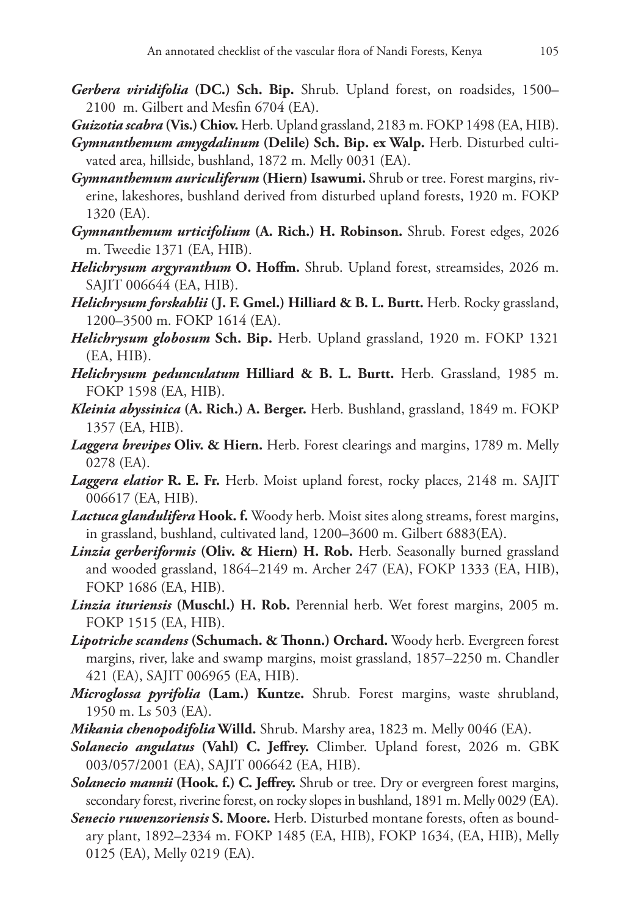- *Gerbera viridifolia* **(DC.) Sch. Bip.** Shrub. Upland forest, on roadsides, 1500– 2100 m. Gilbert and Mesfin 6704 (EA).
- *Guizotia scabra* **(Vis.) Chiov.** Herb. Upland grassland, 2183 m. FOKP 1498 (EA, HIB).
- *Gymnanthemum amygdalinum* **(Delile) Sch. Bip. ex Walp.** Herb. Disturbed cultivated area, hillside, bushland, 1872 m. Melly 0031 (EA).
- *Gymnanthemum auriculiferum* **(Hiern) Isawumi.** Shrub or tree. Forest margins, riverine, lakeshores, bushland derived from disturbed upland forests, 1920 m. FOKP 1320 (EA).
- *Gymnanthemum urticifolium* **(A. Rich.) H. Robinson.** Shrub. Forest edges, 2026 m. Tweedie 1371 (EA, HIB).
- *Helichrysum argyranthum* **O. Hoffm.** Shrub. Upland forest, streamsides, 2026 m. SAJIT 006644 (EA, HIB).
- *Helichrysum forskahlii* **(J. F. Gmel.) Hilliard & B. L. Burtt.** Herb. Rocky grassland, 1200–3500 m. FOKP 1614 (EA).
- *Helichrysum globosum* **Sch. Bip.** Herb. Upland grassland, 1920 m. FOKP 1321 (EA, HIB).
- *Helichrysum pedunculatum* **Hilliard & B. L. Burtt.** Herb. Grassland, 1985 m. FOKP 1598 (EA, HIB).
- *Kleinia abyssinica* **(A. Rich.) A. Berger.** Herb. Bushland, grassland, 1849 m. FOKP 1357 (EA, HIB).
- *Laggera brevipes* **Oliv. & Hiern.** Herb. Forest clearings and margins, 1789 m. Melly 0278 (EA).
- *Laggera elatior* **R. E. Fr.** Herb. Moist upland forest, rocky places, 2148 m. SAJIT 006617 (EA, HIB).
- *Lactuca glandulifera* **Hook. f.** Woody herb. Moist sites along streams, forest margins, in grassland, bushland, cultivated land, 1200–3600 m. Gilbert 6883(EA).
- *Linzia gerberiformis* **(Oliv. & Hiern) H. Rob.** Herb. Seasonally burned grassland and wooded grassland, 1864–2149 m. Archer 247 (EA), FOKP 1333 (EA, HIB), FOKP 1686 (EA, HIB).
- *Linzia ituriensis* **(Muschl.) H. Rob.** Perennial herb. Wet forest margins, 2005 m. FOKP 1515 (EA, HIB).
- *Lipotriche scandens* **(Schumach. & Thonn.) Orchard.** Woody herb. Evergreen forest margins, river, lake and swamp margins, moist grassland, 1857–2250 m. Chandler 421 (EA), SAJIT 006965 (EA, HIB).
- *Microglossa pyrifolia* **(Lam.) Kuntze.** Shrub. Forest margins, waste shrubland, 1950 m. Ls 503 (EA).
- *Mikania chenopodifolia* **Willd.** Shrub. Marshy area, 1823 m. Melly 0046 (EA).
- *Solanecio angulatus* **(Vahl) C. Jeffrey.** Climber. Upland forest, 2026 m. GBK 003/057/2001 (EA), SAJIT 006642 (EA, HIB).
- *Solanecio mannii* **(Hook. f.) C. Jeffrey.** Shrub or tree. Dry or evergreen forest margins, secondary forest, riverine forest, on rocky slopes in bushland, 1891 m. Melly 0029 (EA).
- *Senecio ruwenzoriensis* **S. Moore.** Herb. Disturbed montane forests, often as boundary plant, 1892–2334 m. FOKP 1485 (EA, HIB), FOKP 1634, (EA, HIB), Melly 0125 (EA), Melly 0219 (EA).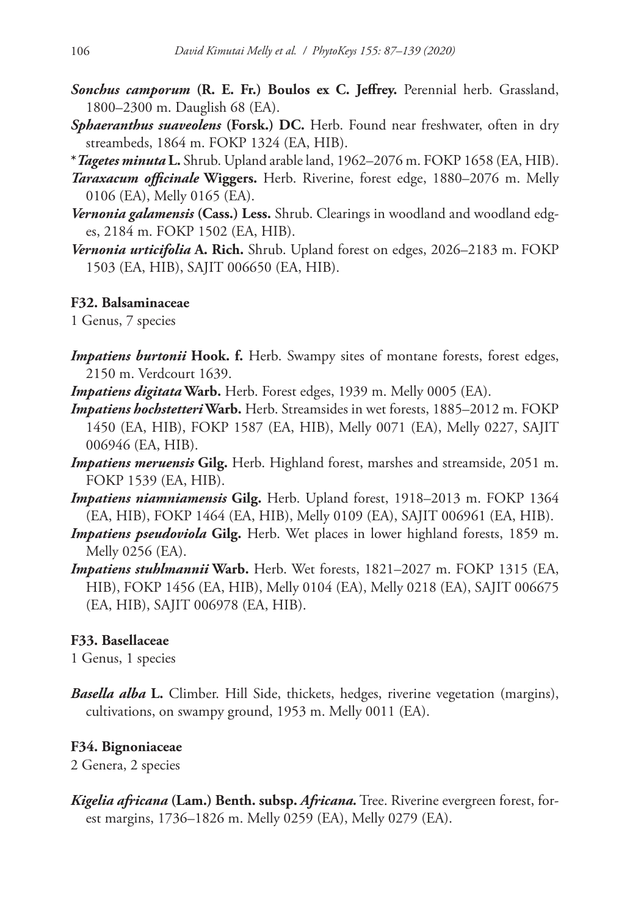- *Sonchus camporum* **(R. E. Fr.) Boulos ex C. Jeffrey.** Perennial herb. Grassland, 1800–2300 m. Dauglish 68 (EA).
- *Sphaeranthus suaveolens* **(Forsk.) DC.** Herb. Found near freshwater, often in dry streambeds, 1864 m. FOKP 1324 (EA, HIB).
- **\****Tagetes minuta* **L.** Shrub. Upland arable land, 1962–2076 m. FOKP 1658 (EA, HIB).
- *Taraxacum officinale* **Wiggers.** Herb. Riverine, forest edge, 1880–2076 m. Melly 0106 (EA), Melly 0165 (EA).
- *Vernonia galamensis* **(Cass.) Less.** Shrub. Clearings in woodland and woodland edges, 2184 m. FOKP 1502 (EA, HIB).
- *Vernonia urticifolia* **A. Rich.** Shrub. Upland forest on edges, 2026–2183 m. FOKP 1503 (EA, HIB), SAJIT 006650 (EA, HIB).

# **F32. Balsaminaceae**

1 Genus, 7 species

*Impatiens burtonii* **Hook. f.** Herb. Swampy sites of montane forests, forest edges, 2150 m. Verdcourt 1639.

*Impatiens digitata* **Warb.** Herb. Forest edges, 1939 m. Melly 0005 (EA).

- *Impatiens hochstetteri* **Warb.** Herb. Streamsides in wet forests, 1885–2012 m. FOKP 1450 (EA, HIB), FOKP 1587 (EA, HIB), Melly 0071 (EA), Melly 0227, SAJIT 006946 (EA, HIB).
- *Impatiens meruensis* **Gilg.** Herb. Highland forest, marshes and streamside, 2051 m. FOKP 1539 (EA, HIB).
- *Impatiens niamniamensis* **Gilg.** Herb. Upland forest, 1918–2013 m. FOKP 1364 (EA, HIB), FOKP 1464 (EA, HIB), Melly 0109 (EA), SAJIT 006961 (EA, HIB).
- *Impatiens pseudoviola* **Gilg.** Herb. Wet places in lower highland forests, 1859 m. Melly 0256 (EA).
- *Impatiens stuhlmannii* **Warb.** Herb. Wet forests, 1821–2027 m. FOKP 1315 (EA, HIB), FOKP 1456 (EA, HIB), Melly 0104 (EA), Melly 0218 (EA), SAJIT 006675 (EA, HIB), SAJIT 006978 (EA, HIB).

# **F33. Basellaceae**

1 Genus, 1 species

*Basella alba* **L.** Climber. Hill Side, thickets, hedges, riverine vegetation (margins), cultivations, on swampy ground, 1953 m. Melly 0011 (EA).

# **F34. Bignoniaceae**

2 Genera, 2 species

*Kigelia africana* **(Lam.) Benth. subsp.** *Africana.* Tree. Riverine evergreen forest, forest margins, 1736–1826 m. Melly 0259 (EA), Melly 0279 (EA).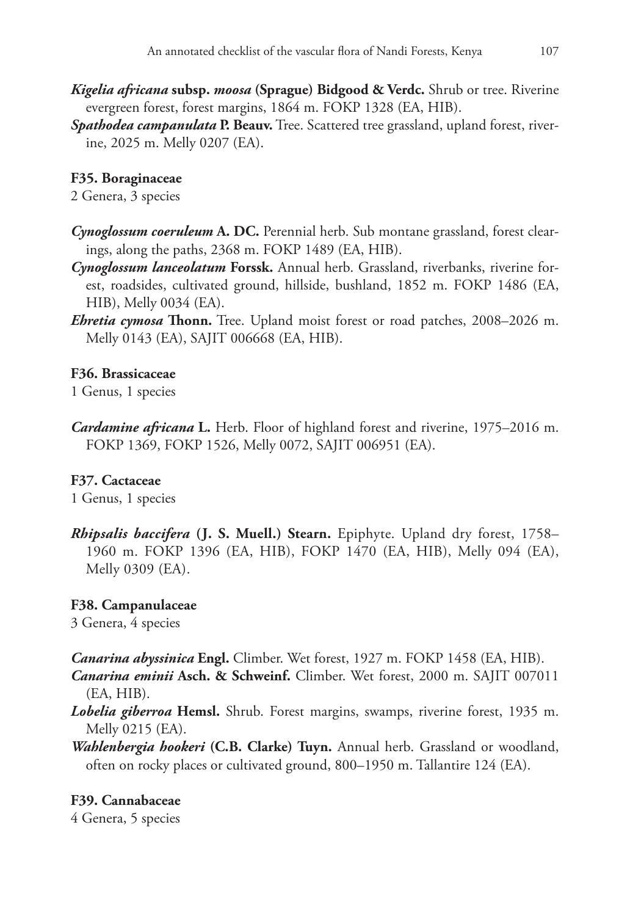- *Kigelia africana* **subsp.** *moosa* **(Sprague) Bidgood & Verdc.** Shrub or tree. Riverine evergreen forest, forest margins, 1864 m. FOKP 1328 (EA, HIB).
- *Spathodea campanulata* **P. Beauv.** Tree. Scattered tree grassland, upland forest, riverine, 2025 m. Melly 0207 (EA).

### **F35. Boraginaceae**

2 Genera, 3 species

- *Cynoglossum coeruleum* **A. DC.** Perennial herb. Sub montane grassland, forest clearings, along the paths, 2368 m. FOKP 1489 (EA, HIB).
- *Cynoglossum lanceolatum* **Forssk.** Annual herb. Grassland, riverbanks, riverine forest, roadsides, cultivated ground, hillside, bushland, 1852 m. FOKP 1486 (EA, HIB), Melly 0034 (EA).
- *Ehretia cymosa* **Thonn.** Tree. Upland moist forest or road patches, 2008–2026 m. Melly 0143 (EA), SAJIT 006668 (EA, HIB).

### **F36. Brassicaceae**

1 Genus, 1 species

*Cardamine africana* **L.** Herb. Floor of highland forest and riverine, 1975–2016 m. FOKP 1369, FOKP 1526, Melly 0072, SAJIT 006951 (EA).

### **F37. Cactaceae**

1 Genus, 1 species

*Rhipsalis baccifera* **(J. S. Muell.) Stearn.** Epiphyte. Upland dry forest, 1758– 1960 m. FOKP 1396 (EA, HIB), FOKP 1470 (EA, HIB), Melly 094 (EA), Melly 0309 (EA).

#### **F38. Campanulaceae**

3 Genera, 4 species

*Canarina abyssinica* **Engl.** Climber. Wet forest, 1927 m. FOKP 1458 (EA, HIB).

*Canarina eminii* **Asch. & Schweinf.** Climber. Wet forest, 2000 m. SAJIT 007011 (EA, HIB).

- *Lobelia giberroa* **Hemsl.** Shrub. Forest margins, swamps, riverine forest, 1935 m. Melly 0215 (EA).
- *Wahlenbergia hookeri* **(C.B. Clarke) Tuyn.** Annual herb. Grassland or woodland, often on rocky places or cultivated ground, 800–1950 m. Tallantire 124 (EA).

### **F39. Cannabaceae**

4 Genera, 5 species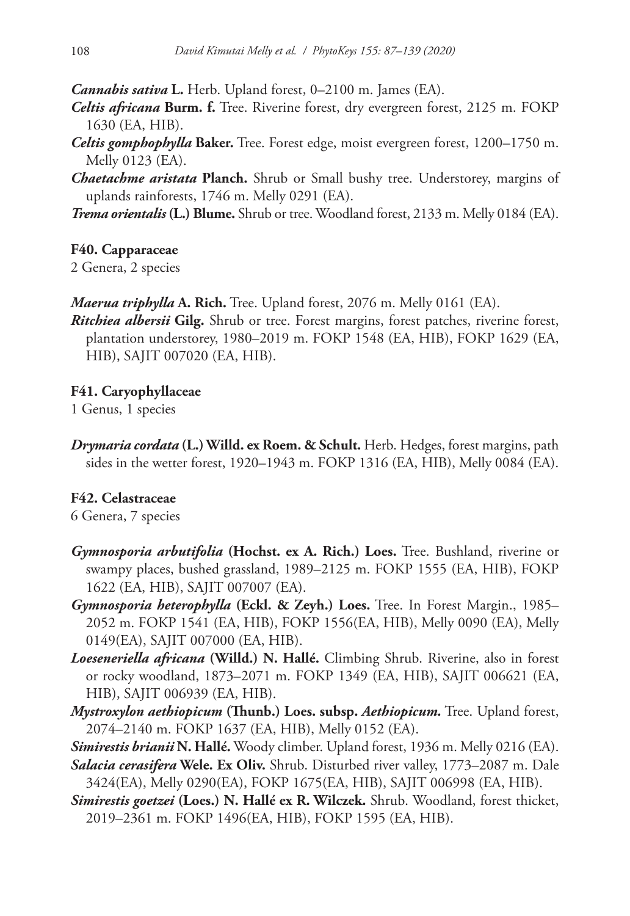*Cannabis sativa* **L.** Herb. Upland forest, 0–2100 m. James (EA).

- *Celtis africana* **Burm. f.** Tree. Riverine forest, dry evergreen forest, 2125 m. FOKP 1630 (EA, HIB).
- *Celtis gomphophylla* **Baker.** Tree. Forest edge, moist evergreen forest, 1200–1750 m. Melly 0123 (EA).
- *Chaetachme aristata* **Planch.** Shrub or Small bushy tree. Understorey, margins of uplands rainforests, 1746 m. Melly 0291 (EA).
- *Trema orientalis* **(L.) Blume.** Shrub or tree. Woodland forest, 2133 m. Melly 0184 (EA).

## **F40. Capparaceae**

2 Genera, 2 species

*Maerua triphylla* **A. Rich.** Tree. Upland forest, 2076 m. Melly 0161 (EA).

*Ritchiea albersii* **Gilg.** Shrub or tree. Forest margins, forest patches, riverine forest, plantation understorey, 1980–2019 m. FOKP 1548 (EA, HIB), FOKP 1629 (EA, HIB), SAJIT 007020 (EA, HIB).

# **F41. Caryophyllaceae**

1 Genus, 1 species

*Drymaria cordata* **(L.) Willd. ex Roem. & Schult.** Herb. Hedges, forest margins, path sides in the wetter forest, 1920–1943 m. FOKP 1316 (EA, HIB), Melly 0084 (EA).

# **F42. Celastraceae**

6 Genera, 7 species

- *Gymnosporia arbutifolia* **(Hochst. ex A. Rich.) Loes.** Tree. Bushland, riverine or swampy places, bushed grassland, 1989–2125 m. FOKP 1555 (EA, HIB), FOKP 1622 (EA, HIB), SAJIT 007007 (EA).
- *Gymnosporia heterophylla* **(Eckl. & Zeyh.) Loes.** Tree. In Forest Margin., 1985– 2052 m. FOKP 1541 (EA, HIB), FOKP 1556(EA, HIB), Melly 0090 (EA), Melly 0149(EA), SAJIT 007000 (EA, HIB).
- *Loeseneriella africana* **(Willd.) N. Hallé.** Climbing Shrub. Riverine, also in forest or rocky woodland, 1873–2071 m. FOKP 1349 (EA, HIB), SAJIT 006621 (EA, HIB), SAJIT 006939 (EA, HIB).
- *Mystroxylon aethiopicum* **(Thunb.) Loes. subsp.** *Aethiopicum.* Tree. Upland forest, 2074–2140 m. FOKP 1637 (EA, HIB), Melly 0152 (EA).
- *Simirestis brianii* **N. Hallé.** Woody climber. Upland forest, 1936 m. Melly 0216 (EA).
- *Salacia cerasifera* **Wele. Ex Oliv.** Shrub. Disturbed river valley, 1773–2087 m. Dale 3424(EA), Melly 0290(EA), FOKP 1675(EA, HIB), SAJIT 006998 (EA, HIB).
- *Simirestis goetzei* **(Loes.) N. Hallé ex R. Wilczek.** Shrub. Woodland, forest thicket, 2019–2361 m. FOKP 1496(EA, HIB), FOKP 1595 (EA, HIB).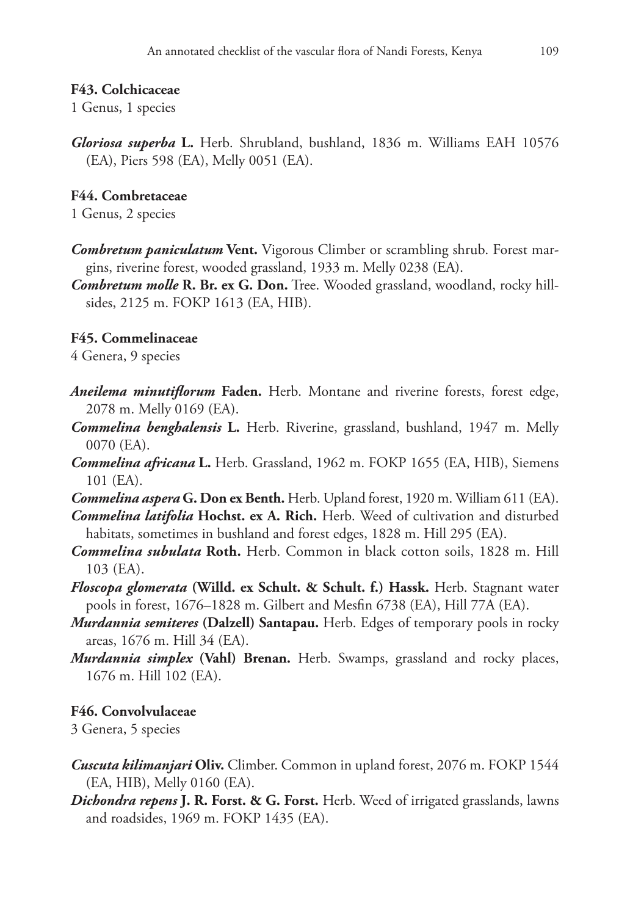## **F43. Colchicaceae**

1 Genus, 1 species

*Gloriosa superba* **L.** Herb. Shrubland, bushland, 1836 m. Williams EAH 10576 (EA), Piers 598 (EA), Melly 0051 (EA).

# **F44. Combretaceae**

1 Genus, 2 species

- *Combretum paniculatum* **Vent.** Vigorous Climber or scrambling shrub. Forest margins, riverine forest, wooded grassland, 1933 m. Melly 0238 (EA).
- *Combretum molle* **R. Br. ex G. Don.** Tree. Wooded grassland, woodland, rocky hillsides, 2125 m. FOKP 1613 (EA, HIB).

# **F45. Commelinaceae**

4 Genera, 9 species

- *Aneilema minutiflorum* **Faden.** Herb. Montane and riverine forests, forest edge, 2078 m. Melly 0169 (EA).
- *Commelina benghalensis* **L.** Herb. Riverine, grassland, bushland, 1947 m. Melly 0070 (EA).
- *Commelina africana* **L.** Herb. Grassland, 1962 m. FOKP 1655 (EA, HIB), Siemens 101 (EA).
- *Commelina aspera* **G. Don ex Benth.** Herb. Upland forest, 1920 m. William 611 (EA).
- *Commelina latifolia* **Hochst. ex A. Rich.** Herb. Weed of cultivation and disturbed habitats, sometimes in bushland and forest edges, 1828 m. Hill 295 (EA).
- *Commelina subulata* **Roth.** Herb. Common in black cotton soils, 1828 m. Hill 103 (EA).
- *Floscopa glomerata* **(Willd. ex Schult. & Schult. f.) Hassk.** Herb. Stagnant water pools in forest, 1676–1828 m. Gilbert and Mesfin 6738 (EA), Hill 77A (EA).
- *Murdannia semiteres* **(Dalzell) Santapau.** Herb. Edges of temporary pools in rocky areas, 1676 m. Hill 34 (EA).
- *Murdannia simplex* **(Vahl) Brenan.** Herb. Swamps, grassland and rocky places, 1676 m. Hill 102 (EA).

# **F46. Convolvulaceae**

3 Genera, 5 species

- *Cuscuta kilimanjari* **Oliv.** Climber. Common in upland forest, 2076 m. FOKP 1544 (EA, HIB), Melly 0160 (EA).
- *Dichondra repens* **J. R. Forst. & G. Forst.** Herb. Weed of irrigated grasslands, lawns and roadsides, 1969 m. FOKP 1435 (EA).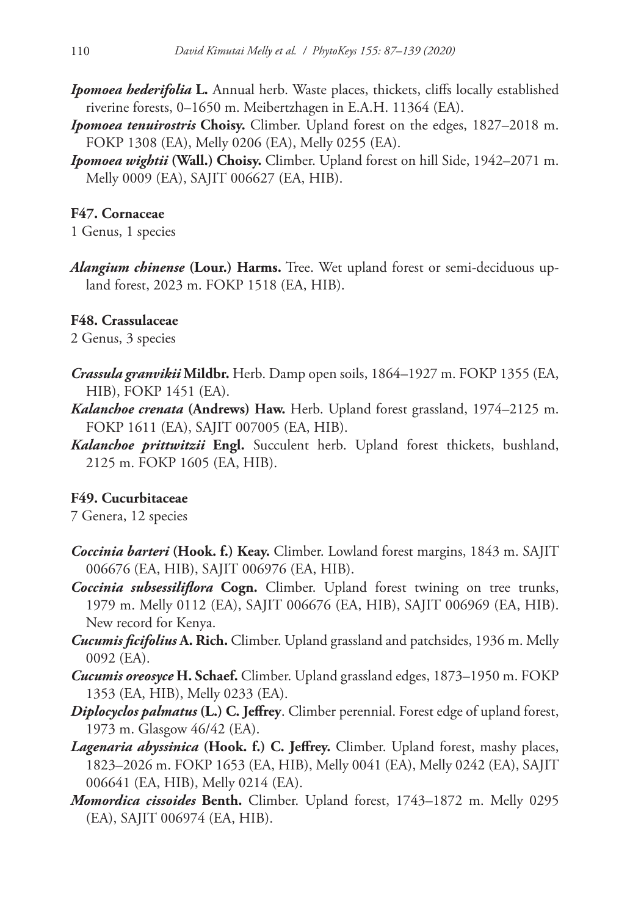- *Ipomoea hederifolia* **L.** Annual herb. Waste places, thickets, cliffs locally established riverine forests, 0–1650 m. Meibertzhagen in E.A.H. 11364 (EA).
- *Ipomoea tenuirostris* **Choisy.** Climber. Upland forest on the edges, 1827–2018 m. FOKP 1308 (EA), Melly 0206 (EA), Melly 0255 (EA).
- *Ipomoea wightii* **(Wall.) Choisy.** Climber. Upland forest on hill Side, 1942–2071 m. Melly 0009 (EA), SAJIT 006627 (EA, HIB).

## **F47. Cornaceae**

1 Genus, 1 species

*Alangium chinense* **(Lour.) Harms.** Tree. Wet upland forest or semi-deciduous upland forest, 2023 m. FOKP 1518 (EA, HIB).

# **F48. Crassulaceae**

2 Genus, 3 species

- *Crassula granvikii* **Mildbr.** Herb. Damp open soils, 1864–1927 m. FOKP 1355 (EA, HIB), FOKP 1451 (EA).
- *Kalanchoe crenata* **(Andrews) Haw.** Herb. Upland forest grassland, 1974–2125 m. FOKP 1611 (EA), SAJIT 007005 (EA, HIB).
- *Kalanchoe prittwitzii* **Engl.** Succulent herb. Upland forest thickets, bushland, 2125 m. FOKP 1605 (EA, HIB).

# **F49. Cucurbitaceae**

7 Genera, 12 species

- *Coccinia barteri* **(Hook. f.) Keay.** Climber. Lowland forest margins, 1843 m. SAJIT 006676 (EA, HIB), SAJIT 006976 (EA, HIB).
- *Coccinia subsessiliflora* **Cogn.** Climber. Upland forest twining on tree trunks, 1979 m. Melly 0112 (EA), SAJIT 006676 (EA, HIB), SAJIT 006969 (EA, HIB). New record for Kenya.
- *Cucumis ficifolius* **A. Rich.** Climber. Upland grassland and patchsides, 1936 m. Melly 0092 (EA).
- *Cucumis oreosyce* **H. Schaef.** Climber. Upland grassland edges, 1873–1950 m. FOKP 1353 (EA, HIB), Melly 0233 (EA).
- *Diplocyclos palmatus* **(L.) C. Jeffrey**. Climber perennial. Forest edge of upland forest, 1973 m. Glasgow 46/42 (EA).
- *Lagenaria abyssinica* **(Hook. f.) C. Jeffrey.** Climber. Upland forest, mashy places, 1823–2026 m. FOKP 1653 (EA, HIB), Melly 0041 (EA), Melly 0242 (EA), SAJIT 006641 (EA, HIB), Melly 0214 (EA).
- *Momordica cissoides* **Benth.** Climber. Upland forest, 1743–1872 m. Melly 0295 (EA), SAJIT 006974 (EA, HIB).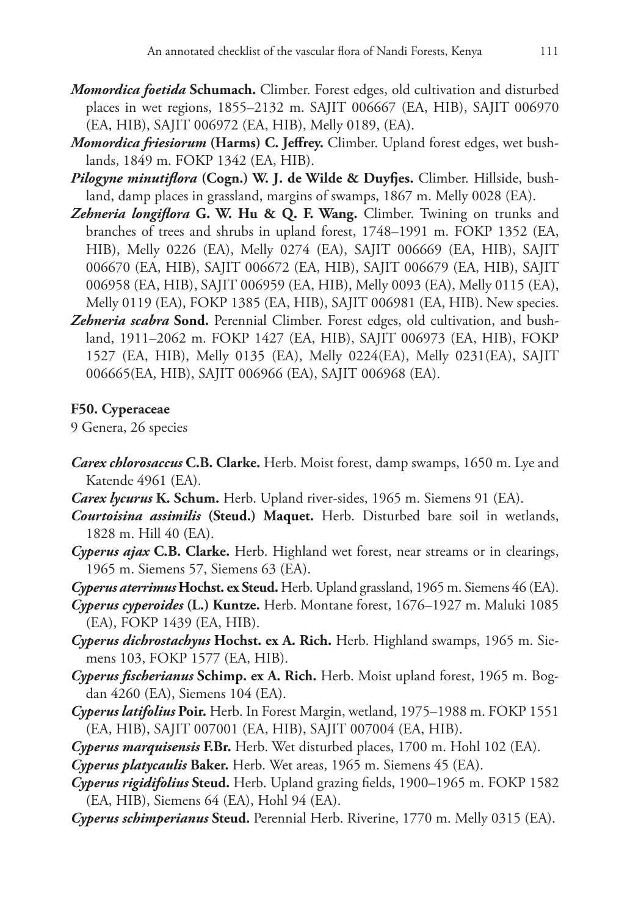- *Momordica foetida* **Schumach.** Climber. Forest edges, old cultivation and disturbed places in wet regions, 1855–2132 m. SAJIT 006667 (EA, HIB), SAJIT 006970 (EA, HIB), SAJIT 006972 (EA, HIB), Melly 0189, (EA).
- *Momordica friesiorum* **(Harms) C. Jeffrey.** Climber. Upland forest edges, wet bushlands, 1849 m. FOKP 1342 (EA, HIB).
- *Pilogyne minutiflora* **(Cogn.) W. J. de Wilde & Duyfjes.** Climber. Hillside, bushland, damp places in grassland, margins of swamps, 1867 m. Melly 0028 (EA).
- *Zehneria longiflora* **G. W. Hu & Q. F. Wang.** Climber. Twining on trunks and branches of trees and shrubs in upland forest, 1748–1991 m. FOKP 1352 (EA, HIB), Melly 0226 (EA), Melly 0274 (EA), SAJIT 006669 (EA, HIB), SAJIT 006670 (EA, HIB), SAJIT 006672 (EA, HIB), SAJIT 006679 (EA, HIB), SAJIT 006958 (EA, HIB), SAJIT 006959 (EA, HIB), Melly 0093 (EA), Melly 0115 (EA), Melly 0119 (EA), FOKP 1385 (EA, HIB), SAJIT 006981 (EA, HIB). New species.
- *Zehneria scabra* **Sond.** Perennial Climber. Forest edges, old cultivation, and bushland, 1911–2062 m. FOKP 1427 (EA, HIB), SAJIT 006973 (EA, HIB), FOKP 1527 (EA, HIB), Melly 0135 (EA), Melly 0224(EA), Melly 0231(EA), SAJIT 006665(EA, HIB), SAJIT 006966 (EA), SAJIT 006968 (EA).

### **F50. Cyperaceae**

9 Genera, 26 species

- *Carex chlorosaccus* **C.B. Clarke.** Herb. Moist forest, damp swamps, 1650 m. Lye and Katende 4961 (EA).
- *Carex lycurus* **K. Schum.** Herb. Upland river-sides, 1965 m. Siemens 91 (EA).
- *Courtoisina assimilis* **(Steud.) Maquet.** Herb. Disturbed bare soil in wetlands, 1828 m. Hill 40 (EA).
- *Cyperus ajax* **C.B. Clarke.** Herb. Highland wet forest, near streams or in clearings, 1965 m. Siemens 57, Siemens 63 (EA).
- *Cyperus aterrimus* **Hochst. ex Steud.** Herb. Upland grassland, 1965 m. Siemens 46 (EA).
- *Cyperus cyperoides* **(L.) Kuntze.** Herb. Montane forest, 1676–1927 m. Maluki 1085 (EA), FOKP 1439 (EA, HIB).
- *Cyperus dichrostachyus* **Hochst. ex A. Rich.** Herb. Highland swamps, 1965 m. Siemens 103, FOKP 1577 (EA, HIB).
- *Cyperus fischerianus* **Schimp. ex A. Rich.** Herb. Moist upland forest, 1965 m. Bogdan 4260 (EA), Siemens 104 (EA).
- *Cyperus latifolius* **Poir.** Herb. In Forest Margin, wetland, 1975–1988 m. FOKP 1551 (EA, HIB), SAJIT 007001 (EA, HIB), SAJIT 007004 (EA, HIB).
- *Cyperus marquisensis* **F.Br.** Herb. Wet disturbed places, 1700 m. Hohl 102 (EA).

*Cyperus platycaulis* **Baker.** Herb. Wet areas, 1965 m. Siemens 45 (EA).

- *Cyperus rigidifolius* **Steud.** Herb. Upland grazing fields, 1900–1965 m. FOKP 1582 (EA, HIB), Siemens 64 (EA), Hohl 94 (EA).
- *Cyperus schimperianus* **Steud.** Perennial Herb. Riverine, 1770 m. Melly 0315 (EA).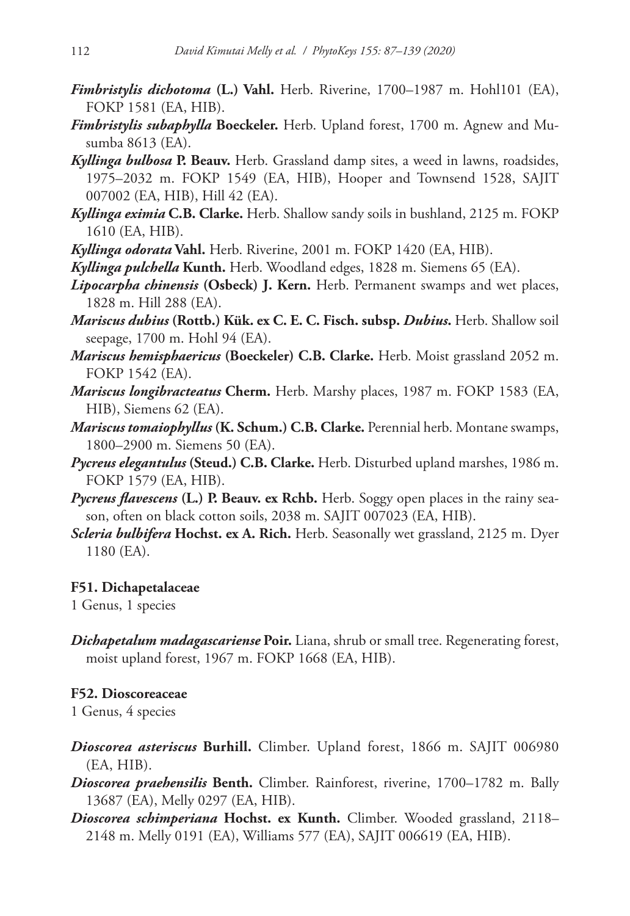- *Fimbristylis dichotoma* **(L.) Vahl.** Herb. Riverine, 1700–1987 m. Hohl101 (EA), FOKP 1581 (EA, HIB).
- *Fimbristylis subaphylla* **Boeckeler.** Herb. Upland forest, 1700 m. Agnew and Musumba 8613 (EA).
- *Kyllinga bulbosa* **P. Beauv.** Herb. Grassland damp sites, a weed in lawns, roadsides, 1975–2032 m. FOKP 1549 (EA, HIB), Hooper and Townsend 1528, SAJIT 007002 (EA, HIB), Hill 42 (EA).
- *Kyllinga eximia* **C.B. Clarke.** Herb. Shallow sandy soils in bushland, 2125 m. FOKP 1610 (EA, HIB).
- *Kyllinga odorata* **Vahl.** Herb. Riverine, 2001 m. FOKP 1420 (EA, HIB).
- *Kyllinga pulchella* **Kunth.** Herb. Woodland edges, 1828 m. Siemens 65 (EA).
- *Lipocarpha chinensis* **(Osbeck) J. Kern.** Herb. Permanent swamps and wet places, 1828 m. Hill 288 (EA).
- *Mariscus dubius* **(Rottb.) Kük. ex C. E. C. Fisch. subsp.** *Dubius***.** Herb. Shallow soil seepage, 1700 m. Hohl 94 (EA).
- *Mariscus hemisphaericus* **(Boeckeler) C.B. Clarke.** Herb. Moist grassland 2052 m. FOKP 1542 (EA).
- *Mariscus longibracteatus* **Cherm.** Herb. Marshy places, 1987 m. FOKP 1583 (EA, HIB), Siemens 62 (EA).
- *Mariscus tomaiophyllus* **(K. Schum.) C.B. Clarke.** Perennial herb. Montane swamps, 1800–2900 m. Siemens 50 (EA).
- *Pycreus elegantulus* **(Steud.) C.B. Clarke.** Herb. Disturbed upland marshes, 1986 m. FOKP 1579 (EA, HIB).
- *Pycreus flavescens* **(L.) P. Beauv. ex Rchb.** Herb. Soggy open places in the rainy season, often on black cotton soils, 2038 m. SAJIT 007023 (EA, HIB).
- *Scleria bulbifera* **Hochst. ex A. Rich.** Herb. Seasonally wet grassland, 2125 m. Dyer 1180 (EA).

### **F51. Dichapetalaceae**

1 Genus, 1 species

*Dichapetalum madagascariense* **Poir.** Liana, shrub or small tree. Regenerating forest, moist upland forest, 1967 m. FOKP 1668 (EA, HIB).

### **F52. Dioscoreaceae**

1 Genus, 4 species

- *Dioscorea asteriscus* **Burhill.** Climber. Upland forest, 1866 m. SAJIT 006980 (EA, HIB).
- *Dioscorea praehensilis* **Benth.** Climber. Rainforest, riverine, 1700–1782 m. Bally 13687 (EA), Melly 0297 (EA, HIB).
- *Dioscorea schimperiana* **Hochst. ex Kunth.** Climber. Wooded grassland, 2118– 2148 m. Melly 0191 (EA), Williams 577 (EA), SAJIT 006619 (EA, HIB).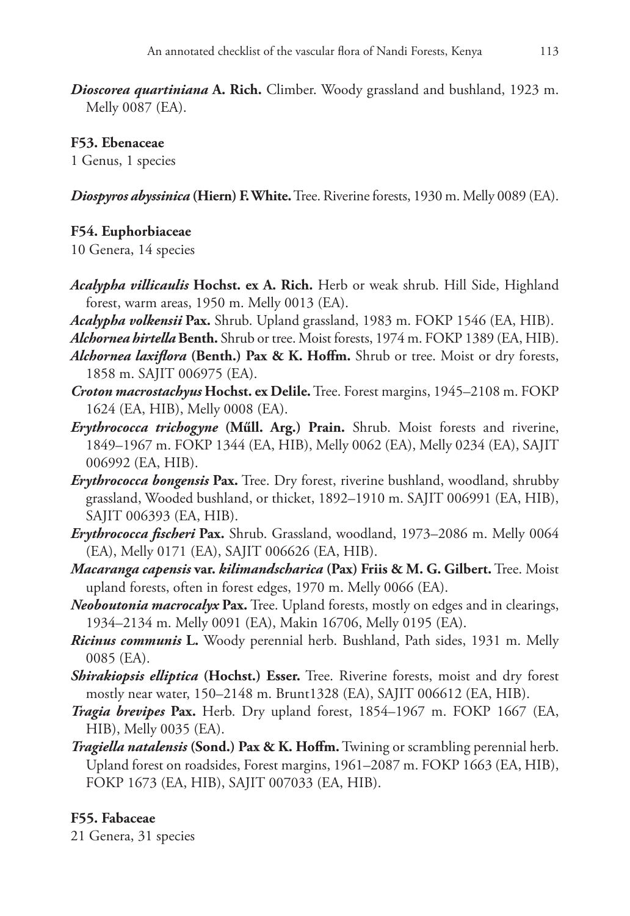*Dioscorea quartiniana* **A. Rich.** Climber. Woody grassland and bushland, 1923 m. Melly 0087 (EA).

### **F53. Ebenaceae**

1 Genus, 1 species

*Diospyros abyssinica* **(Hiern) F. White.** Tree. Riverine forests, 1930 m. Melly 0089 (EA).

## **F54. Euphorbiaceae**

10 Genera, 14 species

- *Acalypha villicaulis* **Hochst. ex A. Rich.** Herb or weak shrub. Hill Side, Highland forest, warm areas, 1950 m. Melly 0013 (EA).
- *Acalypha volkensii* **Pax.** Shrub. Upland grassland, 1983 m. FOKP 1546 (EA, HIB).
- *Alchornea hirtella* **Benth.** Shrub or tree. Moist forests, 1974 m. FOKP 1389 (EA, HIB).
- *Alchornea laxiflora* **(Benth.) Pax & K. Hoffm.** Shrub or tree. Moist or dry forests, 1858 m. SAJIT 006975 (EA).
- *Croton macrostachyus* **Hochst. ex Delile.** Tree. Forest margins, 1945–2108 m. FOKP 1624 (EA, HIB), Melly 0008 (EA).
- *Erythrococca trichogyne* **(Műll. Arg.) Prain.** Shrub. Moist forests and riverine, 1849–1967 m. FOKP 1344 (EA, HIB), Melly 0062 (EA), Melly 0234 (EA), SAJIT 006992 (EA, HIB).
- *Erythrococca bongensis* **Pax.** Tree. Dry forest, riverine bushland, woodland, shrubby grassland, Wooded bushland, or thicket, 1892–1910 m. SAJIT 006991 (EA, HIB), SAJIT 006393 (EA, HIB).
- *Erythrococca fischeri* **Pax.** Shrub. Grassland, woodland, 1973–2086 m. Melly 0064 (EA), Melly 0171 (EA), SAJIT 006626 (EA, HIB).
- *Macaranga capensis* **var.** *kilimandscharica* **(Pax) Friis & M. G. Gilbert.** Tree. Moist upland forests, often in forest edges, 1970 m. Melly 0066 (EA).
- *Neoboutonia macrocalyx* **Pax.** Tree. Upland forests, mostly on edges and in clearings, 1934–2134 m. Melly 0091 (EA), Makin 16706, Melly 0195 (EA).
- *Ricinus communis* **L.** Woody perennial herb. Bushland, Path sides, 1931 m. Melly 0085 (EA).
- *Shirakiopsis elliptica* **(Hochst.) Esser.** Tree. Riverine forests, moist and dry forest mostly near water, 150–2148 m. Brunt1328 (EA), SAJIT 006612 (EA, HIB).
- *Tragia brevipes* **Pax.** Herb. Dry upland forest, 1854–1967 m. FOKP 1667 (EA, HIB), Melly 0035 (EA).
- *Tragiella natalensis* **(Sond.) Pax & K. Hoffm.** Twining or scrambling perennial herb. Upland forest on roadsides, Forest margins, 1961–2087 m. FOKP 1663 (EA, HIB), FOKP 1673 (EA, HIB), SAJIT 007033 (EA, HIB).

## **F55. Fabaceae**

21 Genera, 31 species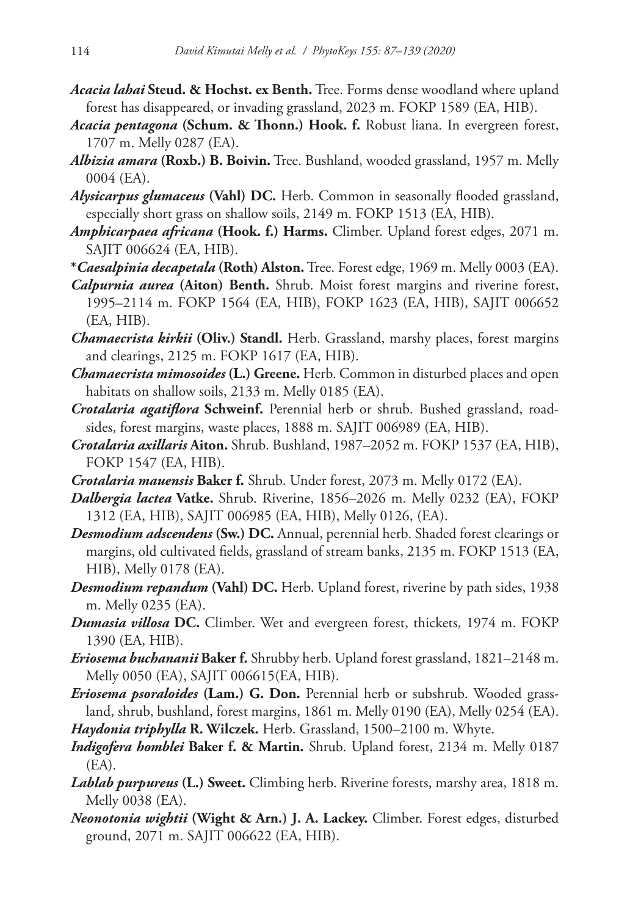- *Acacia lahai* **Steud. & Hochst. ex Benth.** Tree. Forms dense woodland where upland forest has disappeared, or invading grassland, 2023 m. FOKP 1589 (EA, HIB).
- *Acacia pentagona* **(Schum. & Thonn.) Hook. f.** Robust liana. In evergreen forest, 1707 m. Melly 0287 (EA).
- *Albizia amara* **(Roxb.) B. Boivin.** Tree. Bushland, wooded grassland, 1957 m. Melly 0004 (EA).
- *Alysicarpus glumaceus* **(Vahl) DC.** Herb. Common in seasonally flooded grassland, especially short grass on shallow soils, 2149 m. FOKP 1513 (EA, HIB).
- *Amphicarpaea africana* **(Hook. f.) Harms.** Climber. Upland forest edges, 2071 m. SAJIT 006624 (EA, HIB).
- **\****Caesalpinia decapetala* **(Roth) Alston.** Tree. Forest edge, 1969 m. Melly 0003 (EA).
- *Calpurnia aurea* **(Aiton) Benth.** Shrub. Moist forest margins and riverine forest, 1995–2114 m. FOKP 1564 (EA, HIB), FOKP 1623 (EA, HIB), SAJIT 006652 (EA, HIB).
- *Chamaecrista kirkii* **(Oliv.) Standl.** Herb. Grassland, marshy places, forest margins and clearings, 2125 m. FOKP 1617 (EA, HIB).
- *Chamaecrista mimosoides* **(L.) Greene.** Herb. Common in disturbed places and open habitats on shallow soils, 2133 m. Melly 0185 (EA).
- *Crotalaria agatiflora* **Schweinf.** Perennial herb or shrub. Bushed grassland, roadsides, forest margins, waste places, 1888 m. SAJIT 006989 (EA, HIB).
- *Crotalaria axillaris* **Aiton.** Shrub. Bushland, 1987–2052 m. FOKP 1537 (EA, HIB), FOKP 1547 (EA, HIB).
- *Crotalaria mauensis* **Baker f.** Shrub. Under forest, 2073 m. Melly 0172 (EA).
- *Dalbergia lactea* **Vatke.** Shrub. Riverine, 1856–2026 m. Melly 0232 (EA), FOKP 1312 (EA, HIB), SAJIT 006985 (EA, HIB), Melly 0126, (EA).
- *Desmodium adscendens* **(Sw.) DC.** Annual, perennial herb. Shaded forest clearings or margins, old cultivated fields, grassland of stream banks, 2135 m. FOKP 1513 (EA, HIB), Melly 0178 (EA).
- *Desmodium repandum* **(Vahl) DC.** Herb. Upland forest, riverine by path sides, 1938 m. Melly 0235 (EA).
- *Dumasia villosa* **DC.** Climber. Wet and evergreen forest, thickets, 1974 m. FOKP 1390 (EA, HIB).
- *Eriosema buchananii* **Baker f.** Shrubby herb. Upland forest grassland, 1821–2148 m. Melly 0050 (EA), SAJIT 006615(EA, HIB).
- *Eriosema psoraloides* **(Lam.) G. Don.** Perennial herb or subshrub. Wooded grassland, shrub, bushland, forest margins, 1861 m. Melly 0190 (EA), Melly 0254 (EA).
- *Haydonia triphylla* **R. Wilczek.** Herb. Grassland, 1500–2100 m. Whyte.
- *Indigofera homblei* **Baker f. & Martin.** Shrub. Upland forest, 2134 m. Melly 0187 (EA).
- *Lablab purpureus* **(L.) Sweet.** Climbing herb. Riverine forests, marshy area, 1818 m. Melly 0038 (EA).
- *Neonotonia wightii* **(Wight & Arn.) J. A. Lackey.** Climber. Forest edges, disturbed ground, 2071 m. SAJIT 006622 (EA, HIB).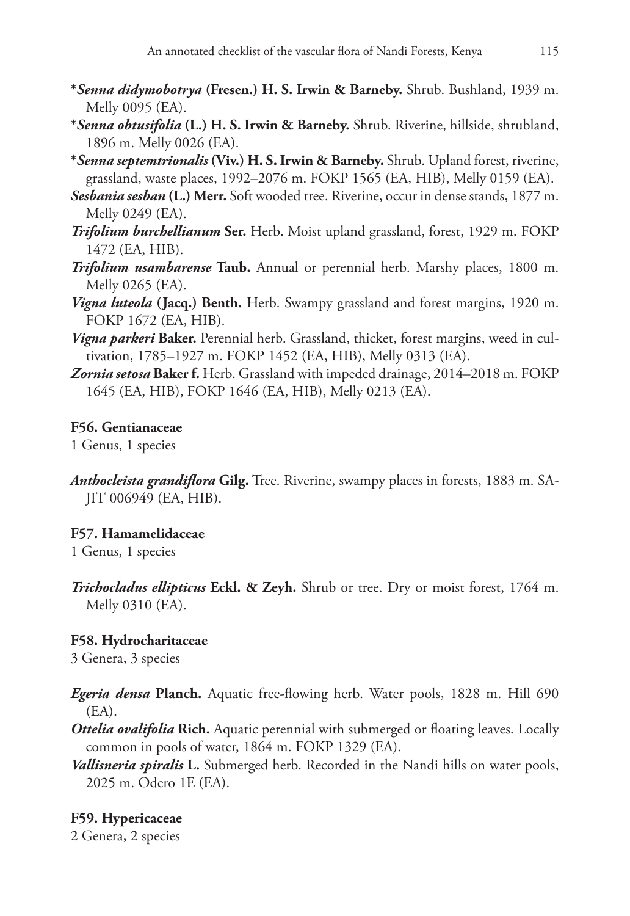- **\****Senna didymobotrya* **(Fresen.) H. S. Irwin & Barneby.** Shrub. Bushland, 1939 m. Melly 0095 (EA).
- **\****Senna obtusifolia* **(L.) H. S. Irwin & Barneby.** Shrub. Riverine, hillside, shrubland, 1896 m. Melly 0026 (EA).
- **\****Senna septemtrionalis* **(Viv.) H. S. Irwin & Barneby.** Shrub. Upland forest, riverine, grassland, waste places, 1992–2076 m. FOKP 1565 (EA, HIB), Melly 0159 (EA).

*Sesbania sesban* **(L.) Merr.** Soft wooded tree. Riverine, occur in dense stands, 1877 m. Melly 0249 (EA).

- *Trifolium burchellianum* **Ser.** Herb. Moist upland grassland, forest, 1929 m. FOKP 1472 (EA, HIB).
- *Trifolium usambarense* **Taub.** Annual or perennial herb. Marshy places, 1800 m. Melly 0265 (EA).
- *Vigna luteola* **(Jacq.) Benth.** Herb. Swampy grassland and forest margins, 1920 m. FOKP 1672 (EA, HIB).
- *Vigna parkeri* **Baker.** Perennial herb. Grassland, thicket, forest margins, weed in cultivation, 1785–1927 m. FOKP 1452 (EA, HIB), Melly 0313 (EA).
- *Zornia setosa* **Baker f.** Herb. Grassland with impeded drainage, 2014–2018 m. FOKP 1645 (EA, HIB), FOKP 1646 (EA, HIB), Melly 0213 (EA).

# **F56. Gentianaceae**

1 Genus, 1 species

*Anthocleista grandiflora* **Gilg.** Tree. Riverine, swampy places in forests, 1883 m. SA-JIT 006949 (EA, HIB).

# **F57. Hamamelidaceae**

1 Genus, 1 species

*Trichocladus ellipticus* **Eckl. & Zeyh.** Shrub or tree. Dry or moist forest, 1764 m. Melly 0310 (EA).

# **F58. Hydrocharitaceae**

3 Genera, 3 species

- *Egeria densa* **Planch.** Aquatic free-flowing herb. Water pools, 1828 m. Hill 690 (EA).
- *Ottelia ovalifolia* **Rich.** Aquatic perennial with submerged or floating leaves. Locally common in pools of water, 1864 m. FOKP 1329 (EA).
- *Vallisneria spiralis* **L.** Submerged herb. Recorded in the Nandi hills on water pools, 2025 m. Odero 1E (EA).

# **F59. Hypericaceae**

2 Genera, 2 species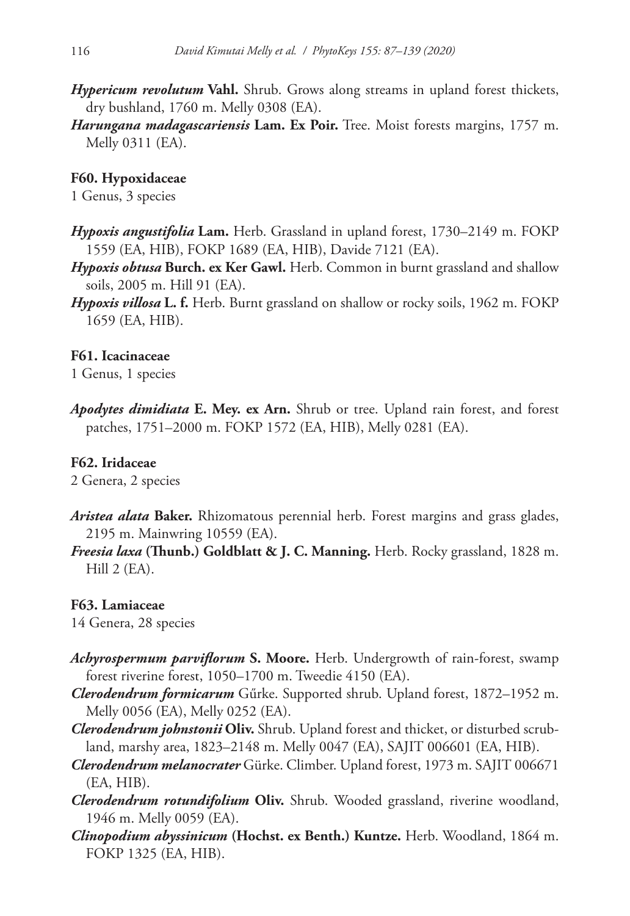- *Hypericum revolutum* **Vahl.** Shrub. Grows along streams in upland forest thickets, dry bushland, 1760 m. Melly 0308 (EA).
- *Harungana madagascariensis* **Lam. Ex Poir.** Tree. Moist forests margins, 1757 m. Melly 0311 (EA).

### **F60. Hypoxidaceae**

1 Genus, 3 species

- *Hypoxis angustifolia* **Lam.** Herb. Grassland in upland forest, 1730–2149 m. FOKP 1559 (EA, HIB), FOKP 1689 (EA, HIB), Davide 7121 (EA).
- *Hypoxis obtusa* **Burch. ex Ker Gawl.** Herb. Common in burnt grassland and shallow soils, 2005 m. Hill 91 (EA).
- *Hypoxis villosa* **L. f.** Herb. Burnt grassland on shallow or rocky soils, 1962 m. FOKP 1659 (EA, HIB).

#### **F61. Icacinaceae**

1 Genus, 1 species

*Apodytes dimidiata* **E. Mey. ex Arn.** Shrub or tree. Upland rain forest, and forest patches, 1751–2000 m. FOKP 1572 (EA, HIB), Melly 0281 (EA).

#### **F62. Iridaceae**

2 Genera, 2 species

- *Aristea alata* **Baker.** Rhizomatous perennial herb. Forest margins and grass glades, 2195 m. Mainwring 10559 (EA).
- *Freesia laxa* **(Thunb.) Goldblatt & J. C. Manning.** Herb. Rocky grassland, 1828 m. Hill 2 (EA).

#### **F63. Lamiaceae**

14 Genera, 28 species

- *Achyrospermum parviflorum* **S. Moore.** Herb. Undergrowth of rain-forest, swamp forest riverine forest, 1050–1700 m. Tweedie 4150 (EA).
- *Clerodendrum formicarum* Gűrke. Supported shrub. Upland forest, 1872–1952 m. Melly 0056 (EA), Melly 0252 (EA).
- *Clerodendrum johnstonii* **Oliv.** Shrub. Upland forest and thicket, or disturbed scrubland, marshy area, 1823–2148 m. Melly 0047 (EA), SAJIT 006601 (EA, HIB).
- *Clerodendrum melanocrater* Gürke. Climber. Upland forest, 1973 m. SAJIT 006671 (EA, HIB).
- *Clerodendrum rotundifolium* **Oliv.** Shrub. Wooded grassland, riverine woodland, 1946 m. Melly 0059 (EA).
- *Clinopodium abyssinicum* **(Hochst. ex Benth.) Kuntze.** Herb. Woodland, 1864 m. FOKP 1325 (EA, HIB).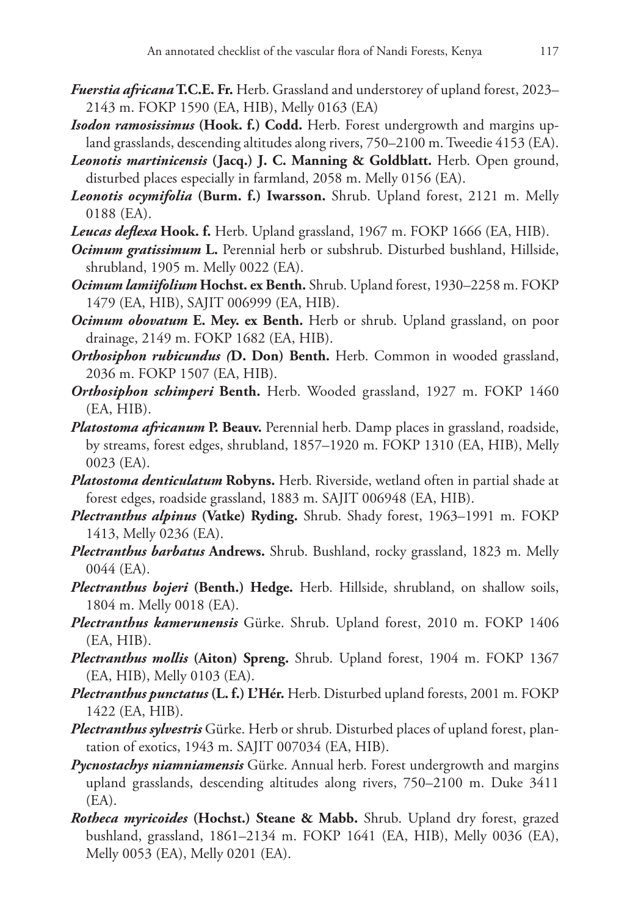- *Fuerstia africana* **T.C.E. Fr.** Herb. Grassland and understorey of upland forest, 2023– 2143 m. FOKP 1590 (EA, HIB), Melly 0163 (EA)
- *Isodon ramosissimus* **(Hook. f.) Codd.** Herb. Forest undergrowth and margins upland grasslands, descending altitudes along rivers, 750–2100 m. Tweedie 4153 (EA).
- *Leonotis martinicensis* **(Jacq.) J. C. Manning & Goldblatt.** Herb. Open ground, disturbed places especially in farmland, 2058 m. Melly 0156 (EA).
- *Leonotis ocymifolia* **(Burm. f.) Iwarsson.** Shrub. Upland forest, 2121 m. Melly 0188 (EA).
- *Leucas deflexa* **Hook. f.** Herb. Upland grassland, 1967 m. FOKP 1666 (EA, HIB).
- *Ocimum gratissimum* **L.** Perennial herb or subshrub. Disturbed bushland, Hillside, shrubland, 1905 m. Melly 0022 (EA).
- *Ocimum lamiifolium* **Hochst. ex Benth.** Shrub. Upland forest, 1930–2258 m. FOKP 1479 (EA, HIB), SAJIT 006999 (EA, HIB).
- *Ocimum obovatum* **E. Mey. ex Benth.** Herb or shrub. Upland grassland, on poor drainage, 2149 m. FOKP 1682 (EA, HIB).
- *Orthosiphon rubicundus (***D. Don) Benth.** Herb. Common in wooded grassland, 2036 m. FOKP 1507 (EA, HIB).
- *Orthosiphon schimperi* **Benth.** Herb. Wooded grassland, 1927 m. FOKP 1460 (EA, HIB).
- *Platostoma africanum* **P. Beauv.** Perennial herb. Damp places in grassland, roadside, by streams, forest edges, shrubland, 1857–1920 m. FOKP 1310 (EA, HIB), Melly 0023 (EA).
- *Platostoma denticulatum* **Robyns.** Herb. Riverside, wetland often in partial shade at forest edges, roadside grassland, 1883 m. SAJIT 006948 (EA, HIB).
- *Plectranthus alpinus* **(Vatke) Ryding.** Shrub. Shady forest, 1963–1991 m. FOKP 1413, Melly 0236 (EA).
- *Plectranthus barbatus* **Andrews.** Shrub. Bushland, rocky grassland, 1823 m. Melly 0044 (EA).
- *Plectranthus bojeri* **(Benth.) Hedge.** Herb. Hillside, shrubland, on shallow soils, 1804 m. Melly 0018 (EA).
- *Plectranthus kamerunensis* Gürke. Shrub. Upland forest, 2010 m. FOKP 1406 (EA, HIB).
- *Plectranthus mollis* **(Aiton) Spreng.** Shrub. Upland forest, 1904 m. FOKP 1367 (EA, HIB), Melly 0103 (EA).
- *Plectranthus punctatus* **(L. f.) L'Hér.** Herb. Disturbed upland forests, 2001 m. FOKP 1422 (EA, HIB).
- *Plectranthus sylvestris* Gürke. Herb or shrub. Disturbed places of upland forest, plantation of exotics, 1943 m. SAJIT 007034 (EA, HIB).
- *Pycnostachys niamniamensis* Gürke. Annual herb. Forest undergrowth and margins upland grasslands, descending altitudes along rivers, 750–2100 m. Duke 3411 (EA).
- *Rotheca myricoides* **(Hochst.) Steane & Mabb.** Shrub. Upland dry forest, grazed bushland, grassland, 1861–2134 m. FOKP 1641 (EA, HIB), Melly 0036 (EA), Melly 0053 (EA), Melly 0201 (EA).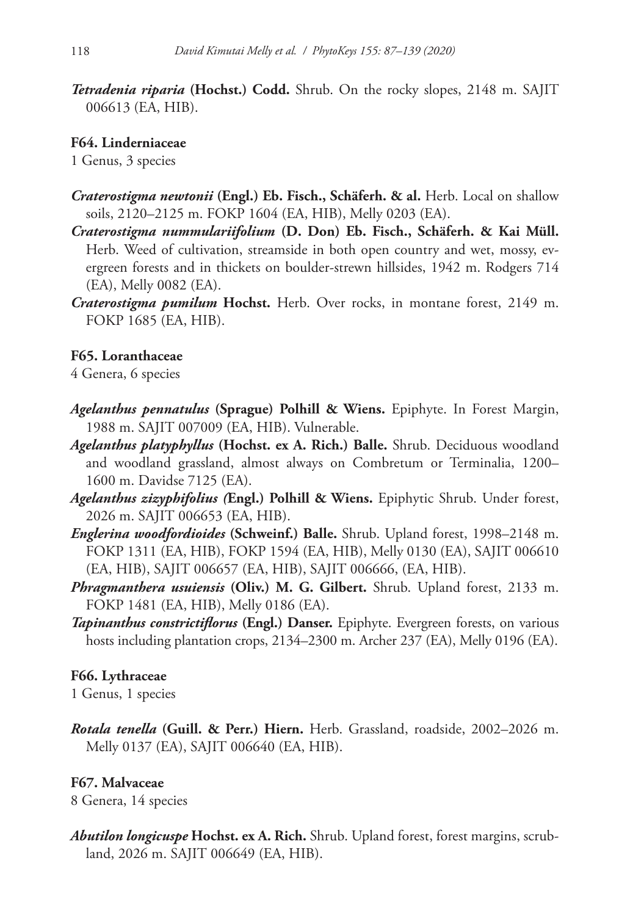*Tetradenia riparia* **(Hochst.) Codd.** Shrub. On the rocky slopes, 2148 m. SAJIT 006613 (EA, HIB).

**F64. Linderniaceae**

1 Genus, 3 species

- *Craterostigma newtonii* **(Engl.) Eb. Fisch., Schäferh. & al.** Herb. Local on shallow soils, 2120–2125 m. FOKP 1604 (EA, HIB), Melly 0203 (EA).
- *Craterostigma nummulariifolium* **(D. Don) Eb. Fisch., Schäferh. & Kai Müll.** Herb. Weed of cultivation, streamside in both open country and wet, mossy, evergreen forests and in thickets on boulder-strewn hillsides, 1942 m. Rodgers 714 (EA), Melly 0082 (EA).
- *Craterostigma pumilum* **Hochst.** Herb. Over rocks, in montane forest, 2149 m. FOKP 1685 (EA, HIB).

# **F65. Loranthaceae**

4 Genera, 6 species

- *Agelanthus pennatulus* **(Sprague) Polhill & Wiens.** Epiphyte. In Forest Margin, 1988 m. SAJIT 007009 (EA, HIB). Vulnerable.
- *Agelanthus platyphyllus* **(Hochst. ex A. Rich.) Balle.** Shrub. Deciduous woodland and woodland grassland, almost always on Combretum or Terminalia, 1200– 1600 m. Davidse 7125 (EA).
- *Agelanthus zizyphifolius (***Engl.) Polhill & Wiens.** Epiphytic Shrub. Under forest, 2026 m. SAJIT 006653 (EA, HIB).
- *Englerina woodfordioides* **(Schweinf.) Balle.** Shrub. Upland forest, 1998–2148 m. FOKP 1311 (EA, HIB), FOKP 1594 (EA, HIB), Melly 0130 (EA), SAJIT 006610 (EA, HIB), SAJIT 006657 (EA, HIB), SAJIT 006666, (EA, HIB).
- *Phragmanthera usuiensis* **(Oliv.) M. G. Gilbert.** Shrub. Upland forest, 2133 m. FOKP 1481 (EA, HIB), Melly 0186 (EA).
- *Tapinanthus constrictiflorus* **(Engl.) Danser.** Epiphyte. Evergreen forests, on various hosts including plantation crops, 2134–2300 m. Archer 237 (EA), Melly 0196 (EA).

# **F66. Lythraceae**

1 Genus, 1 species

*Rotala tenella* **(Guill. & Perr.) Hiern.** Herb. Grassland, roadside, 2002–2026 m. Melly 0137 (EA), SAJIT 006640 (EA, HIB).

# **F67. Malvaceae**

8 Genera, 14 species

*Abutilon longicuspe* **Hochst. ex A. Rich.** Shrub. Upland forest, forest margins, scrubland, 2026 m. SAJIT 006649 (EA, HIB).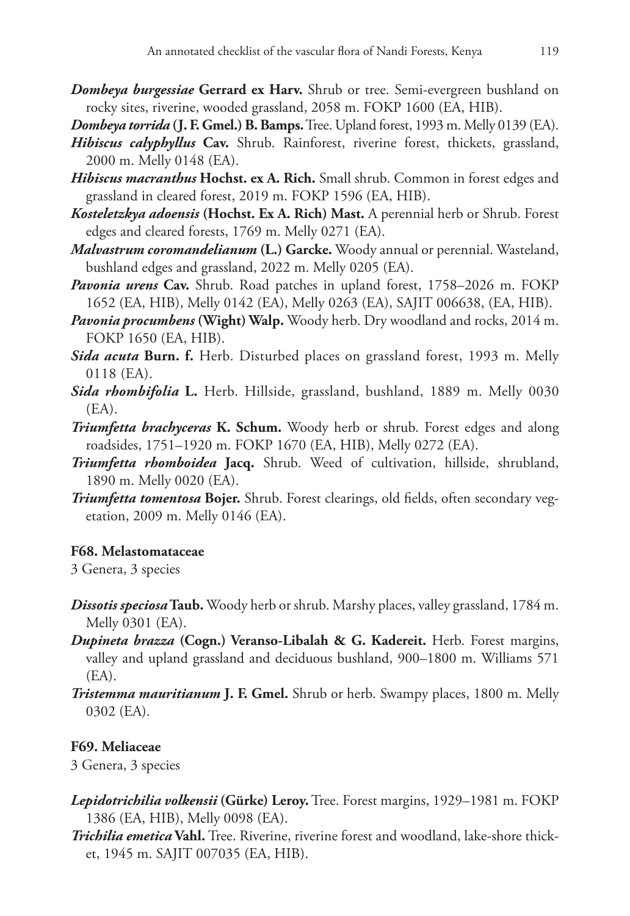- *Dombeya burgessiae* **Gerrard ex Harv.** Shrub or tree. Semi-evergreen bushland on rocky sites, riverine, wooded grassland, 2058 m. FOKP 1600 (EA, HIB).
- *Dombeya torrida* **(J. F. Gmel.) B. Bamps.** Tree. Upland forest, 1993 m. Melly 0139 (EA).
- *Hibiscus calyphyllus* **Cav.** Shrub. Rainforest, riverine forest, thickets, grassland, 2000 m. Melly 0148 (EA).
- *Hibiscus macranthus* **Hochst. ex A. Rich.** Small shrub. Common in forest edges and grassland in cleared forest, 2019 m. FOKP 1596 (EA, HIB).
- *Kosteletzkya adoensis* **(Hochst. Ex A. Rich) Mast.** A perennial herb or Shrub. Forest edges and cleared forests, 1769 m. Melly 0271 (EA).
- *Malvastrum coromandelianum* **(L.) Garcke.** Woody annual or perennial. Wasteland, bushland edges and grassland, 2022 m. Melly 0205 (EA).
- *Pavonia urens* **Cav.** Shrub. Road patches in upland forest, 1758–2026 m. FOKP 1652 (EA, HIB), Melly 0142 (EA), Melly 0263 (EA), SAJIT 006638, (EA, HIB).
- *Pavonia procumbens* **(Wight) Walp.** Woody herb. Dry woodland and rocks, 2014 m. FOKP 1650 (EA, HIB).
- *Sida acuta* **Burn. f.** Herb. Disturbed places on grassland forest, 1993 m. Melly 0118 (EA).
- *Sida rhombifolia* **L.** Herb. Hillside, grassland, bushland, 1889 m. Melly 0030  $(EA)$ .
- *Triumfetta brachyceras* **K. Schum.** Woody herb or shrub. Forest edges and along roadsides, 1751–1920 m. FOKP 1670 (EA, HIB), Melly 0272 (EA).
- *Triumfetta rhomboidea* **Jacq.** Shrub. Weed of cultivation, hillside, shrubland, 1890 m. Melly 0020 (EA).
- *Triumfetta tomentosa* **Bojer.** Shrub. Forest clearings, old fields, often secondary vegetation, 2009 m. Melly 0146 (EA).

### **F68. Melastomataceae**

3 Genera, 3 species

- *Dissotis speciosa* **Taub.** Woody herb or shrub. Marshy places, valley grassland, 1784 m. Melly 0301 (EA).
- *Dupineta brazza* **(Cogn.) Veranso-Libalah & G. Kadereit.** Herb. Forest margins, valley and upland grassland and deciduous bushland, 900–1800 m. Williams 571 (EA).
- *Tristemma mauritianum* **J. F. Gmel.** Shrub or herb. Swampy places, 1800 m. Melly 0302 (EA).

### **F69. Meliaceae**

3 Genera, 3 species

- *Lepidotrichilia volkensii* **(Gürke) Leroy.** Tree. Forest margins, 1929–1981 m. FOKP 1386 (EA, HIB), Melly 0098 (EA).
- *Trichilia emetica* **Vahl.** Tree. Riverine, riverine forest and woodland, lake-shore thicket, 1945 m. SAJIT 007035 (EA, HIB).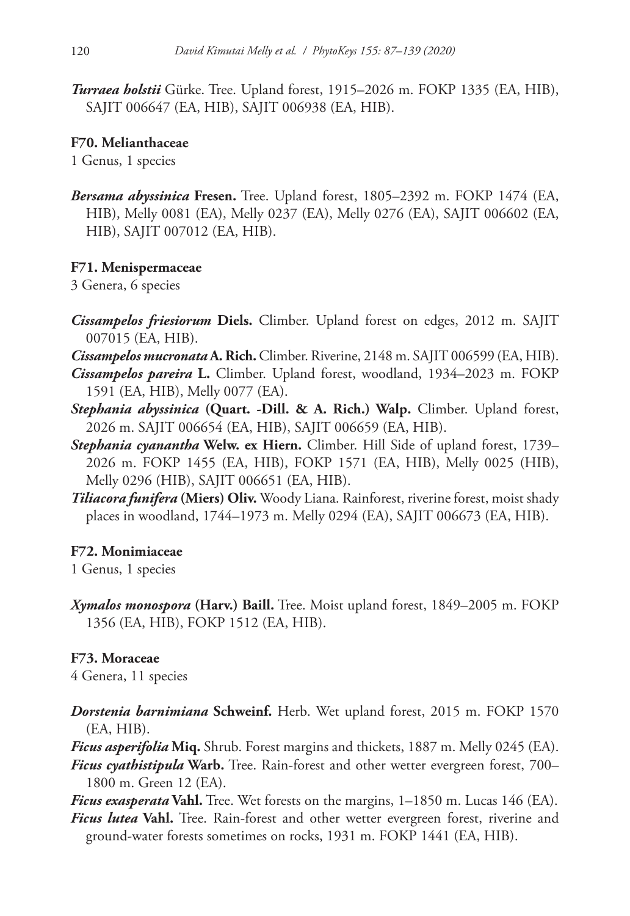*Turraea holstii* Gürke. Tree. Upland forest, 1915–2026 m. FOKP 1335 (EA, HIB), SAJIT 006647 (EA, HIB), SAJIT 006938 (EA, HIB).

## **F70. Melianthaceae**

1 Genus, 1 species

*Bersama abyssinica* **Fresen.** Tree. Upland forest, 1805–2392 m. FOKP 1474 (EA, HIB), Melly 0081 (EA), Melly 0237 (EA), Melly 0276 (EA), SAJIT 006602 (EA, HIB), SAJIT 007012 (EA, HIB).

# **F71. Menispermaceae**

3 Genera, 6 species

- *Cissampelos friesiorum* **Diels.** Climber. Upland forest on edges, 2012 m. SAJIT 007015 (EA, HIB).
- *Cissampelos mucronata* **A. Rich.** Climber. Riverine, 2148 m. SAJIT 006599 (EA, HIB). *Cissampelos pareira* **L.** Climber. Upland forest, woodland, 1934–2023 m. FOKP

1591 (EA, HIB), Melly 0077 (EA).

- *Stephania abyssinica* **(Quart. -Dill. & A. Rich.) Walp.** Climber. Upland forest, 2026 m. SAJIT 006654 (EA, HIB), SAJIT 006659 (EA, HIB).
- *Stephania cyanantha* **Welw. ex Hiern.** Climber. Hill Side of upland forest, 1739– 2026 m. FOKP 1455 (EA, HIB), FOKP 1571 (EA, HIB), Melly 0025 (HIB), Melly 0296 (HIB), SAJIT 006651 (EA, HIB).
- *Tiliacora funifera* **(Miers) Oliv.** Woody Liana. Rainforest, riverine forest, moist shady places in woodland, 1744–1973 m. Melly 0294 (EA), SAJIT 006673 (EA, HIB).

# **F72. Monimiaceae**

1 Genus, 1 species

*Xymalos monospora* **(Harv.) Baill.** Tree. Moist upland forest, 1849–2005 m. FOKP 1356 (EA, HIB), FOKP 1512 (EA, HIB).

# **F73. Moraceae**

4 Genera, 11 species

*Dorstenia barnimiana* **Schweinf.** Herb. Wet upland forest, 2015 m. FOKP 1570 (EA, HIB).

*Ficus asperifolia* **Miq.** Shrub. Forest margins and thickets, 1887 m. Melly 0245 (EA).

*Ficus cyathistipula* **Warb.** Tree. Rain-forest and other wetter evergreen forest, 700– 1800 m. Green 12 (EA).

*Ficus exasperata* **Vahl.** Tree. Wet forests on the margins, 1–1850 m. Lucas 146 (EA).

*Ficus lutea* **Vahl.** Tree. Rain-forest and other wetter evergreen forest, riverine and ground-water forests sometimes on rocks, 1931 m. FOKP 1441 (EA, HIB).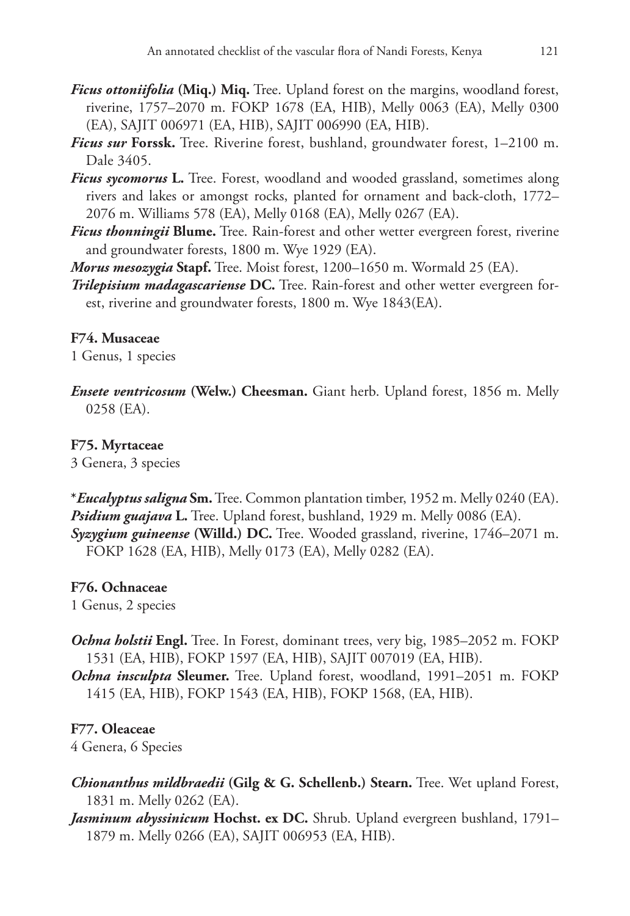- *Ficus ottoniifolia* **(Miq.) Miq.** Tree. Upland forest on the margins, woodland forest, riverine, 1757–2070 m. FOKP 1678 (EA, HIB), Melly 0063 (EA), Melly 0300 (EA), SAJIT 006971 (EA, HIB), SAJIT 006990 (EA, HIB).
- *Ficus sur* **Forssk.** Tree. Riverine forest, bushland, groundwater forest, 1–2100 m. Dale 3405.
- *Ficus sycomorus* **L.** Tree. Forest, woodland and wooded grassland, sometimes along rivers and lakes or amongst rocks, planted for ornament and back-cloth, 1772– 2076 m. Williams 578 (EA), Melly 0168 (EA), Melly 0267 (EA).
- *Ficus thonningii* **Blume.** Tree. Rain-forest and other wetter evergreen forest, riverine and groundwater forests, 1800 m. Wye 1929 (EA).

*Morus mesozygia* **Stapf.** Tree. Moist forest, 1200–1650 m. Wormald 25 (EA).

*Trilepisium madagascariense* **DC.** Tree. Rain-forest and other wetter evergreen forest, riverine and groundwater forests, 1800 m. Wye 1843(EA).

### **F74. Musaceae**

1 Genus, 1 species

*Ensete ventricosum* **(Welw.) Cheesman.** Giant herb. Upland forest, 1856 m. Melly 0258 (EA).

### **F75. Myrtaceae**

3 Genera, 3 species

**\****Eucalyptus saligna* **Sm.** Tree. Common plantation timber, 1952 m. Melly 0240 (EA). *Psidium guajava* **L.** Tree. Upland forest, bushland, 1929 m. Melly 0086 (EA). *Syzygium guineense* **(Willd.) DC.** Tree. Wooded grassland, riverine, 1746–2071 m. FOKP 1628 (EA, HIB), Melly 0173 (EA), Melly 0282 (EA).

### **F76. Ochnaceae**

1 Genus, 2 species

- *Ochna holstii* **Engl.** Tree. In Forest, dominant trees, very big, 1985–2052 m. FOKP 1531 (EA, HIB), FOKP 1597 (EA, HIB), SAJIT 007019 (EA, HIB).
- *Ochna insculpta* **Sleumer.** Tree. Upland forest, woodland, 1991–2051 m. FOKP 1415 (EA, HIB), FOKP 1543 (EA, HIB), FOKP 1568, (EA, HIB).

### **F77. Oleaceae**

4 Genera, 6 Species

- *Chionanthus mildbraedii* **(Gilg & G. Schellenb.) Stearn.** Tree. Wet upland Forest, 1831 m. Melly 0262 (EA).
- *Jasminum abyssinicum* **Hochst. ex DC.** Shrub. Upland evergreen bushland, 1791– 1879 m. Melly 0266 (EA), SAJIT 006953 (EA, HIB).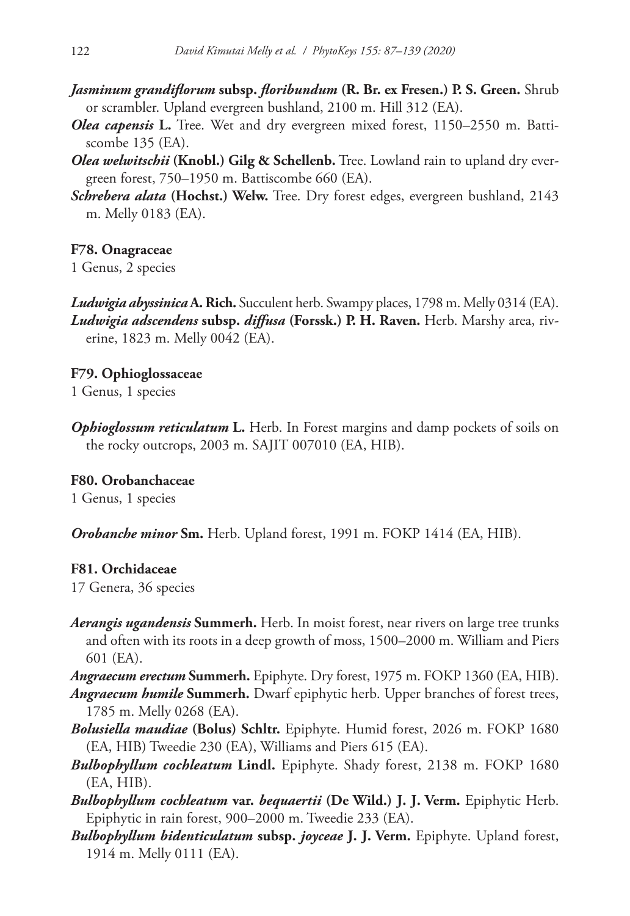- *Jasminum grandiflorum* **subsp.** *floribundum* **(R. Br. ex Fresen.) P. S. Green.** Shrub or scrambler. Upland evergreen bushland, 2100 m. Hill 312 (EA).
- *Olea capensis* **L.** Tree. Wet and dry evergreen mixed forest, 1150–2550 m. Battiscombe 135 (EA).
- *Olea welwitschii* **(Knobl.) Gilg & Schellenb.** Tree. Lowland rain to upland dry evergreen forest, 750–1950 m. Battiscombe 660 (EA).
- *Schrebera alata* **(Hochst.) Welw.** Tree. Dry forest edges, evergreen bushland, 2143 m. Melly 0183 (EA).

**F78. Onagraceae**

1 Genus, 2 species

*Ludwigia abyssinica* **A. Rich.** Succulent herb. Swampy places, 1798 m. Melly 0314 (EA). *Ludwigia adscendens* **subsp.** *diffusa* **(Forssk.) P. H. Raven.** Herb. Marshy area, riverine, 1823 m. Melly 0042 (EA).

**F79. Ophioglossaceae** 1 Genus, 1 species

*Ophioglossum reticulatum* **L.** Herb. In Forest margins and damp pockets of soils on the rocky outcrops, 2003 m. SAJIT 007010 (EA, HIB).

**F80. Orobanchaceae**

1 Genus, 1 species

*Orobanche minor* **Sm.** Herb. Upland forest, 1991 m. FOKP 1414 (EA, HIB).

### **F81. Orchidaceae**

17 Genera, 36 species

*Aerangis ugandensis* **Summerh.** Herb. In moist forest, near rivers on large tree trunks and often with its roots in a deep growth of moss, 1500–2000 m. William and Piers 601 (EA).

*Angraecum erectum* **Summerh.** Epiphyte. Dry forest, 1975 m. FOKP 1360 (EA, HIB). *Angraecum humile* **Summerh.** Dwarf epiphytic herb. Upper branches of forest trees,

1785 m. Melly 0268 (EA).

- *Bolusiella maudiae* **(Bolus) Schltr.** Epiphyte. Humid forest, 2026 m. FOKP 1680 (EA, HIB) Tweedie 230 (EA), Williams and Piers 615 (EA).
- *Bulbophyllum cochleatum* **Lindl.** Epiphyte. Shady forest, 2138 m. FOKP 1680 (EA, HIB).

*Bulbophyllum cochleatum* **var.** *bequaertii* **(De Wild.) J. J. Verm.** Epiphytic Herb. Epiphytic in rain forest, 900–2000 m. Tweedie 233 (EA).

*Bulbophyllum bidenticulatum* **subsp.** *joyceae* **J. J. Verm.** Epiphyte. Upland forest, 1914 m. Melly 0111 (EA).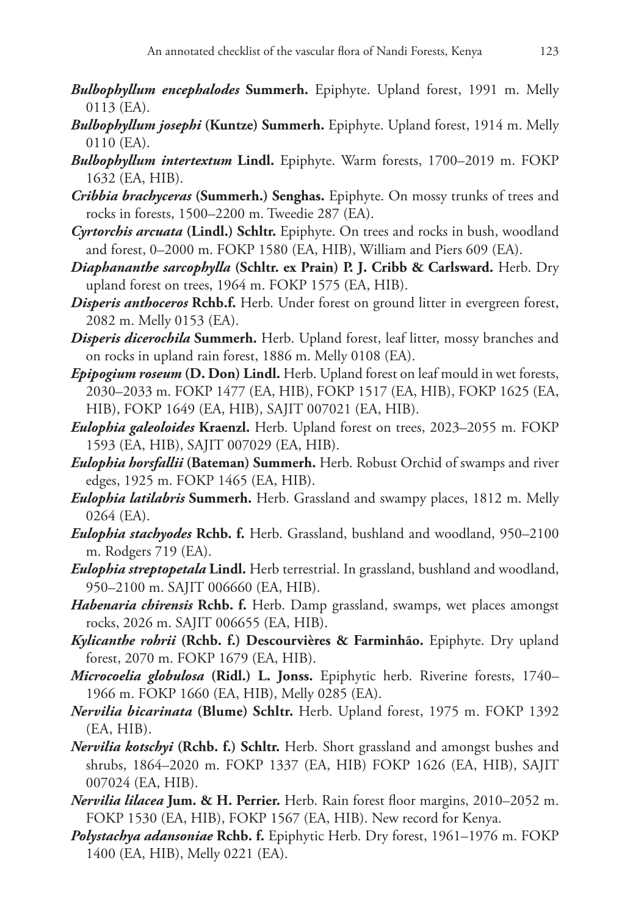- *Bulbophyllum encephalodes* **Summerh.** Epiphyte. Upland forest, 1991 m. Melly 0113 (EA).
- *Bulbophyllum josephi* **(Kuntze) Summerh.** Epiphyte. Upland forest, 1914 m. Melly 0110 (EA).
- *Bulbophyllum intertextum* **Lindl.** Epiphyte. Warm forests, 1700–2019 m. FOKP 1632 (EA, HIB).
- *Cribbia brachyceras* **(Summerh.) Senghas.** Epiphyte. On mossy trunks of trees and rocks in forests, 1500–2200 m. Tweedie 287 (EA).
- *Cyrtorchis arcuata* **(Lindl.) Schltr.** Epiphyte. On trees and rocks in bush, woodland and forest, 0–2000 m. FOKP 1580 (EA, HIB), William and Piers 609 (EA).
- *Diaphananthe sarcophylla* **(Schltr. ex Prain) P. J. Cribb & Carlsward.** Herb. Dry upland forest on trees, 1964 m. FOKP 1575 (EA, HIB).
- *Disperis anthoceros* **Rchb.f.** Herb. Under forest on ground litter in evergreen forest, 2082 m. Melly 0153 (EA).
- *Disperis dicerochila* **Summerh.** Herb. Upland forest, leaf litter, mossy branches and on rocks in upland rain forest, 1886 m. Melly 0108 (EA).
- *Epipogium roseum* **(D. Don) Lindl.** Herb. Upland forest on leaf mould in wet forests, 2030–2033 m. FOKP 1477 (EA, HIB), FOKP 1517 (EA, HIB), FOKP 1625 (EA, HIB), FOKP 1649 (EA, HIB), SAJIT 007021 (EA, HIB).
- *Eulophia galeoloides* **Kraenzl.** Herb. Upland forest on trees, 2023–2055 m. FOKP 1593 (EA, HIB), SAJIT 007029 (EA, HIB).
- *Eulophia horsfallii* **(Bateman) Summerh.** Herb. Robust Orchid of swamps and river edges, 1925 m. FOKP 1465 (EA, HIB).
- *Eulophia latilabris* **Summerh.** Herb. Grassland and swampy places, 1812 m. Melly 0264 (EA).
- *Eulophia stachyodes* **Rchb. f.** Herb. Grassland, bushland and woodland, 950–2100 m. Rodgers 719 (EA).
- *Eulophia streptopetala* **Lindl.** Herb terrestrial. In grassland, bushland and woodland, 950–2100 m. SAJIT 006660 (EA, HIB).
- *Habenaria chirensis* **Rchb. f.** Herb. Damp grassland, swamps, wet places amongst rocks, 2026 m. SAJIT 006655 (EA, HIB).
- *Kylicanthe rohrii* **(Rchb. f.) Descourvières & Farminhão.** Epiphyte. Dry upland forest, 2070 m. FOKP 1679 (EA, HIB).
- *Microcoelia globulosa* **(Ridl.) L. Jonss.** Epiphytic herb. Riverine forests, 1740– 1966 m. FOKP 1660 (EA, HIB), Melly 0285 (EA).
- *Nervilia bicarinata* **(Blume) Schltr.** Herb. Upland forest, 1975 m. FOKP 1392 (EA, HIB).
- *Nervilia kotschyi* **(Rchb. f.) Schltr.** Herb. Short grassland and amongst bushes and shrubs, 1864–2020 m. FOKP 1337 (EA, HIB) FOKP 1626 (EA, HIB), SAJIT 007024 (EA, HIB).
- *Nervilia lilacea* **Jum. & H. Perrier.** Herb. Rain forest floor margins, 2010–2052 m. FOKP 1530 (EA, HIB), FOKP 1567 (EA, HIB). New record for Kenya.
- *Polystachya adansoniae* **Rchb. f.** Epiphytic Herb. Dry forest, 1961–1976 m. FOKP 1400 (EA, HIB), Melly 0221 (EA).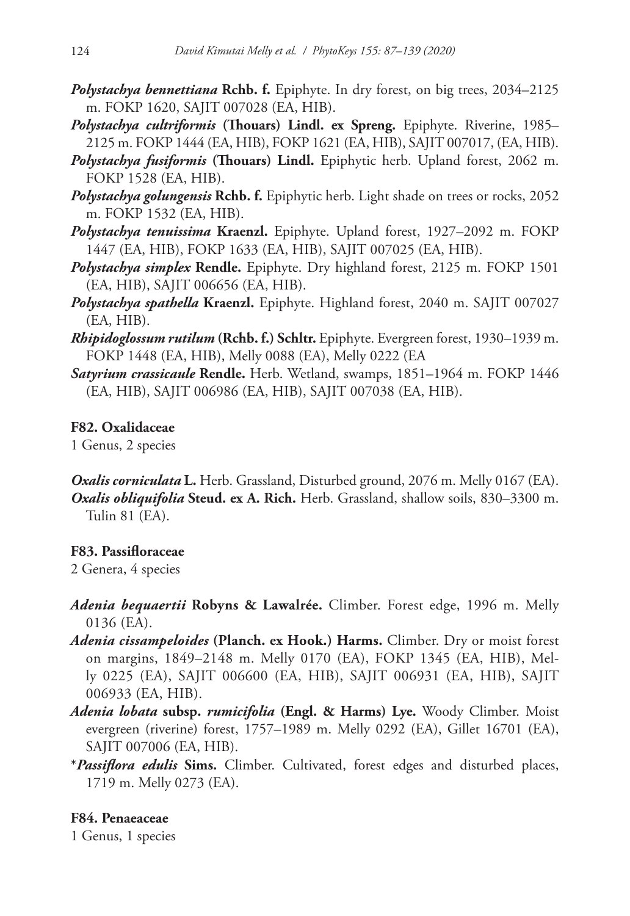- *Polystachya bennettiana* **Rchb. f.** Epiphyte. In dry forest, on big trees, 2034–2125 m. FOKP 1620, SAJIT 007028 (EA, HIB).
- *Polystachya cultriformis* **(Thouars) Lindl. ex Spreng.** Epiphyte. Riverine, 1985– 2125 m. FOKP 1444 (EA, HIB), FOKP 1621 (EA, HIB), SAJIT 007017, (EA, HIB).
- *Polystachya fusiformis* **(Thouars) Lindl.** Epiphytic herb. Upland forest, 2062 m. FOKP 1528 (EA, HIB).
- *Polystachya golungensis* **Rchb. f.** Epiphytic herb. Light shade on trees or rocks, 2052 m. FOKP 1532 (EA, HIB).
- *Polystachya tenuissima* **Kraenzl.** Epiphyte. Upland forest, 1927–2092 m. FOKP 1447 (EA, HIB), FOKP 1633 (EA, HIB), SAJIT 007025 (EA, HIB).
- *Polystachya simplex* **Rendle.** Epiphyte. Dry highland forest, 2125 m. FOKP 1501 (EA, HIB), SAJIT 006656 (EA, HIB).
- *Polystachya spathella* **Kraenzl.** Epiphyte. Highland forest, 2040 m. SAJIT 007027 (EA, HIB).
- *Rhipidoglossum rutilum* **(Rchb. f.) Schltr.** Epiphyte. Evergreen forest, 1930–1939 m. FOKP 1448 (EA, HIB), Melly 0088 (EA), Melly 0222 (EA
- *Satyrium crassicaule* **Rendle.** Herb. Wetland, swamps, 1851–1964 m. FOKP 1446 (EA, HIB), SAJIT 006986 (EA, HIB), SAJIT 007038 (EA, HIB).

### **F82. Oxalidaceae**

1 Genus, 2 species

*Oxalis corniculata* **L.** Herb. Grassland, Disturbed ground, 2076 m. Melly 0167 (EA). *Oxalis obliquifolia* **Steud. ex A. Rich.** Herb. Grassland, shallow soils, 830–3300 m. Tulin 81 (EA).

## **F83. Passifloraceae**

2 Genera, 4 species

- *Adenia bequaertii* **Robyns & Lawalrée.** Climber. Forest edge, 1996 m. Melly 0136 (EA).
- *Adenia cissampeloides* **(Planch. ex Hook.) Harms.** Climber. Dry or moist forest on margins, 1849–2148 m. Melly 0170 (EA), FOKP 1345 (EA, HIB), Melly 0225 (EA), SAJIT 006600 (EA, HIB), SAJIT 006931 (EA, HIB), SAJIT 006933 (EA, HIB).
- *Adenia lobata* **subsp.** *rumicifolia* **(Engl. & Harms) Lye.** Woody Climber. Moist evergreen (riverine) forest, 1757–1989 m. Melly 0292 (EA), Gillet 16701 (EA), SAJIT 007006 (EA, HIB).
- **\****Passiflora edulis* **Sims.** Climber. Cultivated, forest edges and disturbed places, 1719 m. Melly 0273 (EA).

### **F84. Penaeaceae**

1 Genus, 1 species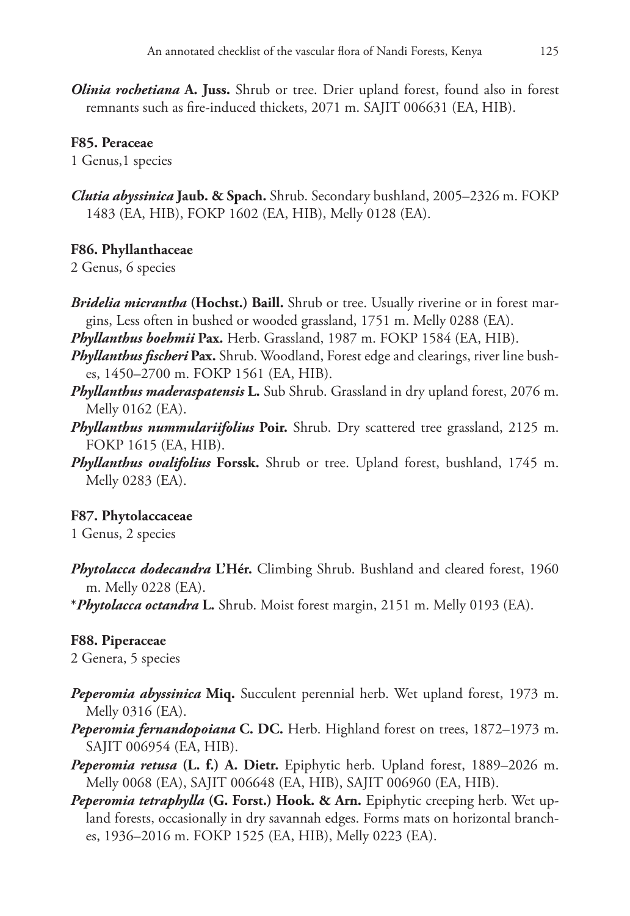*Olinia rochetiana* **A. Juss.** Shrub or tree. Drier upland forest, found also in forest remnants such as fire-induced thickets, 2071 m. SAJIT 006631 (EA, HIB).

### **F85. Peraceae**

1 Genus,1 species

*Clutia abyssinica* **Jaub. & Spach.** Shrub. Secondary bushland, 2005–2326 m. FOKP 1483 (EA, HIB), FOKP 1602 (EA, HIB), Melly 0128 (EA).

### **F86. Phyllanthaceae**

2 Genus, 6 species

- *Bridelia micrantha* **(Hochst.) Baill.** Shrub or tree. Usually riverine or in forest margins, Less often in bushed or wooded grassland, 1751 m. Melly 0288 (EA).
- *Phyllanthus boehmii* **Pax.** Herb. Grassland, 1987 m. FOKP 1584 (EA, HIB).
- *Phyllanthus fischeri* **Pax.** Shrub. Woodland, Forest edge and clearings, river line bushes, 1450–2700 m. FOKP 1561 (EA, HIB).
- *Phyllanthus maderaspatensis* **L.** Sub Shrub. Grassland in dry upland forest, 2076 m. Melly 0162 (EA).
- *Phyllanthus nummulariifolius* **Poir.** Shrub. Dry scattered tree grassland, 2125 m. FOKP 1615 (EA, HIB).
- *Phyllanthus ovalifolius* **Forssk.** Shrub or tree. Upland forest, bushland, 1745 m. Melly 0283 (EA).

#### **F87. Phytolaccaceae**

1 Genus, 2 species

- *Phytolacca dodecandra* **L'Hér.** Climbing Shrub. Bushland and cleared forest, 1960 m. Melly 0228 (EA).
- **\****Phytolacca octandra* **L.** Shrub. Moist forest margin, 2151 m. Melly 0193 (EA).

#### **F88. Piperaceae**

2 Genera, 5 species

- *Peperomia abyssinica* **Miq.** Succulent perennial herb. Wet upland forest, 1973 m. Melly 0316 (EA).
- *Peperomia fernandopoiana* **C. DC.** Herb. Highland forest on trees, 1872–1973 m. SAJIT 006954 (EA, HIB).
- *Peperomia retusa* **(L. f.) A. Dietr.** Epiphytic herb. Upland forest, 1889–2026 m. Melly 0068 (EA), SAJIT 006648 (EA, HIB), SAJIT 006960 (EA, HIB).
- *Peperomia tetraphylla* **(G. Forst.) Hook. & Arn.** Epiphytic creeping herb. Wet upland forests, occasionally in dry savannah edges. Forms mats on horizontal branches, 1936–2016 m. FOKP 1525 (EA, HIB), Melly 0223 (EA).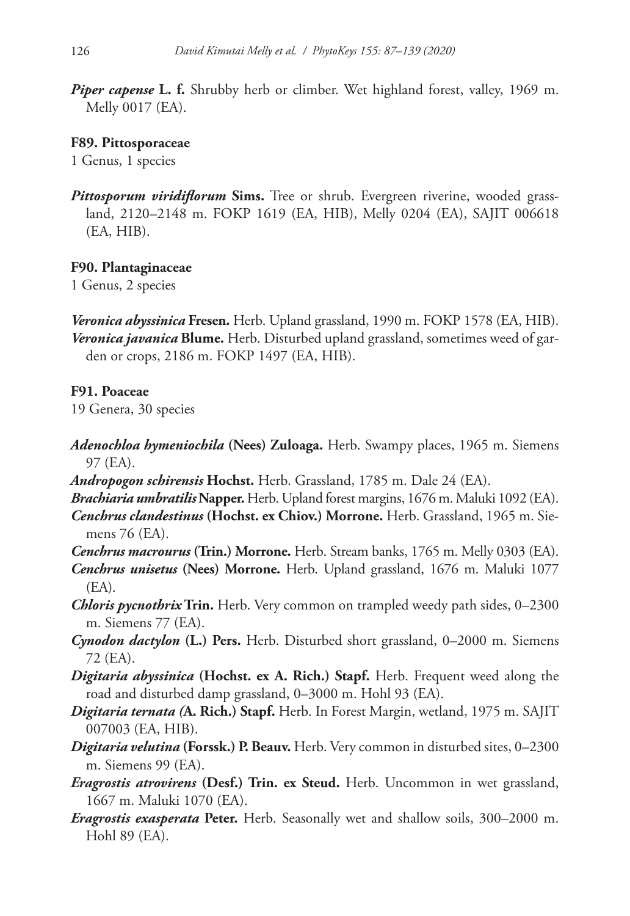*Piper capense* **L. f.** Shrubby herb or climber. Wet highland forest, valley, 1969 m. Melly 0017 (EA).

### **F89. Pittosporaceae**

1 Genus, 1 species

*Pittosporum viridiflorum* Sims. Tree or shrub. Evergreen riverine, wooded grassland, 2120–2148 m. FOKP 1619 (EA, HIB), Melly 0204 (EA), SAJIT 006618 (EA, HIB).

### **F90. Plantaginaceae**

1 Genus, 2 species

*Veronica abyssinica* **Fresen.** Herb. Upland grassland, 1990 m. FOKP 1578 (EA, HIB). *Veronica javanica* **Blume.** Herb. Disturbed upland grassland, sometimes weed of garden or crops, 2186 m. FOKP 1497 (EA, HIB).

### **F91. Poaceae**

19 Genera, 30 species

- *Adenochloa hymeniochila* **(Nees) Zuloaga.** Herb. Swampy places, 1965 m. Siemens 97 (EA).
- *Andropogon schirensis* **Hochst.** Herb. Grassland, 1785 m. Dale 24 (EA).
- *Brachiaria umbratilis* **Napper.** Herb. Upland forest margins, 1676 m. Maluki 1092 (EA).
- *Cenchrus clandestinus* **(Hochst. ex Chiov.) Morrone.** Herb. Grassland, 1965 m. Siemens 76 (EA).
- *Cenchrus macrourus* **(Trin.) Morrone.** Herb. Stream banks, 1765 m. Melly 0303 (EA).
- *Cenchrus unisetus* **(Nees) Morrone.** Herb. Upland grassland, 1676 m. Maluki 1077 (EA).
- *Chloris pycnothrix* **Trin.** Herb. Very common on trampled weedy path sides, 0–2300 m. Siemens 77 (EA).
- *Cynodon dactylon* **(L.) Pers.** Herb. Disturbed short grassland, 0–2000 m. Siemens 72 (EA).
- *Digitaria abyssinica* **(Hochst. ex A. Rich.) Stapf.** Herb. Frequent weed along the road and disturbed damp grassland, 0–3000 m. Hohl 93 (EA).
- *Digitaria ternata (***A. Rich.) Stapf.** Herb. In Forest Margin, wetland, 1975 m. SAJIT 007003 (EA, HIB).
- *Digitaria velutina* **(Forssk.) P. Beauv.** Herb. Very common in disturbed sites, 0–2300 m. Siemens 99 (EA).
- *Eragrostis atrovirens* **(Desf.) Trin. ex Steud.** Herb. Uncommon in wet grassland, 1667 m. Maluki 1070 (EA).
- *Eragrostis exasperata* **Peter.** Herb. Seasonally wet and shallow soils, 300–2000 m. Hohl 89 (EA).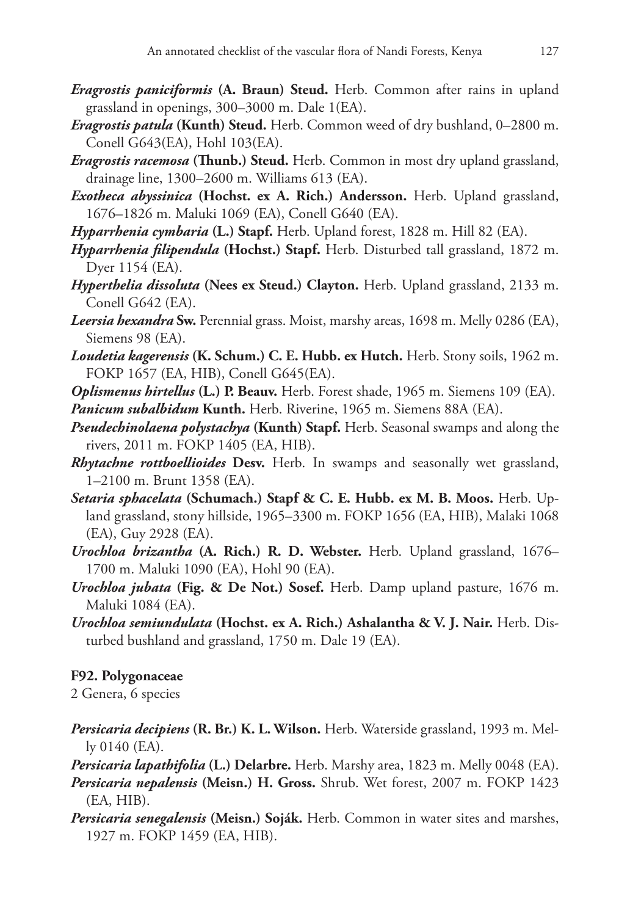- *Eragrostis paniciformis* **(A. Braun) Steud.** Herb. Common after rains in upland grassland in openings, 300–3000 m. Dale 1(EA).
- *Eragrostis patula* **(Kunth) Steud.** Herb. Common weed of dry bushland, 0–2800 m. Conell G643(EA), Hohl 103(EA).
- *Eragrostis racemosa* **(Thunb.) Steud.** Herb. Common in most dry upland grassland, drainage line, 1300–2600 m. Williams 613 (EA).
- *Exotheca abyssinica* **(Hochst. ex A. Rich.) Andersson.** Herb. Upland grassland, 1676–1826 m. Maluki 1069 (EA), Conell G640 (EA).
- *Hyparrhenia cymbaria* **(L.) Stapf.** Herb. Upland forest, 1828 m. Hill 82 (EA).
- *Hyparrhenia filipendula* **(Hochst.) Stapf.** Herb. Disturbed tall grassland, 1872 m. Dyer 1154 (EA).
- *Hyperthelia dissoluta* **(Nees ex Steud.) Clayton.** Herb. Upland grassland, 2133 m. Conell G642 (EA).
- *Leersia hexandra* **Sw.** Perennial grass. Moist, marshy areas, 1698 m. Melly 0286 (EA), Siemens 98 (EA).
- *Loudetia kagerensis* **(K. Schum.) C. E. Hubb. ex Hutch.** Herb. Stony soils, 1962 m. FOKP 1657 (EA, HIB), Conell G645(EA).
- *Oplismenus hirtellus* **(L.) P. Beauv.** Herb. Forest shade, 1965 m. Siemens 109 (EA). *Panicum subalbidum* **Kunth.** Herb. Riverine, 1965 m. Siemens 88A (EA).
- *Pseudechinolaena polystachya* **(Kunth) Stapf.** Herb. Seasonal swamps and along the rivers, 2011 m. FOKP 1405 (EA, HIB).
- *Rhytachne rottboellioides* **Desv.** Herb. In swamps and seasonally wet grassland, 1–2100 m. Brunt 1358 (EA).
- *Setaria sphacelata* **(Schumach.) Stapf & C. E. Hubb. ex M. B. Moos.** Herb. Upland grassland, stony hillside, 1965–3300 m. FOKP 1656 (EA, HIB), Malaki 1068 (EA), Guy 2928 (EA).
- *Urochloa brizantha* **(A. Rich.) R. D. Webster.** Herb. Upland grassland, 1676– 1700 m. Maluki 1090 (EA), Hohl 90 (EA).
- *Urochloa jubata* **(Fig. & De Not.) Sosef.** Herb. Damp upland pasture, 1676 m. Maluki 1084 (EA).
- *Urochloa semiundulata* **(Hochst. ex A. Rich.) Ashalantha & V. J. Nair.** Herb. Disturbed bushland and grassland, 1750 m. Dale 19 (EA).

# **F92. Polygonaceae**

2 Genera, 6 species

*Persicaria decipiens* **(R. Br.) K. L. Wilson.** Herb. Waterside grassland, 1993 m. Melly 0140 (EA).

*Persicaria lapathifolia* **(L.) Delarbre.** Herb. Marshy area, 1823 m. Melly 0048 (EA). *Persicaria nepalensis* **(Meisn.) H. Gross.** Shrub. Wet forest, 2007 m. FOKP 1423 (EA, HIB).

*Persicaria senegalensis* **(Meisn.) Soják.** Herb. Common in water sites and marshes, 1927 m. FOKP 1459 (EA, HIB).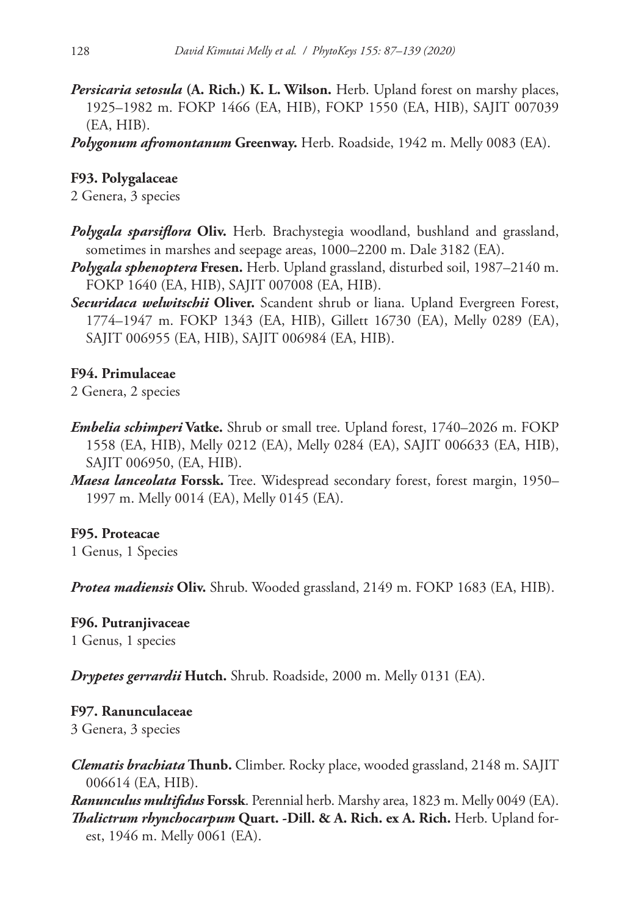*Persicaria setosula* **(A. Rich.) K. L. Wilson.** Herb. Upland forest on marshy places, 1925–1982 m. FOKP 1466 (EA, HIB), FOKP 1550 (EA, HIB), SAJIT 007039 (EA, HIB).

*Polygonum afromontanum* **Greenway.** Herb. Roadside, 1942 m. Melly 0083 (EA).

# **F93. Polygalaceae**

2 Genera, 3 species

- *Polygala sparsiflora* **Oliv.** Herb. Brachystegia woodland, bushland and grassland, sometimes in marshes and seepage areas, 1000–2200 m. Dale 3182 (EA).
- *Polygala sphenoptera* **Fresen.** Herb. Upland grassland, disturbed soil, 1987–2140 m. FOKP 1640 (EA, HIB), SAJIT 007008 (EA, HIB).
- *Securidaca welwitschii* **Oliver.** Scandent shrub or liana. Upland Evergreen Forest, 1774–1947 m. FOKP 1343 (EA, HIB), Gillett 16730 (EA), Melly 0289 (EA), SAJIT 006955 (EA, HIB), SAJIT 006984 (EA, HIB).

# **F94. Primulaceae**

2 Genera, 2 species

- *Embelia schimperi* **Vatke.** Shrub or small tree. Upland forest, 1740–2026 m. FOKP 1558 (EA, HIB), Melly 0212 (EA), Melly 0284 (EA), SAJIT 006633 (EA, HIB), SAJIT 006950, (EA, HIB).
- *Maesa lanceolata* **Forssk.** Tree. Widespread secondary forest, forest margin, 1950– 1997 m. Melly 0014 (EA), Melly 0145 (EA).

# **F95. Proteacae**

1 Genus, 1 Species

*Protea madiensis* **Oliv.** Shrub. Wooded grassland, 2149 m. FOKP 1683 (EA, HIB).

# **F96. Putranjivaceae**

1 Genus, 1 species

*Drypetes gerrardii* **Hutch.** Shrub. Roadside, 2000 m. Melly 0131 (EA).

# **F97. Ranunculaceae**

3 Genera, 3 species

*Clematis brachiata* **Thunb.** Climber. Rocky place, wooded grassland, 2148 m. SAJIT 006614 (EA, HIB).

*Ranunculus multifidus* **Forssk**. Perennial herb. Marshy area, 1823 m. Melly 0049 (EA). *Thalictrum rhynchocarpum* **Quart. -Dill. & A. Rich. ex A. Rich.** Herb. Upland forest, 1946 m. Melly 0061 (EA).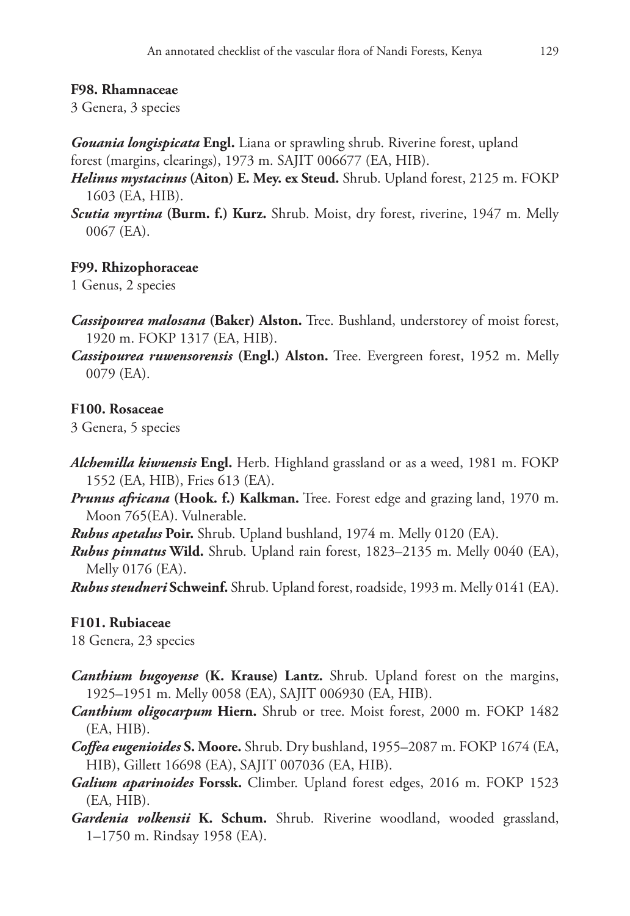### **F98. Rhamnaceae**

3 Genera, 3 species

*Gouania longispicata* **Engl.** Liana or sprawling shrub. Riverine forest, upland forest (margins, clearings), 1973 m. SAJIT 006677 (EA, HIB).

- *Helinus mystacinus* **(Aiton) E. Mey. ex Steud.** Shrub. Upland forest, 2125 m. FOKP 1603 (EA, HIB).
- *Scutia myrtina* **(Burm. f.) Kurz.** Shrub. Moist, dry forest, riverine, 1947 m. Melly 0067 (EA).

## **F99. Rhizophoraceae**

1 Genus, 2 species

- *Cassipourea malosana* **(Baker) Alston.** Tree. Bushland, understorey of moist forest, 1920 m. FOKP 1317 (EA, HIB).
- *Cassipourea ruwensorensis* **(Engl.) Alston.** Tree. Evergreen forest, 1952 m. Melly 0079 (EA).

### **F100. Rosaceae**

3 Genera, 5 species

- *Alchemilla kiwuensis* **Engl.** Herb. Highland grassland or as a weed, 1981 m. FOKP 1552 (EA, HIB), Fries 613 (EA).
- *Prunus africana* **(Hook. f.) Kalkman.** Tree. Forest edge and grazing land, 1970 m. Moon 765(EA). Vulnerable.
- *Rubus apetalus* **Poir.** Shrub. Upland bushland, 1974 m. Melly 0120 (EA).
- *Rubus pinnatus* **Wild.** Shrub. Upland rain forest, 1823–2135 m. Melly 0040 (EA), Melly 0176 (EA).

*Rubus steudneri* **Schweinf.** Shrub. Upland forest, roadside, 1993 m. Melly 0141 (EA).

## **F101. Rubiaceae**

18 Genera, 23 species

- *Canthium bugoyense* **(K. Krause) Lantz.** Shrub. Upland forest on the margins, 1925–1951 m. Melly 0058 (EA), SAJIT 006930 (EA, HIB).
- *Canthium oligocarpum* **Hiern.** Shrub or tree. Moist forest, 2000 m. FOKP 1482 (EA, HIB).
- *Coffea eugenioides* **S. Moore.** Shrub. Dry bushland, 1955–2087 m. FOKP 1674 (EA, HIB), Gillett 16698 (EA), SAJIT 007036 (EA, HIB).
- *Galium aparinoides* **Forssk.** Climber. Upland forest edges, 2016 m. FOKP 1523 (EA, HIB).
- *Gardenia volkensii* **K. Schum.** Shrub. Riverine woodland, wooded grassland, 1–1750 m. Rindsay 1958 (EA).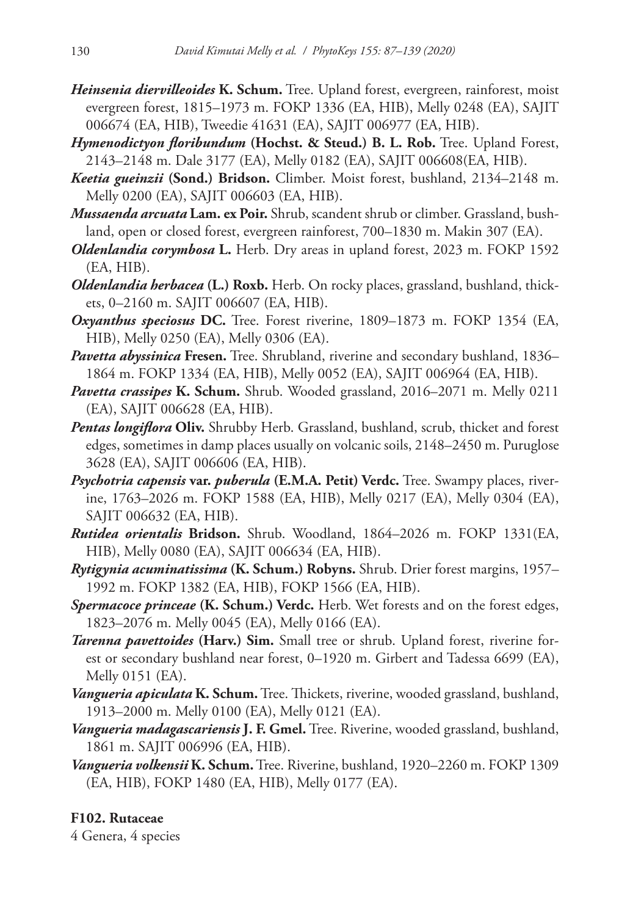- *Heinsenia diervilleoides* **K. Schum.** Tree. Upland forest, evergreen, rainforest, moist evergreen forest, 1815–1973 m. FOKP 1336 (EA, HIB), Melly 0248 (EA), SAJIT 006674 (EA, HIB), Tweedie 41631 (EA), SAJIT 006977 (EA, HIB).
- *Hymenodictyon floribundum* **(Hochst. & Steud.) B. L. Rob.** Tree. Upland Forest, 2143–2148 m. Dale 3177 (EA), Melly 0182 (EA), SAJIT 006608(EA, HIB).
- *Keetia gueinzii* **(Sond.) Bridson.** Climber. Moist forest, bushland, 2134–2148 m. Melly 0200 (EA), SAJIT 006603 (EA, HIB).
- *Mussaenda arcuata* **Lam. ex Poir.** Shrub, scandent shrub or climber. Grassland, bushland, open or closed forest, evergreen rainforest, 700–1830 m. Makin 307 (EA).
- *Oldenlandia corymbosa* **L.** Herb. Dry areas in upland forest, 2023 m. FOKP 1592 (EA, HIB).
- *Oldenlandia herbacea* **(L.) Roxb.** Herb. On rocky places, grassland, bushland, thickets, 0–2160 m. SAJIT 006607 (EA, HIB).
- *Oxyanthus speciosus* **DC.** Tree. Forest riverine, 1809–1873 m. FOKP 1354 (EA, HIB), Melly 0250 (EA), Melly 0306 (EA).
- *Pavetta abyssinica* **Fresen.** Tree. Shrubland, riverine and secondary bushland, 1836– 1864 m. FOKP 1334 (EA, HIB), Melly 0052 (EA), SAJIT 006964 (EA, HIB).
- *Pavetta crassipes* **K. Schum.** Shrub. Wooded grassland, 2016–2071 m. Melly 0211 (EA), SAJIT 006628 (EA, HIB).
- *Pentas longiflora* **Oliv.** Shrubby Herb. Grassland, bushland, scrub, thicket and forest edges, sometimes in damp places usually on volcanic soils, 2148–2450 m. Puruglose 3628 (EA), SAJIT 006606 (EA, HIB).
- *Psychotria capensis* **var.** *puberula* **(E.M.A. Petit) Verdc.** Tree. Swampy places, riverine, 1763–2026 m. FOKP 1588 (EA, HIB), Melly 0217 (EA), Melly 0304 (EA), SAJIT 006632 (EA, HIB).
- *Rutidea orientalis* **Bridson.** Shrub. Woodland, 1864–2026 m. FOKP 1331(EA, HIB), Melly 0080 (EA), SAJIT 006634 (EA, HIB).
- *Rytigynia acuminatissima* **(K. Schum.) Robyns.** Shrub. Drier forest margins, 1957– 1992 m. FOKP 1382 (EA, HIB), FOKP 1566 (EA, HIB).
- *Spermacoce princeae* **(K. Schum.) Verdc.** Herb. Wet forests and on the forest edges, 1823–2076 m. Melly 0045 (EA), Melly 0166 (EA).
- *Tarenna pavettoides* **(Harv.) Sim.** Small tree or shrub. Upland forest, riverine forest or secondary bushland near forest, 0–1920 m. Girbert and Tadessa 6699 (EA), Melly 0151 (EA).
- *Vangueria apiculata* **K. Schum.** Tree. Thickets, riverine, wooded grassland, bushland, 1913–2000 m. Melly 0100 (EA), Melly 0121 (EA).
- *Vangueria madagascariensis* **J. F. Gmel.** Tree. Riverine, wooded grassland, bushland, 1861 m. SAJIT 006996 (EA, HIB).
- *Vangueria volkensii* **K. Schum.** Tree. Riverine, bushland, 1920–2260 m. FOKP 1309 (EA, HIB), FOKP 1480 (EA, HIB), Melly 0177 (EA).

## **F102. Rutaceae**

4 Genera, 4 species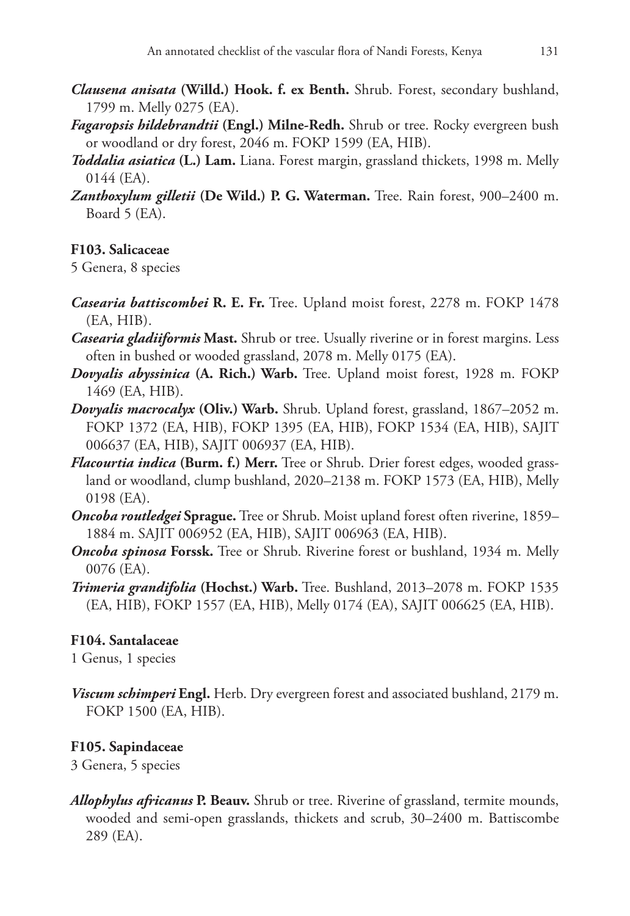- *Clausena anisata* **(Willd.) Hook. f. ex Benth.** Shrub. Forest, secondary bushland, 1799 m. Melly 0275 (EA).
- *Fagaropsis hildebrandtii* **(Engl.) Milne-Redh.** Shrub or tree. Rocky evergreen bush or woodland or dry forest, 2046 m. FOKP 1599 (EA, HIB).
- *Toddalia asiatica* **(L.) Lam.** Liana. Forest margin, grassland thickets, 1998 m. Melly 0144 (EA).
- *Zanthoxylum gilletii* **(De Wild.) P. G. Waterman.** Tree. Rain forest, 900–2400 m. Board 5 (EA).

# **F103. Salicaceae**

5 Genera, 8 species

- *Casearia battiscombei* **R. E. Fr.** Tree. Upland moist forest, 2278 m. FOKP 1478 (EA, HIB).
- *Casearia gladiiformis* **Mast.** Shrub or tree. Usually riverine or in forest margins. Less often in bushed or wooded grassland, 2078 m. Melly 0175 (EA).
- *Dovyalis abyssinica* **(A. Rich.) Warb.** Tree. Upland moist forest, 1928 m. FOKP 1469 (EA, HIB).
- *Dovyalis macrocalyx* **(Oliv.) Warb.** Shrub. Upland forest, grassland, 1867–2052 m. FOKP 1372 (EA, HIB), FOKP 1395 (EA, HIB), FOKP 1534 (EA, HIB), SAJIT 006637 (EA, HIB), SAJIT 006937 (EA, HIB).
- *Flacourtia indica* **(Burm. f.) Merr.** Tree or Shrub. Drier forest edges, wooded grassland or woodland, clump bushland, 2020–2138 m. FOKP 1573 (EA, HIB), Melly 0198 (EA).
- *Oncoba routledgei* **Sprague.** Tree or Shrub. Moist upland forest often riverine, 1859– 1884 m. SAJIT 006952 (EA, HIB), SAJIT 006963 (EA, HIB).
- *Oncoba spinosa* **Forssk.** Tree or Shrub. Riverine forest or bushland, 1934 m. Melly 0076 (EA).
- *Trimeria grandifolia* **(Hochst.) Warb.** Tree. Bushland, 2013–2078 m. FOKP 1535 (EA, HIB), FOKP 1557 (EA, HIB), Melly 0174 (EA), SAJIT 006625 (EA, HIB).

## **F104. Santalaceae**

1 Genus, 1 species

*Viscum schimperi* **Engl.** Herb. Dry evergreen forest and associated bushland, 2179 m. FOKP 1500 (EA, HIB).

# **F105. Sapindaceae**

3 Genera, 5 species

*Allophylus africanus* **P. Beauv.** Shrub or tree. Riverine of grassland, termite mounds, wooded and semi-open grasslands, thickets and scrub, 30–2400 m. Battiscombe 289 (EA).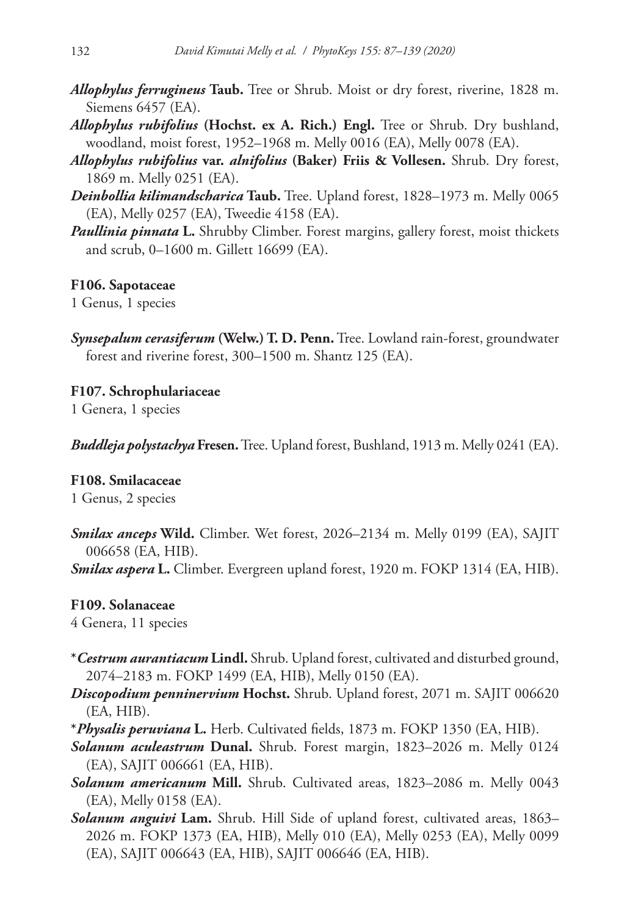- *Allophylus ferrugineus* **Taub.** Tree or Shrub. Moist or dry forest, riverine, 1828 m. Siemens 6457 (EA).
- *Allophylus rubifolius* **(Hochst. ex A. Rich.) Engl.** Tree or Shrub. Dry bushland, woodland, moist forest, 1952–1968 m. Melly 0016 (EA), Melly 0078 (EA).
- *Allophylus rubifolius* **var.** *alnifolius* **(Baker) Friis & Vollesen.** Shrub. Dry forest, 1869 m. Melly 0251 (EA).
- *Deinbollia kilimandscharica* **Taub.** Tree. Upland forest, 1828–1973 m. Melly 0065 (EA), Melly 0257 (EA), Tweedie 4158 (EA).
- *Paullinia pinnata* **L.** Shrubby Climber. Forest margins, gallery forest, moist thickets and scrub, 0–1600 m. Gillett 16699 (EA).

### **F106. Sapotaceae**

1 Genus, 1 species

*Synsepalum cerasiferum* **(Welw.) T. D. Penn.** Tree. Lowland rain-forest, groundwater forest and riverine forest, 300–1500 m. Shantz 125 (EA).

**F107. Schrophulariaceae** 1 Genera, 1 species

*Buddleja polystachya* **Fresen.** Tree. Upland forest, Bushland, 1913 m. Melly 0241 (EA).

**F108. Smilacaceae**

1 Genus, 2 species

*Smilax anceps* **Wild.** Climber. Wet forest, 2026–2134 m. Melly 0199 (EA), SAJIT 006658 (EA, HIB).

*Smilax aspera* **L.** Climber. Evergreen upland forest, 1920 m. FOKP 1314 (EA, HIB).

#### **F109. Solanaceae**

4 Genera, 11 species

- **\****Cestrum aurantiacum* **Lindl.** Shrub. Upland forest, cultivated and disturbed ground, 2074–2183 m. FOKP 1499 (EA, HIB), Melly 0150 (EA).
- *Discopodium penninervium* **Hochst.** Shrub. Upland forest, 2071 m. SAJIT 006620 (EA, HIB).
- **\****Physalis peruviana* **L.** Herb. Cultivated fields, 1873 m. FOKP 1350 (EA, HIB).
- *Solanum aculeastrum* **Dunal.** Shrub. Forest margin, 1823–2026 m. Melly 0124 (EA), SAJIT 006661 (EA, HIB).
- *Solanum americanum* **Mill.** Shrub. Cultivated areas, 1823–2086 m. Melly 0043 (EA), Melly 0158 (EA).
- *Solanum anguivi* **Lam.** Shrub. Hill Side of upland forest, cultivated areas, 1863– 2026 m. FOKP 1373 (EA, HIB), Melly 010 (EA), Melly 0253 (EA), Melly 0099 (EA), SAJIT 006643 (EA, HIB), SAJIT 006646 (EA, HIB).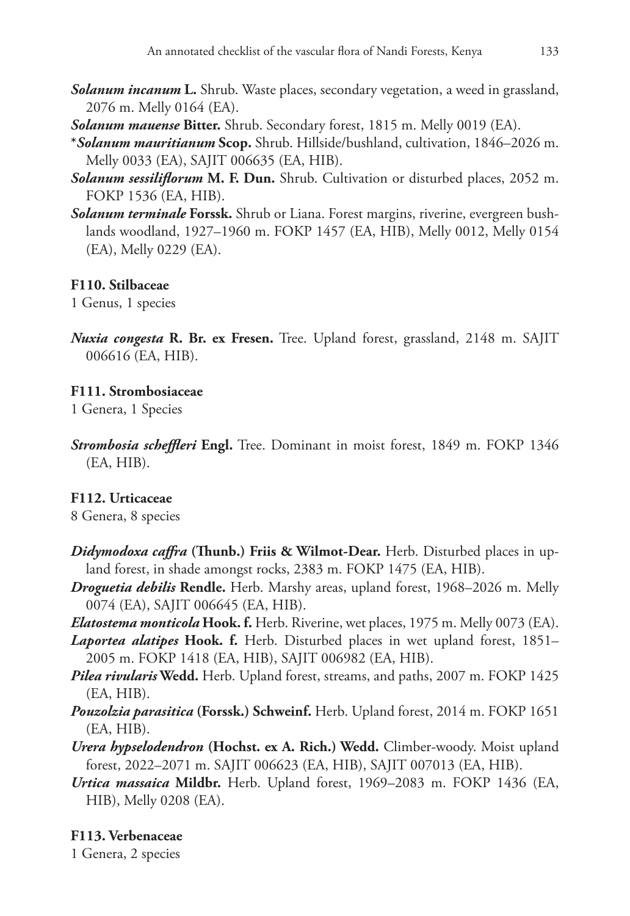- *Solanum incanum* **L.** Shrub. Waste places, secondary vegetation, a weed in grassland, 2076 m. Melly 0164 (EA).
- *Solanum mauense* **Bitter.** Shrub. Secondary forest, 1815 m. Melly 0019 (EA).
- **\****Solanum mauritianum* **Scop.** Shrub. Hillside/bushland, cultivation, 1846–2026 m. Melly 0033 (EA), SAJIT 006635 (EA, HIB).
- *Solanum sessiliflorum* **M. F. Dun.** Shrub. Cultivation or disturbed places, 2052 m. FOKP 1536 (EA, HIB).
- *Solanum terminale* **Forssk.** Shrub or Liana. Forest margins, riverine, evergreen bushlands woodland, 1927–1960 m. FOKP 1457 (EA, HIB), Melly 0012, Melly 0154 (EA), Melly 0229 (EA).

### **F110. Stilbaceae**

1 Genus, 1 species

*Nuxia congesta* **R. Br. ex Fresen.** Tree. Upland forest, grassland, 2148 m. SAJIT 006616 (EA, HIB).

## **F111. Strombosiaceae**

1 Genera, 1 Species

*Strombosia scheffleri* **Engl.** Tree. Dominant in moist forest, 1849 m. FOKP 1346 (EA, HIB).

## **F112. Urticaceae**

8 Genera, 8 species

- *Didymodoxa caffra* **(Thunb.) Friis & Wilmot-Dear.** Herb. Disturbed places in upland forest, in shade amongst rocks, 2383 m. FOKP 1475 (EA, HIB).
- *Droguetia debilis* **Rendle.** Herb. Marshy areas, upland forest, 1968–2026 m. Melly 0074 (EA), SAJIT 006645 (EA, HIB).
- *Elatostema monticola* **Hook. f.** Herb. Riverine, wet places, 1975 m. Melly 0073 (EA).
- *Laportea alatipes* **Hook. f.** Herb. Disturbed places in wet upland forest, 1851– 2005 m. FOKP 1418 (EA, HIB), SAJIT 006982 (EA, HIB).
- *Pilea rivularis* **Wedd.** Herb. Upland forest, streams, and paths, 2007 m. FOKP 1425 (EA, HIB).
- *Pouzolzia parasitica* **(Forssk.) Schweinf.** Herb. Upland forest, 2014 m. FOKP 1651 (EA, HIB).
- *Urera hypselodendron* **(Hochst. ex A. Rich.) Wedd.** Climber-woody. Moist upland forest, 2022–2071 m. SAJIT 006623 (EA, HIB), SAJIT 007013 (EA, HIB).
- *Urtica massaica* **Mildbr.** Herb. Upland forest, 1969–2083 m. FOKP 1436 (EA, HIB), Melly 0208 (EA).

### **F113. Verbenaceae**

1 Genera, 2 species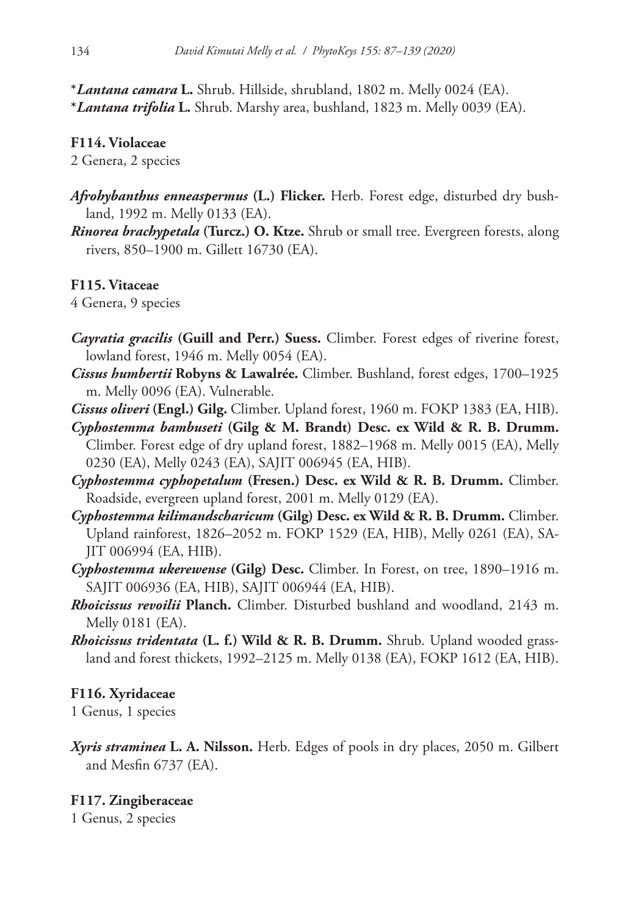**\****Lantana camara* **L.** Shrub. Hillside, shrubland, 1802 m. Melly 0024 (EA). **\****Lantana trifolia* **L.** Shrub. Marshy area, bushland, 1823 m. Melly 0039 (EA).

## **F114. Violaceae**

2 Genera, 2 species

- *Afrohybanthus enneaspermus* **(L.) Flicker.** Herb. Forest edge, disturbed dry bushland, 1992 m. Melly 0133 (EA).
- *Rinorea brachypetala* **(Turcz.) O. Ktze.** Shrub or small tree. Evergreen forests, along rivers, 850–1900 m. Gillett 16730 (EA).

## **F115. Vitaceae**

4 Genera, 9 species

- *Cayratia gracilis* **(Guill and Perr.) Suess.** Climber. Forest edges of riverine forest, lowland forest, 1946 m. Melly 0054 (EA).
- *Cissus humbertii* **Robyns & Lawalrée.** Climber. Bushland, forest edges, 1700–1925 m. Melly 0096 (EA). Vulnerable.
- *Cissus oliveri* **(Engl.) Gilg.** Climber. Upland forest, 1960 m. FOKP 1383 (EA, HIB).
- *Cyphostemma bambuseti* **(Gilg & M. Brandt) Desc. ex Wild & R. B. Drumm.** Climber. Forest edge of dry upland forest, 1882–1968 m. Melly 0015 (EA), Melly 0230 (EA), Melly 0243 (EA), SAJIT 006945 (EA, HIB).
- *Cyphostemma cyphopetalum* **(Fresen.) Desc. ex Wild & R. B. Drumm.** Climber. Roadside, evergreen upland forest, 2001 m. Melly 0129 (EA).
- *Cyphostemma kilimandscharicum* **(Gilg) Desc. ex Wild & R. B. Drumm.** Climber. Upland rainforest, 1826–2052 m. FOKP 1529 (EA, HIB), Melly 0261 (EA), SA-JIT 006994 (EA, HIB).
- *Cyphostemma ukerewense* **(Gilg) Desc.** Climber. In Forest, on tree, 1890–1916 m. SAJIT 006936 (EA, HIB), SAJIT 006944 (EA, HIB).
- *Rhoicissus revoilii* **Planch.** Climber. Disturbed bushland and woodland, 2143 m. Melly 0181 (EA).
- *Rhoicissus tridentata* **(L. f.) Wild & R. B. Drumm.** Shrub. Upland wooded grassland and forest thickets, 1992–2125 m. Melly 0138 (EA), FOKP 1612 (EA, HIB).

## **F116. Xyridaceae**

1 Genus, 1 species

*Xyris straminea* **L. A. Nilsson.** Herb. Edges of pools in dry places, 2050 m. Gilbert and Mesfin 6737 (EA).

## **F117. Zingiberaceae**

1 Genus, 2 species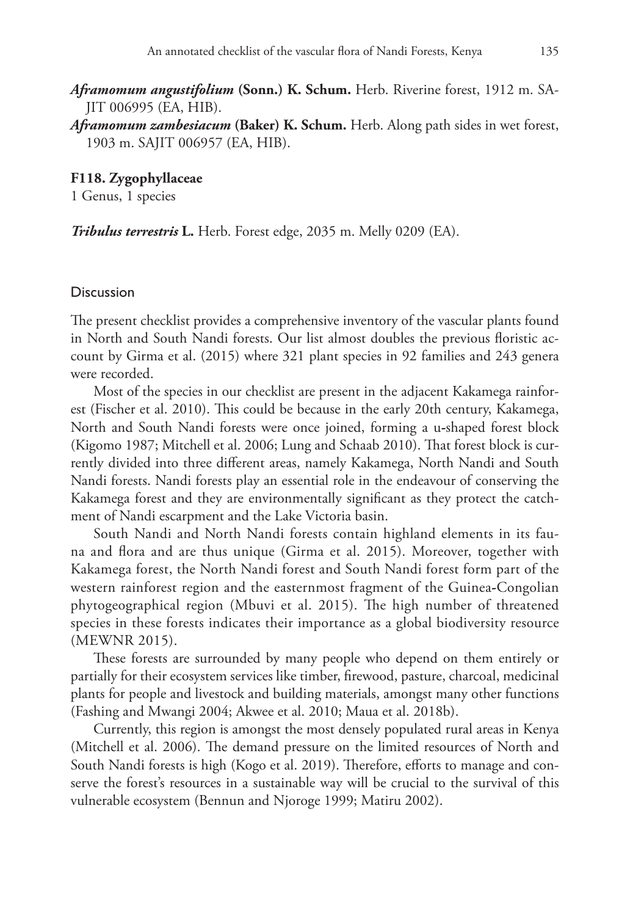*Aframomum angustifolium* **(Sonn.) K. Schum.** Herb. Riverine forest, 1912 m. SA-JIT 006995 (EA, HIB).

*Aframomum zambesiacum* **(Baker) K. Schum.** Herb. Along path sides in wet forest, 1903 m. SAJIT 006957 (EA, HIB).

**F118. Zygophyllaceae**

1 Genus, 1 species

*Tribulus terrestris* **L.** Herb. Forest edge, 2035 m. Melly 0209 (EA).

#### **Discussion**

The present checklist provides a comprehensive inventory of the vascular plants found in North and South Nandi forests. Our list almost doubles the previous floristic account by Girma et al. (2015) where 321 plant species in 92 families and 243 genera were recorded.

Most of the species in our checklist are present in the adjacent Kakamega rainforest (Fischer et al. 2010). This could be because in the early 20th century, Kakamega, North and South Nandi forests were once joined, forming a u**-**shaped forest block (Kigomo 1987; Mitchell et al. 2006; Lung and Schaab 2010). That forest block is currently divided into three different areas, namely Kakamega, North Nandi and South Nandi forests. Nandi forests play an essential role in the endeavour of conserving the Kakamega forest and they are environmentally significant as they protect the catchment of Nandi escarpment and the Lake Victoria basin.

South Nandi and North Nandi forests contain highland elements in its fauna and flora and are thus unique (Girma et al. 2015). Moreover, together with Kakamega forest, the North Nandi forest and South Nandi forest form part of the western rainforest region and the easternmost fragment of the Guinea**-**Congolian phytogeographical region (Mbuvi et al. 2015). The high number of threatened species in these forests indicates their importance as a global biodiversity resource (MEWNR 2015).

These forests are surrounded by many people who depend on them entirely or partially for their ecosystem services like timber, firewood, pasture, charcoal, medicinal plants for people and livestock and building materials, amongst many other functions (Fashing and Mwangi 2004; Akwee et al. 2010; Maua et al. 2018b).

Currently, this region is amongst the most densely populated rural areas in Kenya (Mitchell et al. 2006). The demand pressure on the limited resources of North and South Nandi forests is high (Kogo et al. 2019). Therefore, efforts to manage and conserve the forest's resources in a sustainable way will be crucial to the survival of this vulnerable ecosystem (Bennun and Njoroge 1999; Matiru 2002).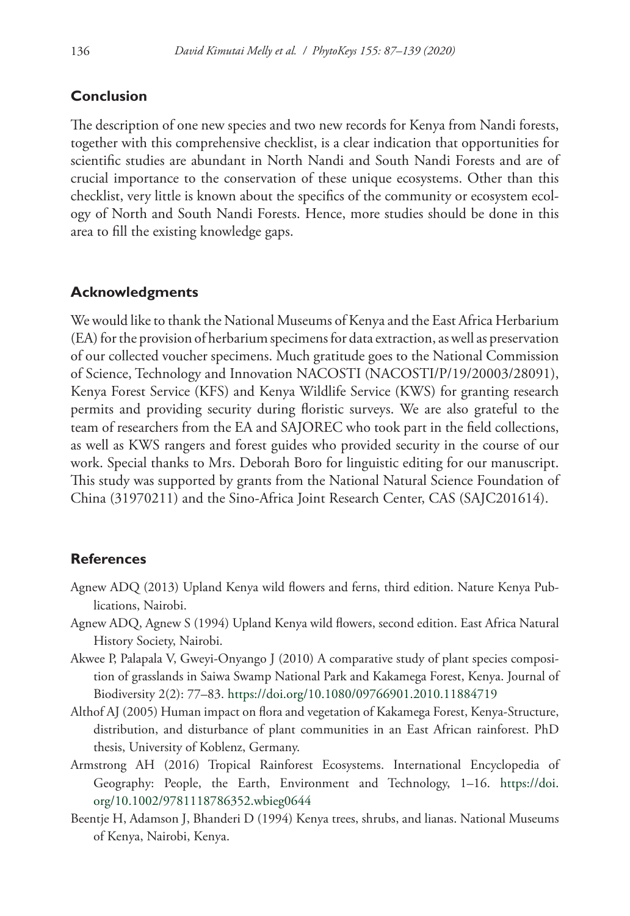### **Conclusion**

The description of one new species and two new records for Kenya from Nandi forests, together with this comprehensive checklist, is a clear indication that opportunities for scientific studies are abundant in North Nandi and South Nandi Forests and are of crucial importance to the conservation of these unique ecosystems. Other than this checklist, very little is known about the specifics of the community or ecosystem ecology of North and South Nandi Forests. Hence, more studies should be done in this area to fill the existing knowledge gaps.

#### **Acknowledgments**

We would like to thank the National Museums of Kenya and the East Africa Herbarium (EA) for the provision of herbarium specimens for data extraction, as well as preservation of our collected voucher specimens. Much gratitude goes to the National Commission of Science, Technology and Innovation NACOSTI (NACOSTI/P/19/20003/28091), Kenya Forest Service (KFS) and Kenya Wildlife Service (KWS) for granting research permits and providing security during floristic surveys. We are also grateful to the team of researchers from the EA and SAJOREC who took part in the field collections, as well as KWS rangers and forest guides who provided security in the course of our work. Special thanks to Mrs. Deborah Boro for linguistic editing for our manuscript. This study was supported by grants from the National Natural Science Foundation of China (31970211) and the Sino-Africa Joint Research Center, CAS (SAJC201614).

#### **References**

- Agnew ADQ (2013) Upland Kenya wild flowers and ferns, third edition. Nature Kenya Publications, Nairobi.
- Agnew ADQ, Agnew S (1994) Upland Kenya wild flowers, second edition. East Africa Natural History Society, Nairobi.
- Akwee P, Palapala V, Gweyi-Onyango J (2010) A comparative study of plant species composition of grasslands in Saiwa Swamp National Park and Kakamega Forest, Kenya. Journal of Biodiversity 2(2): 77–83.<https://doi.org/10.1080/09766901.2010.11884719>
- Althof AJ (2005) Human impact on flora and vegetation of Kakamega Forest, Kenya-Structure, distribution, and disturbance of plant communities in an East African rainforest. PhD thesis, University of Koblenz, Germany.
- Armstrong AH (2016) Tropical Rainforest Ecosystems. International Encyclopedia of Geography: People, the Earth, Environment and Technology, 1–16. [https://doi.](https://doi.org/10.1002/9781118786352.wbieg0644) [org/10.1002/9781118786352.wbieg0644](https://doi.org/10.1002/9781118786352.wbieg0644)
- Beentje H, Adamson J, Bhanderi D (1994) Kenya trees, shrubs, and lianas. National Museums of Kenya, Nairobi, Kenya.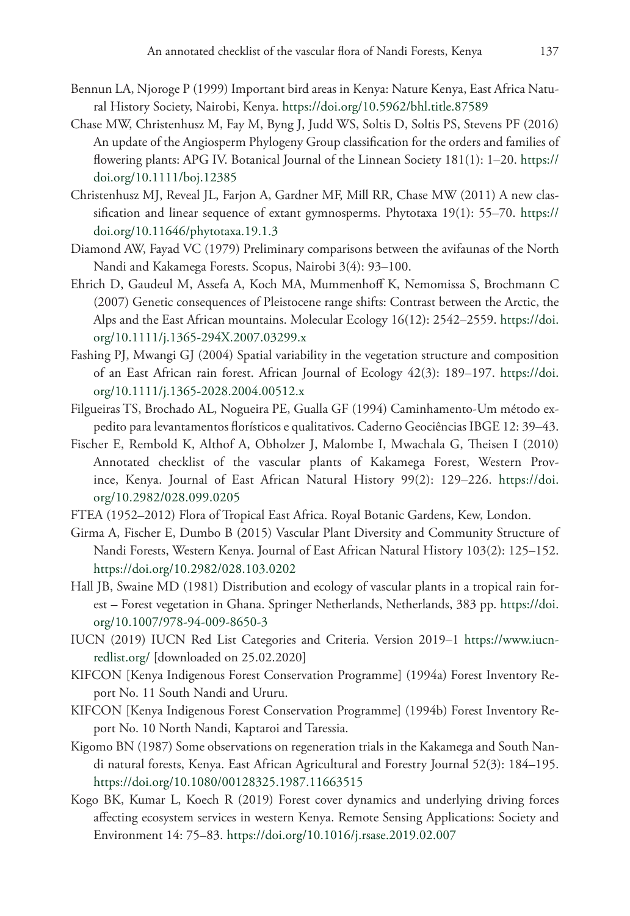- Bennun LA, Njoroge P (1999) Important bird areas in Kenya: Nature Kenya, East Africa Natural History Society, Nairobi, Kenya. <https://doi.org/10.5962/bhl.title.87589>
- Chase MW, Christenhusz M, Fay M, Byng J, Judd WS, Soltis D, Soltis PS, Stevens PF (2016) An update of the Angiosperm Phylogeny Group classification for the orders and families of flowering plants: APG IV. Botanical Journal of the Linnean Society 181(1): 1–20. [https://](https://doi.org/10.1111/boj.12385) [doi.org/10.1111/boj.12385](https://doi.org/10.1111/boj.12385)
- Christenhusz MJ, Reveal JL, Farjon A, Gardner MF, Mill RR, Chase MW (2011) A new classification and linear sequence of extant gymnosperms. Phytotaxa 19(1): 55–70. [https://](https://doi.org/10.11646/phytotaxa.19.1.3) [doi.org/10.11646/phytotaxa.19.1.3](https://doi.org/10.11646/phytotaxa.19.1.3)
- Diamond AW, Fayad VC (1979) Preliminary comparisons between the avifaunas of the North Nandi and Kakamega Forests. Scopus, Nairobi 3(4): 93–100.
- Ehrich D, Gaudeul M, Assefa A, Koch MA, Mummenhoff K, Nemomissa S, Brochmann C (2007) Genetic consequences of Pleistocene range shifts: Contrast between the Arctic, the Alps and the East African mountains. Molecular Ecology 16(12): 2542–2559. [https://doi.](https://doi.org/10.1111/j.1365-294X.2007.03299.x) [org/10.1111/j.1365-294X.2007.03299.x](https://doi.org/10.1111/j.1365-294X.2007.03299.x)
- Fashing PJ, Mwangi GJ (2004) Spatial variability in the vegetation structure and composition of an East African rain forest. African Journal of Ecology 42(3): 189–197. [https://doi.](https://doi.org/10.1111/j.1365-2028.2004.00512.x) [org/10.1111/j.1365-2028.2004.00512.x](https://doi.org/10.1111/j.1365-2028.2004.00512.x)
- Filgueiras TS, Brochado AL, Nogueira PE, Gualla GF (1994) Caminhamento-Um método expedito para levantamentos florísticos e qualitativos. Caderno Geociências IBGE 12: 39–43.
- Fischer E, Rembold K, Althof A, Obholzer J, Malombe I, Mwachala G, Theisen I (2010) Annotated checklist of the vascular plants of Kakamega Forest, Western Province, Kenya. Journal of East African Natural History 99(2): 129–226. [https://doi.](https://doi.org/10.2982/028.099.0205) [org/10.2982/028.099.0205](https://doi.org/10.2982/028.099.0205)
- FTEA (1952–2012) Flora of Tropical East Africa. Royal Botanic Gardens, Kew, London.
- Girma A, Fischer E, Dumbo B (2015) Vascular Plant Diversity and Community Structure of Nandi Forests, Western Kenya. Journal of East African Natural History 103(2): 125–152. <https://doi.org/10.2982/028.103.0202>
- Hall JB, Swaine MD (1981) Distribution and ecology of vascular plants in a tropical rain forest – Forest vegetation in Ghana. Springer Netherlands, Netherlands, 383 pp. [https://doi.](https://doi.org/10.1007/978-94-009-8650-3) [org/10.1007/978-94-009-8650-3](https://doi.org/10.1007/978-94-009-8650-3)
- IUCN (2019) IUCN Red List Categories and Criteria. Version 2019–1 [https://www.iucn](https://www.iucnredlist.org/)[redlist.org/](https://www.iucnredlist.org/) [downloaded on 25.02.2020]
- KIFCON [Kenya Indigenous Forest Conservation Programme] (1994a) Forest Inventory Report No. 11 South Nandi and Ururu.
- KIFCON [Kenya Indigenous Forest Conservation Programme] (1994b) Forest Inventory Report No. 10 North Nandi, Kaptaroi and Taressia.
- Kigomo BN (1987) Some observations on regeneration trials in the Kakamega and South Nandi natural forests, Kenya. East African Agricultural and Forestry Journal 52(3): 184–195. <https://doi.org/10.1080/00128325.1987.11663515>
- Kogo BK, Kumar L, Koech R (2019) Forest cover dynamics and underlying driving forces affecting ecosystem services in western Kenya. Remote Sensing Applications: Society and Environment 14: 75–83.<https://doi.org/10.1016/j.rsase.2019.02.007>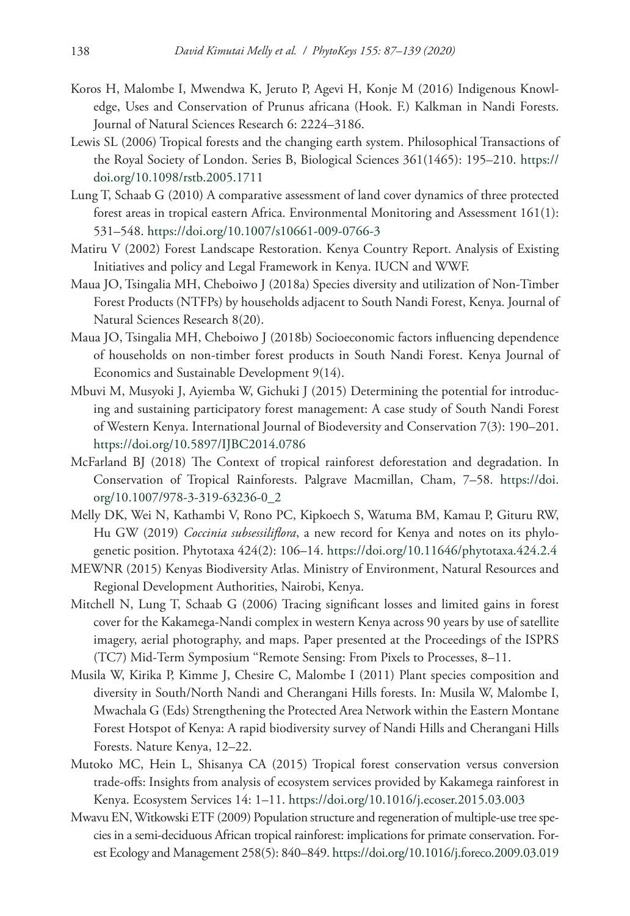- Koros H, Malombe I, Mwendwa K, Jeruto P, Agevi H, Konje M (2016) Indigenous Knowledge, Uses and Conservation of Prunus africana (Hook. F.) Kalkman in Nandi Forests. Journal of Natural Sciences Research 6: 2224–3186.
- Lewis SL (2006) Tropical forests and the changing earth system. Philosophical Transactions of the Royal Society of London. Series B, Biological Sciences 361(1465): 195–210. [https://](https://doi.org/10.1098/rstb.2005.1711) [doi.org/10.1098/rstb.2005.1711](https://doi.org/10.1098/rstb.2005.1711)
- Lung T, Schaab G (2010) A comparative assessment of land cover dynamics of three protected forest areas in tropical eastern Africa. Environmental Monitoring and Assessment 161(1): 531–548.<https://doi.org/10.1007/s10661-009-0766-3>
- Matiru V (2002) Forest Landscape Restoration. Kenya Country Report. Analysis of Existing Initiatives and policy and Legal Framework in Kenya. IUCN and WWF.
- Maua JO, Tsingalia MH, Cheboiwo J (2018a) Species diversity and utilization of Non-Timber Forest Products (NTFPs) by households adjacent to South Nandi Forest, Kenya. Journal of Natural Sciences Research 8(20).
- Maua JO, Tsingalia MH, Cheboiwo J (2018b) Socioeconomic factors influencing dependence of households on non-timber forest products in South Nandi Forest. Kenya Journal of Economics and Sustainable Development 9(14).
- Mbuvi M, Musyoki J, Ayiemba W, Gichuki J (2015) Determining the potential for introducing and sustaining participatory forest management: A case study of South Nandi Forest of Western Kenya. International Journal of Biodeversity and Conservation 7(3): 190–201. <https://doi.org/10.5897/IJBC2014.0786>
- McFarland BJ (2018) The Context of tropical rainforest deforestation and degradation. In Conservation of Tropical Rainforests. Palgrave Macmillan, Cham, 7–58. [https://doi.](https://doi.org/10.1007/978-3-319-63236-0_2) [org/10.1007/978-3-319-63236-0\\_2](https://doi.org/10.1007/978-3-319-63236-0_2)
- Melly DK, Wei N, Kathambi V, Rono PC, Kipkoech S, Watuma BM, Kamau P, Gituru RW, Hu GW (2019) *Coccinia subsessiliflora*, a new record for Kenya and notes on its phylogenetic position. Phytotaxa 424(2): 106–14. <https://doi.org/10.11646/phytotaxa.424.2.4>
- MEWNR (2015) Kenyas Biodiversity Atlas. Ministry of Environment, Natural Resources and Regional Development Authorities, Nairobi, Kenya.
- Mitchell N, Lung T, Schaab G (2006) Tracing significant losses and limited gains in forest cover for the Kakamega-Nandi complex in western Kenya across 90 years by use of satellite imagery, aerial photography, and maps. Paper presented at the Proceedings of the ISPRS (TC7) Mid-Term Symposium ''Remote Sensing: From Pixels to Processes, 8–11.
- Musila W, Kirika P, Kimme J, Chesire C, Malombe I (2011) Plant species composition and diversity in South/North Nandi and Cherangani Hills forests. In: Musila W, Malombe I, Mwachala G (Eds) Strengthening the Protected Area Network within the Eastern Montane Forest Hotspot of Kenya: A rapid biodiversity survey of Nandi Hills and Cherangani Hills Forests. Nature Kenya, 12–22.
- Mutoko MC, Hein L, Shisanya CA (2015) Tropical forest conservation versus conversion trade-offs: Insights from analysis of ecosystem services provided by Kakamega rainforest in Kenya. Ecosystem Services 14: 1–11.<https://doi.org/10.1016/j.ecoser.2015.03.003>
- Mwavu EN, Witkowski ETF (2009) Population structure and regeneration of multiple-use tree species in a semi-deciduous African tropical rainforest: implications for primate conservation. Forest Ecology and Management 258(5): 840–849.<https://doi.org/10.1016/j.foreco.2009.03.019>